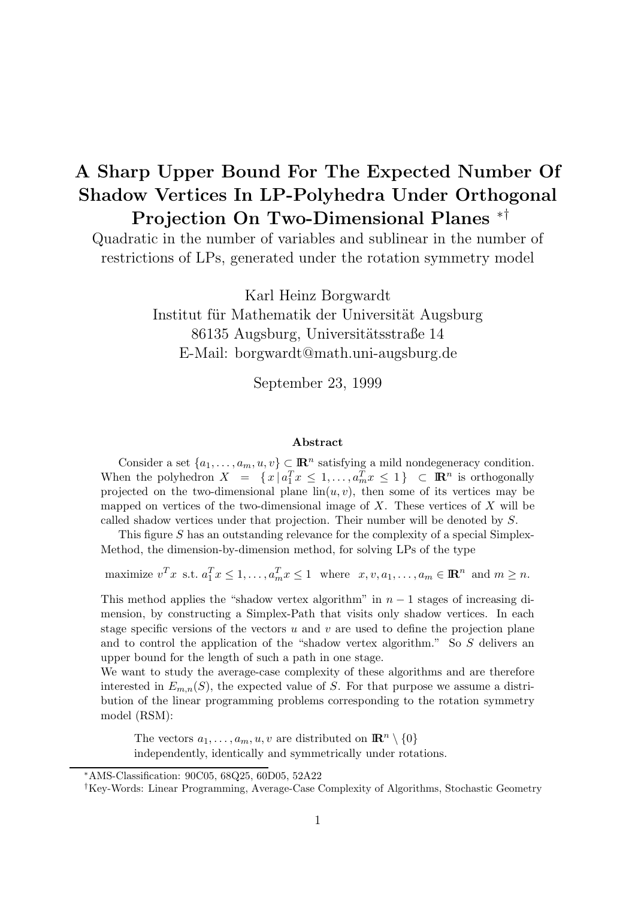# **A Sharp Upper Bound For The Expected Number Of Shadow Vertices In LP-Polyhedra Under Orthogonal Projection On Two-Dimensional Planes** ∗†

Quadratic in the number of variables and sublinear in the number of restrictions of LPs, generated under the rotation symmetry model

> Karl Heinz Borgwardt Institut für Mathematik der Universität Augsburg 86135 Augsburg, Universitätsstraße 14 E-Mail: borgwardt@math.uni-augsburg.de

> > September 23, 1999

#### **Abstract**

Consider a set  $\{a_1,\ldots,a_m,u,v\} \subset \mathbb{R}^n$  satisfying a mild nondegeneracy condition. When the polyhedron  $X = \{x \mid a_1^T x \leq 1, \ldots, a_m^T x \leq 1\} \subset \mathbb{R}^n$  is orthogonally projected on the two-dimensional plane  $\text{lin}(u, v)$ , then some of its vertices may be mapped on vertices of the two-dimensional image of  $X$ . These vertices of  $X$  will be called shadow vertices under that projection. Their number will be denoted by S.

This figure S has an outstanding relevance for the complexity of a special Simplex-Method, the dimension-by-dimension method, for solving LPs of the type

maximize  $v^T x$  s.t.  $a_1^T x \leq 1, ..., a_m^T x \leq 1$  where  $x, v, a_1, ..., a_m \in \mathbb{R}^n$  and  $m \geq n$ .

This method applies the "shadow vertex algorithm" in  $n-1$  stages of increasing dimension, by constructing a Simplex-Path that visits only shadow vertices. In each stage specific versions of the vectors u and v are used to define the projection plane and to control the application of the "shadow vertex algorithm." So  $S$  delivers an upper bound for the length of such a path in one stage.

We want to study the average-case complexity of these algorithms and are therefore interested in  $E_{m,n}(S)$ , the expected value of S. For that purpose we assume a distribution of the linear programming problems corresponding to the rotation symmetry model (RSM):

The vectors  $a_1, \ldots, a_m, u, v$  are distributed on  $\mathbb{R}^n \setminus \{0\}$ independently, identically and symmetrically under rotations.

<sup>∗</sup>AMS-Classification: 90C05, 68Q25, 60D05, 52A22

<sup>†</sup>Key-Words: Linear Programming, Average-Case Complexity of Algorithms, Stochastic Geometry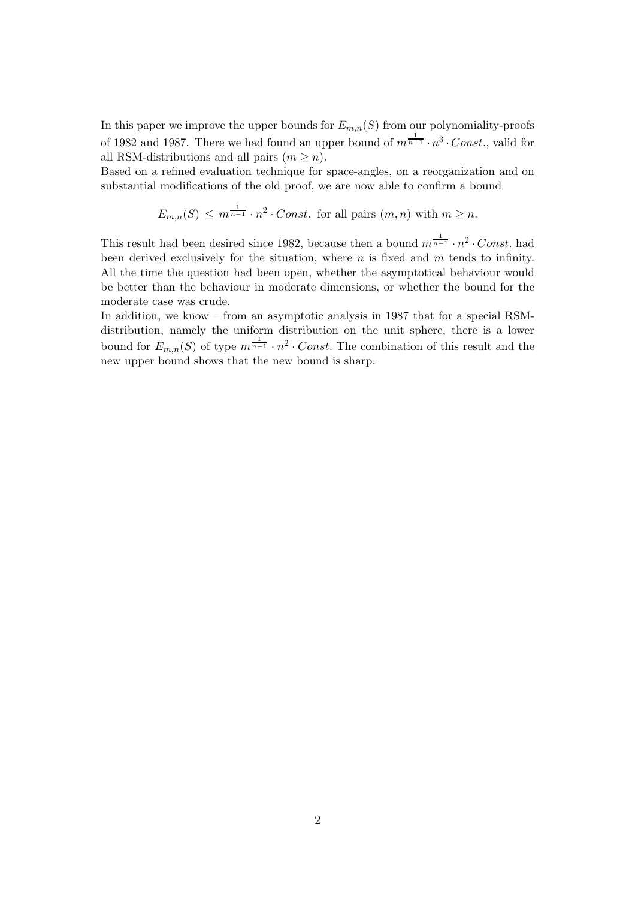In this paper we improve the upper bounds for  $E_{m,n}(S)$  from our polynomiality-proofs of 1982 and 1987. There we had found an upper bound of  $m^{\frac{1}{n-1}} \cdot n^3 \cdot Const.$ , valid for all RSM-distributions and all pairs  $(m \geq n)$ .

Based on a refined evaluation technique for space-angles, on a reorganization and on substantial modifications of the old proof, we are now able to confirm a bound

$$
E_{m,n}(S) \le m^{\frac{1}{n-1}} \cdot n^2 \cdot Const.
$$
 for all pairs  $(m, n)$  with  $m \ge n$ .

This result had been desired since 1982, because then a bound  $m^{\frac{1}{n-1}} \cdot n^2 \cdot Const.$  had been derived exclusively for the situation, where  $n$  is fixed and  $m$  tends to infinity. All the time the question had been open, whether the asymptotical behaviour would be better than the behaviour in moderate dimensions, or whether the bound for the moderate case was crude.

In addition, we know – from an asymptotic analysis in 1987 that for a special RSMdistribution, namely the uniform distribution on the unit sphere, there is a lower bound for  $E_{m,n}(S)$  of type  $m^{\frac{1}{n-1}} \cdot n^2 \cdot Const$ . The combination of this result and the new upper bound shows that the new bound is sharp.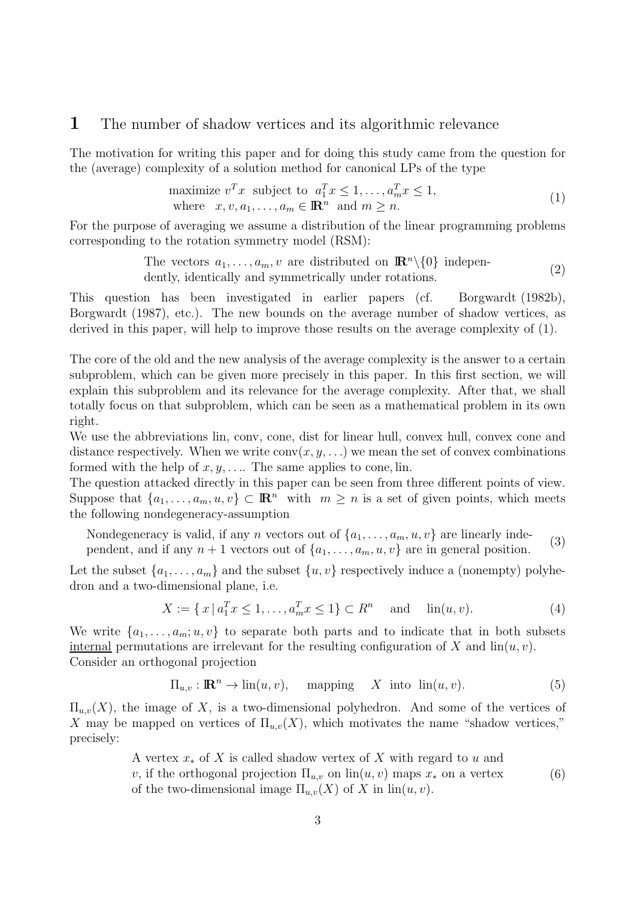### **1** The number of shadow vertices and its algorithmic relevance

The motivation for writing this paper and for doing this study came from the question for the (average) complexity of a solution method for canonical LPs of the type

maximize 
$$
v^T x
$$
 subject to  $a_1^T x \le 1, ..., a_m^T x \le 1$ ,  
where  $x, v, a_1, ..., a_m \in \mathbb{R}^n$  and  $m \ge n$ . (1)

For the purpose of averaging we assume a distribution of the linear programming problems corresponding to the rotation symmetry model (RSM):

> The vectors  $a_1, \ldots, a_m, v$  are distributed on  $\mathbb{R}^n \setminus \{0\}$  independently, identically and symmetrically under rotations.  $(2)$

This question has been investigated in earlier papers (cf. Borgwardt (1982b), Borgwardt (1987), etc.). The new bounds on the average number of shadow vertices, as derived in this paper, will help to improve those results on the average complexity of (1).

The core of the old and the new analysis of the average complexity is the answer to a certain subproblem, which can be given more precisely in this paper. In this first section, we will explain this subproblem and its relevance for the average complexity. After that, we shall totally focus on that subproblem, which can be seen as a mathematical problem in its own right.

We use the abbreviations lin, conv, cone, dist for linear hull, convex hull, convex cone and distance respectively. When we write  $conv(x, y, ...)$  we mean the set of convex combinations formed with the help of  $x, y, \ldots$  The same applies to cone, lin.

The question attacked directly in this paper can be seen from three different points of view. Suppose that  $\{a_1,\ldots,a_m, u, v\} \subset \mathbb{R}^n$  with  $m \geq n$  is a set of given points, which meets the following nondegeneracy-assumption

Nondegeneracy is valid, if any *n* vectors out of  $\{a_1, \ldots, a_m, u, v\}$  are linearly independent, and if any  $n+1$  vectors out of  $\{a_1,\ldots,a_m,u,v\}$  are in general position. (3)

Let the subset  $\{a_1,\ldots,a_m\}$  and the subset  $\{u, v\}$  respectively induce a (nonempty) polyhedron and a two-dimensional plane, i.e.

$$
X := \{ x \mid a_1^T x \le 1, \dots, a_m^T x \le 1 \} \subset R^n \quad \text{and} \quad \lim(u, v). \tag{4}
$$

We write  $\{a_1,\ldots,a_m;u,v\}$  to separate both parts and to indicate that in both subsets internal permutations are irrelevant for the resulting configuration of X and  $\text{lin}(u, v)$ . Consider an orthogonal projection

$$
\Pi_{u,v} : \mathbb{R}^n \to \text{lin}(u,v), \quad \text{mapping} \quad X \text{ into } \text{lin}(u,v). \tag{5}
$$

 $\Pi_{u,v}(X)$ , the image of X, is a two-dimensional polyhedron. And some of the vertices of X may be mapped on vertices of  $\Pi_{u,v}(X)$ , which motivates the name "shadow vertices," precisely:

> A vertex  $x_*$  of X is called shadow vertex of X with regard to u and v, if the orthogonal projection  $\Pi_{u,v}$  on  $\text{lin}(u, v)$  maps  $x_*$  on a vertex of the two-dimensional image  $\Pi_{u,v}(X)$  of X in  $\text{lin}(u, v)$ . (6)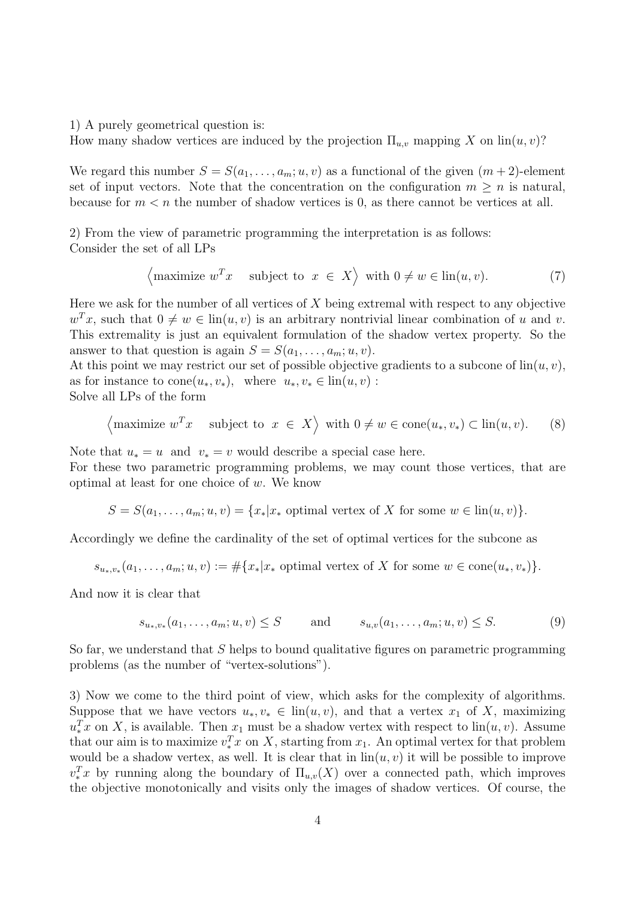1) A purely geometrical question is:

How many shadow vertices are induced by the projection  $\Pi_{u,v}$  mapping X on  $\text{lin}(u, v)$ ?

We regard this number  $S = S(a_1, \ldots, a_m; u, v)$  as a functional of the given  $(m + 2)$ -element set of input vectors. Note that the concentration on the configuration  $m \geq n$  is natural, because for  $m < n$  the number of shadow vertices is 0, as there cannot be vertices at all.

2) From the view of parametric programming the interpretation is as follows: Consider the set of all LPs

$$
\left\langle \text{maximize } w^T x \quad \text{subject to } x \in X \right\rangle \text{ with } 0 \neq w \in \text{lin}(u, v). \tag{7}
$$

Here we ask for the number of all vertices of  $X$  being extremal with respect to any objective  $w^T x$ , such that  $0 \neq w \in \text{lin}(u, v)$  is an arbitrary nontrivial linear combination of u and v. This extremality is just an equivalent formulation of the shadow vertex property. So the answer to that question is again  $S = S(a_1, \ldots, a_m; u, v)$ .

At this point we may restrict our set of possible objective gradients to a subcone of  $\text{lin}(u, v)$ , as for instance to cone $(u_*, v_*)$ , where  $u_*, v_* \in \text{lin}(u, v)$ : Solve all LPs of the form

$$
\left\langle \text{maximize } w^T x \quad \text{subject to } x \in X \right\rangle \text{ with } 0 \neq w \in \text{cone}(u_*, v_*) \subset \text{lin}(u, v). \tag{8}
$$

Note that  $u_* = u$  and  $v_* = v$  would describe a special case here.

For these two parametric programming problems, we may count those vertices, that are optimal at least for one choice of w. We know

 $S = S(a_1, \ldots, a_m; u, v) = \{x_* | x_* \text{ optimal vertex of } X \text{ for some } w \in \text{lin}(u, v)\}.$ 

Accordingly we define the cardinality of the set of optimal vertices for the subcone as

$$
s_{u_*,v_*}(a_1,\ldots,a_m;u,v) := \#\{x_*|x_* \text{ optimal vertex of } X \text{ for some } w \in \text{cone}(u_*,v_*)\}.
$$

And now it is clear that

$$
s_{u_*,v_*}(a_1,\ldots,a_m;u,v) \leq S
$$
 and  $s_{u,v}(a_1,\ldots,a_m;u,v) \leq S.$  (9)

So far, we understand that  $S$  helps to bound qualitative figures on parametric programming problems (as the number of "vertex-solutions").

3) Now we come to the third point of view, which asks for the complexity of algorithms. Suppose that we have vectors  $u_*, v_* \in \text{lin}(u, v)$ , and that a vertex  $x_1$  of X, maximizing  $u_*^T x$  on X, is available. Then  $x_1$  must be a shadow vertex with respect to  $\text{lin}(u, v)$ . Assume that our aim is to maximize  $v_*^T x$  on X, starting from  $x_1$ . An optimal vertex for that problem would be a shadow vertex, as well. It is clear that in  $\text{lin}(u, v)$  it will be possible to improve  $v_x^Tx$  by running along the boundary of  $\Pi_{u,v}(X)$  over a connected path, which improves the objective monotonically and visits only the images of shadow vertices. Of course, the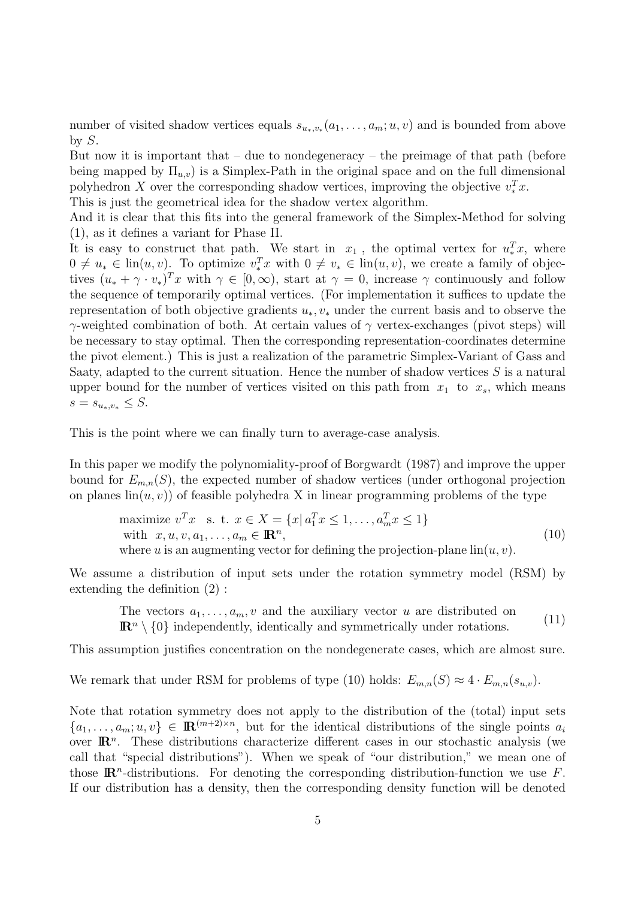number of visited shadow vertices equals  $s_{u_*,v_*}(a_1,\ldots,a_m;u,v)$  and is bounded from above by  $S$ .

But now it is important that  $-$  due to nondegeneracy  $-$  the preimage of that path (before being mapped by  $\Pi_{u,v}$  is a Simplex-Path in the original space and on the full dimensional polyhedron X over the corresponding shadow vertices, improving the objective  $v_*^T x$ .

This is just the geometrical idea for the shadow vertex algorithm.

And it is clear that this fits into the general framework of the Simplex-Method for solving (1), as it defines a variant for Phase II.

It is easy to construct that path. We start in  $x_1$ , the optimal vertex for  $u_*^T x$ , where  $0 \neq u_* \in \text{lin}(u, v)$ . To optimize  $v_*^T x$  with  $0 \neq v_* \in \text{lin}(u, v)$ , we create a family of objectives  $(u_* + \gamma \cdot v_*)^T x$  with  $\gamma \in [0, \infty)$ , start at  $\gamma = 0$ , increase  $\gamma$  continuously and follow the sequence of temporarily optimal vertices. (For implementation it suffices to update the representation of both objective gradients  $u_*, v_*$  under the current basis and to observe the  $γ$ -weighted combination of both. At certain values of  $γ$  vertex-exchanges (pivot steps) will be necessary to stay optimal. Then the corresponding representation-coordinates determine the pivot element.) This is just a realization of the parametric Simplex-Variant of Gass and Saaty, adapted to the current situation. Hence the number of shadow vertices  $S$  is a natural upper bound for the number of vertices visited on this path from  $x_1$  to  $x_s$ , which means  $s = s_{u_*,v_*} \leq S$ .

This is the point where we can finally turn to average-case analysis.

In this paper we modify the polynomiality-proof of Borgwardt (1987) and improve the upper bound for  $E_{m,n}(S)$ , the expected number of shadow vertices (under orthogonal projection on planes  $\text{lin}(u, v)$  of feasible polyhedra X in linear programming problems of the type

maximize 
$$
v^T x
$$
 s. t.  $x \in X = \{x | a_1^T x \le 1, ..., a_m^T x \le 1\}$   
with  $x, u, v, a_1, ..., a_m \in \mathbb{R}^n$ ,  
where *u* is an augmenting vector for defining the projection-plane  $\text{lin}(u, v)$ . (10)

We assume a distribution of input sets under the rotation symmetry model (RSM) by extending the definition (2) :

The vectors  $a_1, \ldots, a_m, v$  and the auxiliary vector u are distributed on  $\mathbb{R}^n \setminus \{0\}$  independently, identically and symmetrically under rotations. (11)

This assumption justifies concentration on the nondegenerate cases, which are almost sure.

We remark that under RSM for problems of type (10) holds:  $E_{m,n}(S) \approx 4 \cdot E_{m,n}(s_{u,v})$ .

Note that rotation symmetry does not apply to the distribution of the (total) input sets  ${a_1, \ldots, a_m; u, v} \in \mathbb{R}^{(m+2)\times n}$ , but for the identical distributions of the single points  $a_i$ over  $\mathbb{R}^n$ . These distributions characterize different cases in our stochastic analysis (we call that "special distributions"). When we speak of "our distribution," we mean one of those  $\mathbb{R}^n$ -distributions. For denoting the corresponding distribution-function we use F. If our distribution has a density, then the corresponding density function will be denoted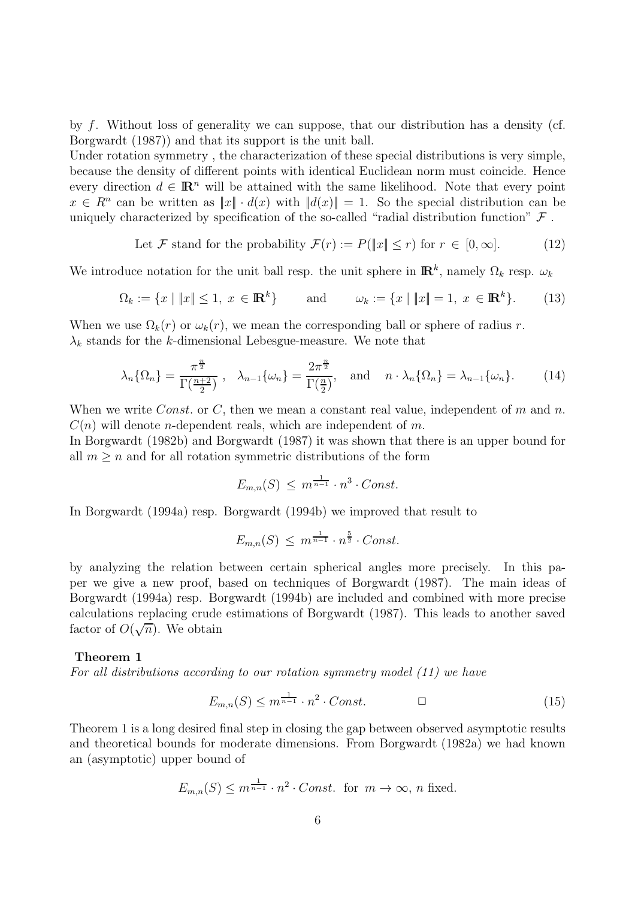by f. Without loss of generality we can suppose, that our distribution has a density (cf. Borgwardt (1987)) and that its support is the unit ball.

Under rotation symmetry , the characterization of these special distributions is very simple, because the density of different points with identical Euclidean norm must coincide. Hence every direction  $d \in \mathbb{R}^n$  will be attained with the same likelihood. Note that every point  $x \in R^n$  can be written as  $||x|| \cdot d(x)$  with  $||d(x)|| = 1$ . So the special distribution can be uniquely characterized by specification of the so-called "radial distribution function"  $\mathcal F$ .

Let 
$$
\mathcal{F}
$$
 stand for the probability  $\mathcal{F}(r) := P(\Vert x \Vert \le r)$  for  $r \in [0, \infty]$ . (12)

We introduce notation for the unit ball resp. the unit sphere in  $\mathbb{R}^k$ , namely  $\Omega_k$  resp.  $\omega_k$ 

$$
\Omega_k := \{ x \mid \|x\| \le 1, \ x \in \mathbb{R}^k \} \qquad \text{and} \qquad \omega_k := \{ x \mid \|x\| = 1, \ x \in \mathbb{R}^k \}. \tag{13}
$$

When we use  $\Omega_k(r)$  or  $\omega_k(r)$ , we mean the corresponding ball or sphere of radius r.  $\lambda_k$  stands for the k-dimensional Lebesgue-measure. We note that

$$
\lambda_n\{\Omega_n\} = \frac{\pi^{\frac{n}{2}}}{\Gamma(\frac{n+2}{2})}, \quad \lambda_{n-1}\{\omega_n\} = \frac{2\pi^{\frac{n}{2}}}{\Gamma(\frac{n}{2})}, \quad \text{and} \quad n \cdot \lambda_n\{\Omega_n\} = \lambda_{n-1}\{\omega_n\}.
$$
 (14)

When we write *Const.* or C, then we mean a constant real value, independent of m and n.  $C(n)$  will denote *n*-dependent reals, which are independent of m.

In Borgwardt (1982b) and Borgwardt (1987) it was shown that there is an upper bound for all  $m \geq n$  and for all rotation symmetric distributions of the form

$$
E_{m,n}(S) \leq m^{\frac{1}{n-1}} \cdot n^3 \cdot Const.
$$

In Borgwardt (1994a) resp. Borgwardt (1994b) we improved that result to

$$
E_{m,n}(S) \leq m^{\frac{1}{n-1}} \cdot n^{\frac{5}{2}} \cdot Const.
$$

by analyzing the relation between certain spherical angles more precisely. In this paper we give a new proof, based on techniques of Borgwardt (1987). The main ideas of Borgwardt (1994a) resp. Borgwardt (1994b) are included and combined with more precise calculations replacing crude estimations of Borgwardt (1987). This leads to another saved calculations replacing crude<br>factor of  $O(\sqrt{n})$ . We obtain

#### **Theorem 1**

For all distributions according to our rotation symmetry model (11) we have

$$
E_{m,n}(S) \le m^{\frac{1}{n-1}} \cdot n^2 \cdot Const. \tag{15}
$$

Theorem 1 is a long desired final step in closing the gap between observed asymptotic results and theoretical bounds for moderate dimensions. From Borgwardt (1982a) we had known an (asymptotic) upper bound of

$$
E_{m,n}(S) \le m^{\frac{1}{n-1}} \cdot n^2 \cdot Const. \text{ for } m \to \infty, n \text{ fixed.}
$$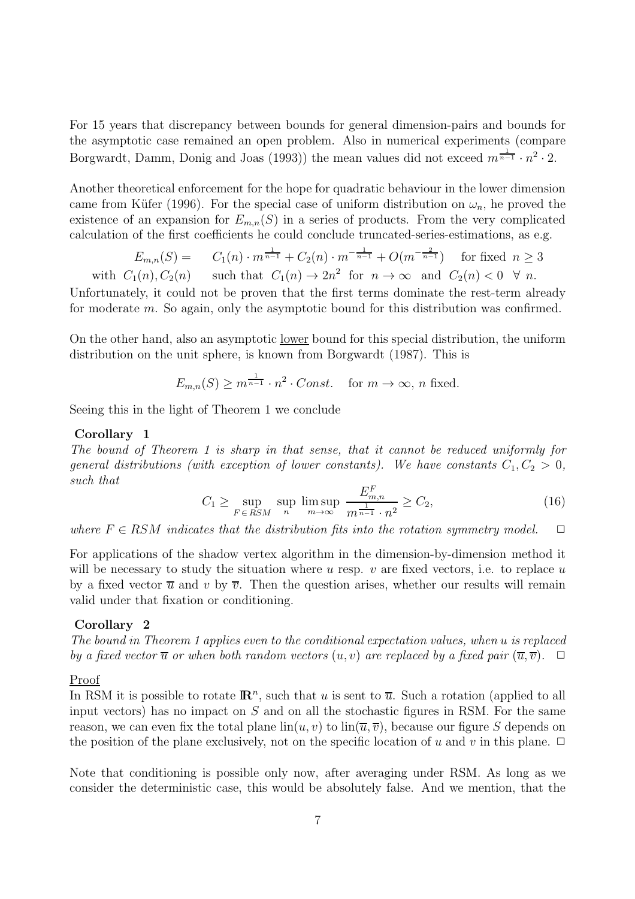For 15 years that discrepancy between bounds for general dimension-pairs and bounds for the asymptotic case remained an open problem. Also in numerical experiments (compare Borgwardt, Damm, Donig and Joas (1993)) the mean values did not exceed  $m^{\frac{1}{n-1}} \cdot n^2 \cdot 2$ .

Another theoretical enforcement for the hope for quadratic behaviour in the lower dimension came from Küfer (1996). For the special case of uniform distribution on  $\omega_n$ , he proved the existence of an expansion for  $E_{m,n}(S)$  in a series of products. From the very complicated calculation of the first coefficients he could conclude truncated-series-estimations, as e.g.

$$
E_{m,n}(S) = C_1(n) \cdot m^{\frac{1}{n-1}} + C_2(n) \cdot m^{-\frac{1}{n-1}} + O(m^{-\frac{2}{n-1}})
$$
 for fixed  $n \ge 3$   
with  $C_1(n), C_2(n)$  such that  $C_1(n) \to 2n^2$  for  $n \to \infty$  and  $C_2(n) < 0 \quad \forall n$ .

Unfortunately, it could not be proven that the first terms dominate the rest-term already for moderate m. So again, only the asymptotic bound for this distribution was confirmed.

On the other hand, also an asymptotic lower bound for this special distribution, the uniform distribution on the unit sphere, is known from Borgwardt (1987). This is

$$
E_{m,n}(S) \ge m^{\frac{1}{n-1}} \cdot n^2 \cdot Const. \quad \text{for } m \to \infty, n \text{ fixed.}
$$

Seeing this in the light of Theorem 1 we conclude

#### **Corollary 1**

The bound of Theorem 1 is sharp in that sense, that it cannot be reduced uniformly for general distributions (with exception of lower constants). We have constants  $C_1, C_2 > 0$ , such that

$$
C_1 \ge \sup_{F \in RSM} \sup_{n} \limsup_{m \to \infty} \frac{E_{m,n}^F}{m^{\frac{1}{n-1}} \cdot n^2} \ge C_2,
$$
 (16)

where  $F \in RSM$  indicates that the distribution fits into the rotation symmetry model.  $\Box$ 

For applications of the shadow vertex algorithm in the dimension-by-dimension method it will be necessary to study the situation where u resp.  $v$  are fixed vectors, i.e. to replace u by a fixed vector  $\overline{u}$  and v by  $\overline{v}$ . Then the question arises, whether our results will remain valid under that fixation or conditioning.

#### **Corollary 2**

The bound in Theorem 1 applies even to the conditional expectation values, when u is replaced by a fixed vector  $\overline{u}$  or when both random vectors  $(u, v)$  are replaced by a fixed pair  $(\overline{u}, \overline{v})$ .  $\Box$ 

#### Proof

In RSM it is possible to rotate  $\mathbb{R}^n$ , such that u is sent to  $\overline{u}$ . Such a rotation (applied to all input vectors) has no impact on  $S$  and on all the stochastic figures in RSM. For the same reason, we can even fix the total plane  $\lim(u, v)$  to  $\lim(\overline{u}, \overline{v})$ , because our figure S depends on the position of the plane exclusively, not on the specific location of u and v in this plane.  $\Box$ 

Note that conditioning is possible only now, after averaging under RSM. As long as we consider the deterministic case, this would be absolutely false. And we mention, that the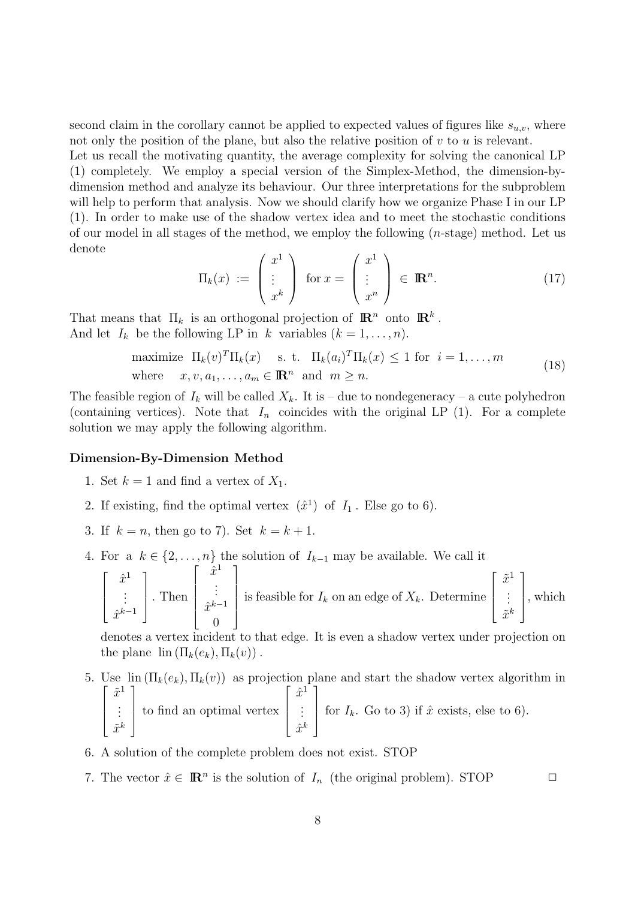second claim in the corollary cannot be applied to expected values of figures like  $s_{u,v}$ , where not only the position of the plane, but also the relative position of  $v$  to  $u$  is relevant.

Let us recall the motivating quantity, the average complexity for solving the canonical LP (1) completely. We employ a special version of the Simplex-Method, the dimension-bydimension method and analyze its behaviour. Our three interpretations for the subproblem will help to perform that analysis. Now we should clarify how we organize Phase I in our LP (1). In order to make use of the shadow vertex idea and to meet the stochastic conditions of our model in all stages of the method, we employ the following  $(n\text{-stage})$  method. Let us denote

$$
\Pi_k(x) := \begin{pmatrix} x^1 \\ \vdots \\ x^k \end{pmatrix} \text{ for } x = \begin{pmatrix} x^1 \\ \vdots \\ x^n \end{pmatrix} \in \mathbb{R}^n.
$$
 (17)

That means that  $\Pi_k$  is an orthogonal projection of  $\mathbb{R}^n$  onto  $\mathbb{R}^k$ . And let  $I_k$  be the following LP in k variables  $(k = 1, \ldots, n)$ .

maximize 
$$
\Pi_k(v)^T \Pi_k(x)
$$
 s. t.  $\Pi_k(a_i)^T \Pi_k(x) \le 1$  for  $i = 1, ..., m$   
where  $x, v, a_1, ..., a_m \in \mathbb{R}^n$  and  $m \ge n$ . (18)

The feasible region of  $I_k$  will be called  $X_k$ . It is – due to nondegeneracy – a cute polyhedron (containing vertices). Note that  $I_n$  coincides with the original LP (1). For a complete solution we may apply the following algorithm.

#### **Dimension-By-Dimension Method**

- 1. Set  $k = 1$  and find a vertex of  $X_1$ .
- 2. If existing, find the optimal vertex  $(\hat{x}^1)$  of  $I_1$ . Else go to 6).
- 3. If  $k = n$ , then go to 7). Set  $k = k + 1$ .
- 4. For a  $k \in \{2, ..., n\}$  the solution of  $I_{k-1}$  may be available. We call it

$$
\begin{bmatrix} \hat{x}^1 \\ \vdots \\ \hat{x}^{k-1} \end{bmatrix}.
$$
 Then 
$$
\begin{bmatrix} x^1 \\ \vdots \\ \hat{x}^{k-1} \\ 0 \end{bmatrix}
$$
 is feasible for  $I_k$  on an edge of  $X_k$ . Determine 
$$
\begin{bmatrix} \tilde{x}^1 \\ \vdots \\ \tilde{x}^k \end{bmatrix}
$$
, which

denotes a vertex incident to that edge. It is even a shadow vertex under projection on the plane  $\text{lin} (\Pi_k(e_k), \Pi_k(v))$ .

- 5. Use  $\lim_{k \to \infty} (\Pi_k(e_k), \Pi_k(v))$  as projection plane and start the shadow vertex algorithm in  $\sqrt{ }$  $\overline{\phantom{a}}$  $\tilde{x}^1$ . . .  $\tilde{x}^k$ 1  $\overline{\phantom{a}}$ to find an optimal vertex  $\sqrt{ }$  $\Big\}$  $\hat{x}^1$ . . .  $\hat{x}^k$ 1 for  $I_k$ . Go to 3) if  $\hat{x}$  exists, else to 6).
- 6. A solution of the complete problem does not exist. STOP
- 7. The vector  $\hat{x} \in \mathbb{R}^n$  is the solution of  $I_n$  (the original problem). STOP  $\Box$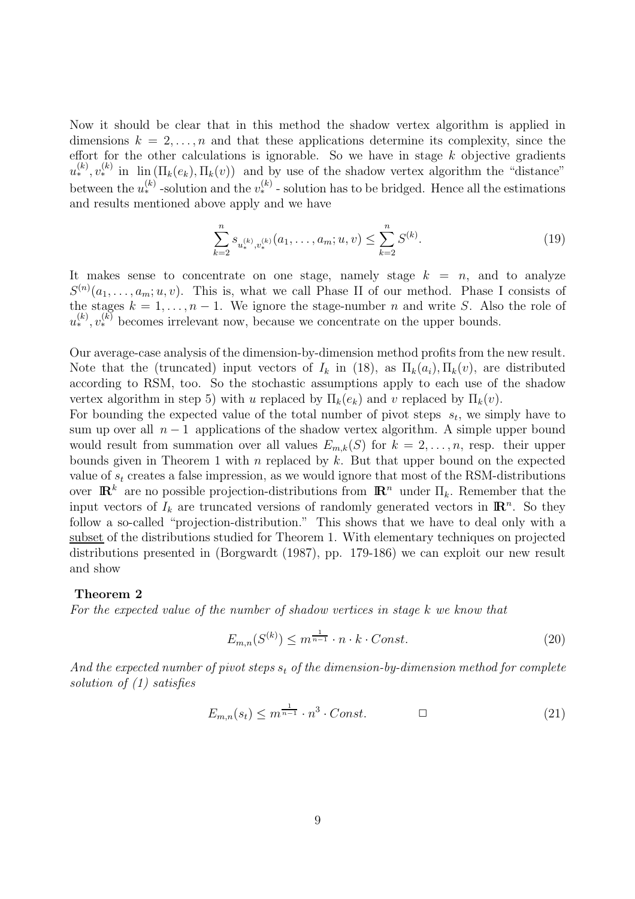Now it should be clear that in this method the shadow vertex algorithm is applied in dimensions  $k = 2, \ldots, n$  and that these applications determine its complexity, since the effort for the other calculations is ignorable. So we have in stage  $k$  objective gradients  $u_{*}^{(k)}, v_{*}^{(k)}$  in  $\lim_{k \to \infty} (\Pi_{k}(e_{k}), \Pi_{k}(v))$  and by use of the shadow vertex algorithm the "distance" between the  $u_{*}^{(k)}$  -solution and the  $v_{*}^{(k)}$  -solution has to be bridged. Hence all the estimations and results mentioned above apply and we have

$$
\sum_{k=2}^{n} s_{u_*^{(k)}, v_*^{(k)}}(a_1, \dots, a_m; u, v) \le \sum_{k=2}^{n} S^{(k)}.
$$
\n(19)

It makes sense to concentrate on one stage, namely stage  $k = n$ , and to analyze  $S^{(n)}(a_1,\ldots,a_m;u,v)$ . This is, what we call Phase II of our method. Phase I consists of the stages  $k = 1, ..., n - 1$ . We ignore the stage-number *n* and write *S*. Also the role of  $u_*^{(k)}$ ,  $v_*^{(k)}$  becomes irrelevant now, because we concentrate on the upper bounds.

Our average-case analysis of the dimension-by-dimension method profits from the new result. Note that the (truncated) input vectors of  $I_k$  in (18), as  $\Pi_k(a_i), \Pi_k(v)$ , are distributed according to RSM, too. So the stochastic assumptions apply to each use of the shadow vertex algorithm in step 5) with u replaced by  $\Pi_k(e_k)$  and v replaced by  $\Pi_k(v)$ .

For bounding the expected value of the total number of pivot steps  $s_t$ , we simply have to sum up over all  $n-1$  applications of the shadow vertex algorithm. A simple upper bound would result from summation over all values  $E_{m,k}(S)$  for  $k = 2, \ldots, n$ , resp. their upper bounds given in Theorem 1 with n replaced by  $k$ . But that upper bound on the expected value of  $s_t$  creates a false impression, as we would ignore that most of the RSM-distributions over  $\mathbb{R}^k$  are no possible projection-distributions from  $\mathbb{R}^n$  under  $\Pi_k$ . Remember that the input vectors of  $I_k$  are truncated versions of randomly generated vectors in  $\mathbb{R}^n$ . So they follow a so-called "projection-distribution." This shows that we have to deal only with a subset of the distributions studied for Theorem 1. With elementary techniques on projected distributions presented in (Borgwardt (1987), pp. 179-186) we can exploit our new result and show

#### **Theorem 2**

For the expected value of the number of shadow vertices in stage k we know that

$$
E_{m,n}(S^{(k)}) \le m^{\frac{1}{n-1}} \cdot n \cdot k \cdot Const. \tag{20}
$$

And the expected number of pivot steps  $s_t$  of the dimension-by-dimension method for complete solution of (1) satisfies

$$
E_{m,n}(s_t) \le m^{\frac{1}{n-1}} \cdot n^3 \cdot Const. \qquad \qquad \Box \tag{21}
$$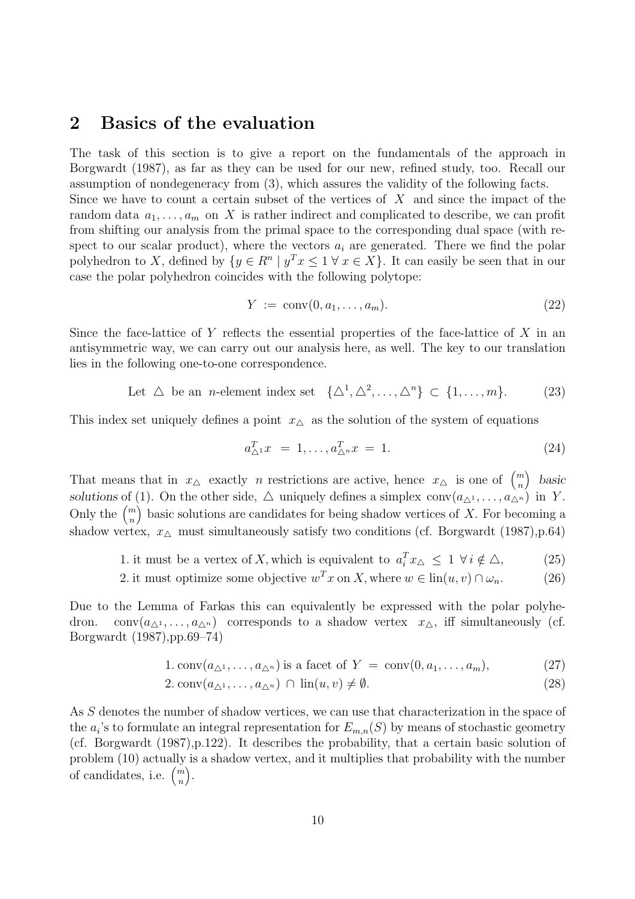### **2 Basics of the evaluation**

The task of this section is to give a report on the fundamentals of the approach in Borgwardt (1987), as far as they can be used for our new, refined study, too. Recall our assumption of nondegeneracy from (3), which assures the validity of the following facts. Since we have to count a certain subset of the vertices of  $X$  and since the impact of the

random data  $a_1, \ldots, a_m$  on X is rather indirect and complicated to describe, we can profit from shifting our analysis from the primal space to the corresponding dual space (with respect to our scalar product), where the vectors  $a_i$  are generated. There we find the polar polyhedron to X, defined by  $\{y \in \mathbb{R}^n \mid y^T x \leq 1 \forall x \in X\}$ . It can easily be seen that in our case the polar polyhedron coincides with the following polytope:

$$
Y := \text{conv}(0, a_1, \dots, a_m). \tag{22}
$$

Since the face-lattice of Y reflects the essential properties of the face-lattice of X in an antisymmetric way, we can carry out our analysis here, as well. The key to our translation lies in the following one-to-one correspondence.

Let 
$$
\triangle
$$
 be an *n*-element index set  $\{\triangle^1, \triangle^2, ..., \triangle^n\} \subset \{1, ..., m\}.$  (23)

This index set uniquely defines a point  $x_{\Delta}$  as the solution of the system of equations

$$
a_{\Delta^1}^T x = 1, \dots, a_{\Delta^n}^T x = 1. \tag{24}
$$

That means that in  $x_{\Delta}$  exactly *n* restrictions are active, hence  $x_{\Delta}$  is one of  $\binom{m}{n}$  basic solutions of (1). On the other side,  $\triangle$  uniquely defines a simplex  $conv(a_{\triangle^1}, \ldots, a_{\triangle^n})$  in Y. Only the  $\binom{m}{n}$  basic solutions are candidates for being shadow vertices of X. For becoming a shadow vertex,  $x_{\Delta}$  must simultaneously satisfy two conditions (cf. Borgwardt (1987), p.64)

- 1. it must be a vertex of X, which is equivalent to  $a_i^T x_{\Delta} \leq 1 \ \forall i \notin \Delta$ , (25)
- 2. it must optimize some objective  $w^Tx$  on X, where  $w \in \text{lin}(u, v) \cap \omega_n$ . (26)

Due to the Lemma of Farkas this can equivalently be expressed with the polar polyhedron. conv $(a_{\Delta^1},...,a_{\Delta^n})$  corresponds to a shadow vertex  $x_{\Delta}$ , iff simultaneously (cf. Borgwardt (1987),pp.69–74)

1. 
$$
\text{conv}(a_{\Delta^1}, \ldots, a_{\Delta^n})
$$
 is a facet of  $Y = \text{conv}(0, a_1, \ldots, a_m)$ , (27)

$$
2. \operatorname{conv}(a_{\Delta^1}, \dots, a_{\Delta^n}) \cap \operatorname{lin}(u, v) \neq \emptyset. \tag{28}
$$

As S denotes the number of shadow vertices, we can use that characterization in the space of the  $a_i$ 's to formulate an integral representation for  $E_{m,n}(S)$  by means of stochastic geometry (cf. Borgwardt (1987),p.122). It describes the probability, that a certain basic solution of problem (10) actually is a shadow vertex, and it multiplies that probability with the number of candidates, i.e.  $\binom{m}{n}$ .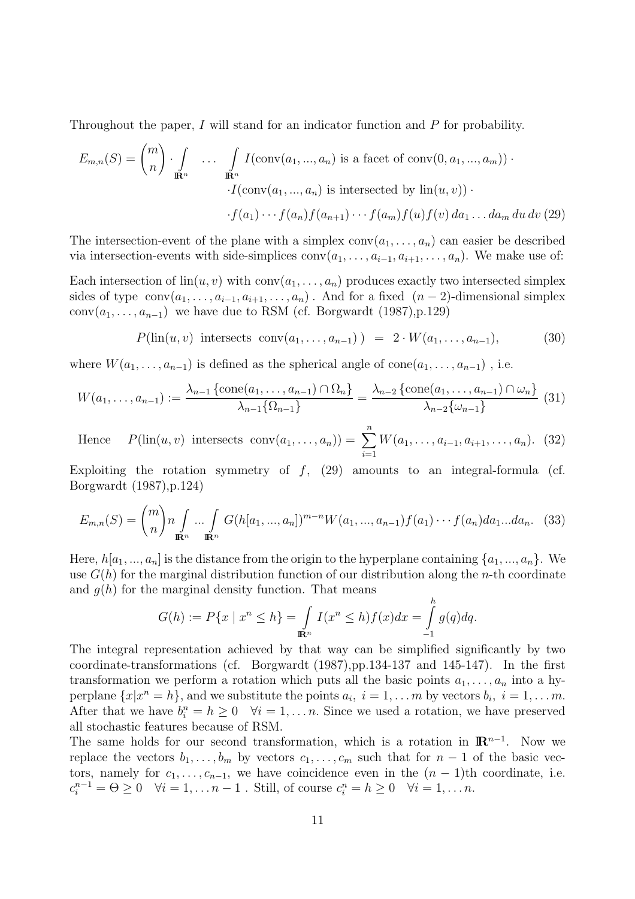Throughout the paper,  $I$  will stand for an indicator function and  $P$  for probability.

$$
E_{m,n}(S) = {m \choose n} \cdot \int_{\mathbb{R}^n} \dots \int_{\mathbb{R}^n} I(\text{conv}(a_1, ..., a_n) \text{ is a facet of } \text{conv}(0, a_1, ..., a_m)) \cdot
$$

$$
\cdot I(\text{conv}(a_1, ..., a_n) \text{ is intersected by } \text{lin}(u, v)) \cdot
$$

$$
\cdot f(a_1) \cdot \cdot \cdot f(a_n) f(a_{n+1}) \cdot \cdot \cdot f(a_m) f(u) f(v) da_1 \dots da_m du dv (29)
$$

The intersection-event of the plane with a simplex  $conv(a_1,...,a_n)$  can easier be described via intersection-events with side-simplices  $conv(a_1, \ldots, a_{i-1}, a_{i+1}, \ldots, a_n)$ . We make use of:

Each intersection of  $\text{lin}(u, v)$  with  $\text{conv}(a_1, \ldots, a_n)$  produces exactly two intersected simplex sides of type  $conv(a_1, \ldots, a_{i-1}, a_{i+1}, \ldots, a_n)$ . And for a fixed  $(n-2)$ -dimensional simplex conv $(a_1, \ldots, a_{n-1})$  we have due to RSM (cf. Borgwardt (1987),p.129)

$$
P(\text{lin}(u, v) \text{ intersects conv}(a_1, \ldots, a_{n-1})) = 2 \cdot W(a_1, \ldots, a_{n-1}), \quad (30)
$$

where  $W(a_1,\ldots,a_{n-1})$  is defined as the spherical angle of cone $(a_1,\ldots,a_{n-1})$ , i.e.

$$
W(a_1, \ldots, a_{n-1}) := \frac{\lambda_{n-1} \left\{ \text{cone}(a_1, \ldots, a_{n-1}) \cap \Omega_n \right\}}{\lambda_{n-1} \left\{ \Omega_{n-1} \right\}} = \frac{\lambda_{n-2} \left\{ \text{cone}(a_1, \ldots, a_{n-1}) \cap \omega_n \right\}}{\lambda_{n-2} \left\{ \omega_{n-1} \right\}} \tag{31}
$$

Hence 
$$
P(\text{lin}(u, v) \text{ intersects conv}(a_1, ..., a_n)) = \sum_{i=1}^{n} W(a_1, ..., a_{i-1}, a_{i+1}, ..., a_n).
$$
 (32)

Exploiting the rotation symmetry of  $f$ , (29) amounts to an integral-formula (cf. Borgwardt (1987),p.124)

$$
E_{m,n}(S) = {m \choose n} n \int_{\mathbb{R}^n} \dots \int_{\mathbb{R}^n} G(h[a_1, ..., a_n])^{m-n} W(a_1, ..., a_{n-1}) f(a_1) \dots f(a_n) da_1 \dots da_n. \tag{33}
$$

Here,  $h[a_1, ..., a_n]$  is the distance from the origin to the hyperplane containing  $\{a_1, ..., a_n\}$ . We use  $G(h)$  for the marginal distribution function of our distribution along the *n*-th coordinate and  $q(h)$  for the marginal density function. That means  $\overline{L}$ 

$$
G(h) := P\{x \mid x^n \le h\} = \int_{\mathbb{R}^n} I(x^n \le h) f(x) dx = \int_{-1}^h g(q) dq.
$$

The integral representation achieved by that way can be simplified significantly by two coordinate-transformations (cf. Borgwardt (1987),pp.134-137 and 145-147). In the first transformation we perform a rotation which puts all the basic points  $a_1, \ldots, a_n$  into a hyperplane  $\{x|x^n = h\}$ , and we substitute the points  $a_i, i = 1, \ldots m$  by vectors  $b_i, i = 1, \ldots m$ . After that we have  $b_i^n = h \geq 0 \quad \forall i = 1, ..., n$ . Since we used a rotation, we have preserved all stochastic features because of RSM.

The same holds for our second transformation, which is a rotation in  $\mathbb{R}^{n-1}$ . Now we replace the vectors  $b_1, \ldots, b_m$  by vectors  $c_1, \ldots, c_m$  such that for  $n-1$  of the basic vectors, namely for  $c_1, \ldots, c_{n-1}$ , we have coincidence even in the  $(n-1)$ th coordinate, i.e.  $c_i^{n-1} = \Theta \geq 0 \quad \forall i = 1, \ldots n-1$ . Still, of course  $c_i^n = h \geq 0 \quad \forall i = 1, \ldots n$ .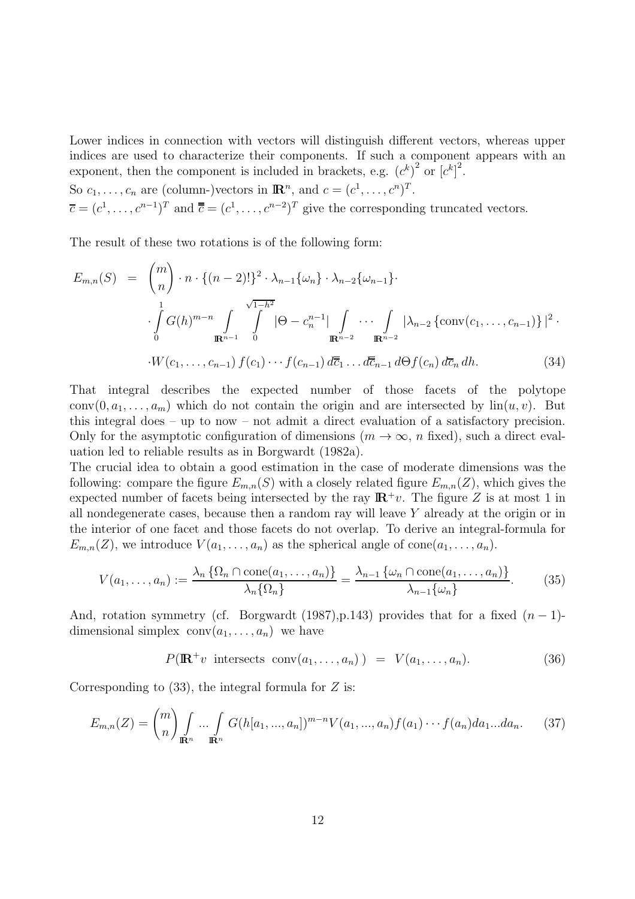Lower indices in connection with vectors will distinguish different vectors, whereas upper indices are used to characterize their components. If such a component appears with an exponent, then the component is included in brackets, e.g.  $(c^k)^2$  or  $[c^k]^2$ .

So  $c_1, \ldots, c_n$  are (column-)vectors in  $\mathbb{R}^n$ , and  $c = (c^1, \ldots, c^n)^T$ .  $\overline{c} = (c^1, \ldots, c^{n-1})^T$  and  $\overline{\overline{c}} = (c^1, \ldots, c^{n-2})^T$  give the corresponding truncated vectors.

The result of these two rotations is of the following form:

$$
E_{m,n}(S) = {m \choose n} \cdot n \cdot \{(n-2)!\}^2 \cdot \lambda_{n-1} \{\omega_n\} \cdot \lambda_{n-2} \{\omega_{n-1}\} \cdot \lambda_{n-2} \{\omega_{n-1}\} \cdot \int_{0}^{1} G(h)^{m-n} \int_{\mathbb{R}^{n-1}} \int_{0}^{\sqrt{1-h^2}} |\Theta - c_n^{n-1}| \int_{\mathbb{R}^{n-2}} \cdots \int_{\mathbb{R}^{n-2}} |\lambda_{n-2} \{\operatorname{conv}(c_1, \ldots, c_{n-1})\}|^2 \cdot \cdot W(c_1, \ldots, c_{n-1}) f(c_1) \cdots f(c_{n-1}) d\overline{c}_1 \ldots d\overline{c}_{n-1} d\Theta f(c_n) d\overline{c}_n dh.
$$
 (34)

That integral describes the expected number of those facets of the polytope conv $(0, a_1, \ldots, a_m)$  which do not contain the origin and are intersected by  $\text{lin}(u, v)$ . But this integral does – up to now – not admit a direct evaluation of a satisfactory precision. Only for the asymptotic configuration of dimensions  $(m \to \infty, n$  fixed), such a direct evaluation led to reliable results as in Borgwardt (1982a).

The crucial idea to obtain a good estimation in the case of moderate dimensions was the following: compare the figure  $E_{m,n}(S)$  with a closely related figure  $E_{m,n}(Z)$ , which gives the expected number of facets being intersected by the ray  $\mathbb{R}^+v$ . The figure Z is at most 1 in all nondegenerate cases, because then a random ray will leave Y already at the origin or in the interior of one facet and those facets do not overlap. To derive an integral-formula for  $E_{m,n}(Z)$ , we introduce  $V(a_1,\ldots,a_n)$  as the spherical angle of cone $(a_1,\ldots,a_n)$ .

$$
V(a_1, \ldots, a_n) := \frac{\lambda_n \left\{ \Omega_n \cap \text{cone}(a_1, \ldots, a_n) \right\}}{\lambda_n \left\{ \Omega_n \right\}} = \frac{\lambda_{n-1} \left\{ \omega_n \cap \text{cone}(a_1, \ldots, a_n) \right\}}{\lambda_{n-1} \left\{ \omega_n \right\}}.
$$
 (35)

And, rotation symmetry (cf. Borgwardt (1987),p.143) provides that for a fixed  $(n-1)$ dimensional simplex  $conv(a_1,...,a_n)$  we have

$$
P(\mathbb{R}^+v \text{ intersects conv}(a_1,\ldots,a_n)) = V(a_1,\ldots,a_n). \tag{36}
$$

Corresponding to  $(33)$ , the integral formula for Z is:

$$
E_{m,n}(Z) = {m \choose n} \int_{\mathbb{R}^n} \dots \int_{\mathbb{R}^n} G(h[a_1, ..., a_n])^{m-n} V(a_1, ..., a_n) f(a_1) \dots f(a_n) da_1 \dots da_n.
$$
 (37)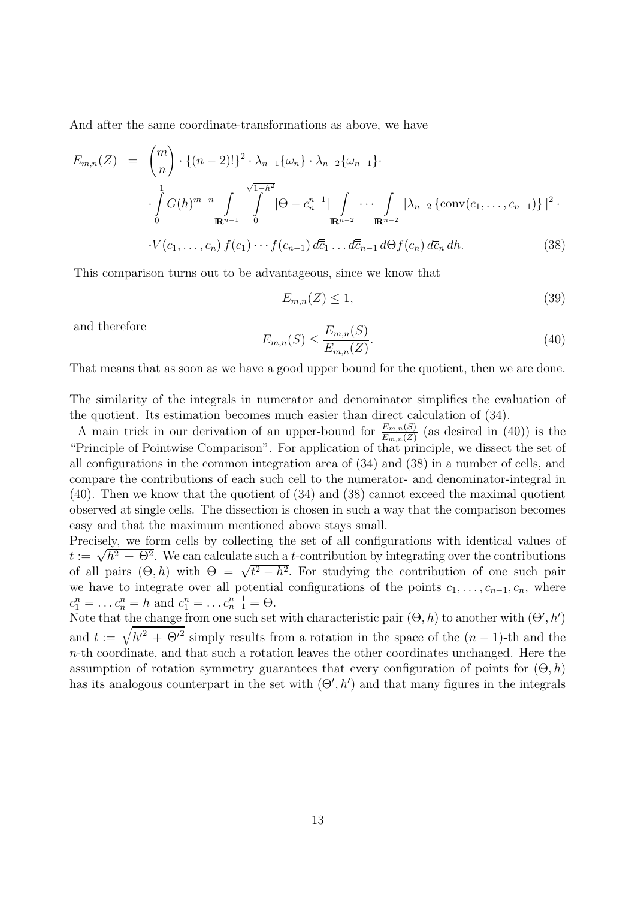And after the same coordinate-transformations as above, we have

$$
E_{m,n}(Z) = {m \choose n} \cdot \{(n-2)!\}^2 \cdot \lambda_{n-1} \{\omega_n\} \cdot \lambda_{n-2} \{\omega_{n-1}\} \cdot \n\cdot \int_{0}^{1} G(h)^{m-n} \int_{\mathbb{R}^{n-1}} \int_{0}^{\sqrt{1-h^2}} |\Theta - c_n^{n-1}| \int_{\mathbb{R}^{n-2}} \cdots \int_{\mathbb{R}^{n-2}} |\lambda_{n-2} \{\operatorname{conv}(c_1, \ldots, c_{n-1})\}|^2 \cdot \n\cdot V(c_1, \ldots, c_n) f(c_1) \cdots f(c_{n-1}) d\overline{c}_1 \ldots d\overline{c}_{n-1} d\Theta f(c_n) d\overline{c}_n dh.
$$
 (38)

This comparison turns out to be advantageous, since we know that

$$
E_{m,n}(Z) \le 1,\tag{39}
$$

and therefore

$$
E_{m,n}(S) \le \frac{E_{m,n}(S)}{E_{m,n}(Z)}.\tag{40}
$$

That means that as soon as we have a good upper bound for the quotient, then we are done.

The similarity of the integrals in numerator and denominator simplifies the evaluation of the quotient. Its estimation becomes much easier than direct calculation of (34).

A main trick in our derivation of an upper-bound for  $\frac{E_{m,n}(S)}{E_{m,n}(Z)}$  (as desired in (40)) is the "Principle of Pointwise Comparison". For application of that principle, we dissect the set of all configurations in the common integration area of (34) and (38) in a number of cells, and compare the contributions of each such cell to the numerator- and denominator-integral in (40). Then we know that the quotient of (34) and (38) cannot exceed the maximal quotient observed at single cells. The dissection is chosen in such a way that the comparison becomes easy and that the maximum mentioned above stays small.

Precisely, we form cells by collecting the set of all configurations with identical values of  $t := \sqrt{h^2 + \Theta^2}$ . We can calculate such a t-contribution by integrating over the contributions of all pairs  $(\Theta, h)$  with  $\Theta = \sqrt{t^2 - h^2}$ . For studying the contribution of one such pair we have to integrate over all potential configurations of the points  $c_1, \ldots, c_{n-1}, c_n$ , where  $c_1^n = \dots c_n^n = h$  and  $c_1^n = \dots c_{n-1}^{n-1} = \Theta$ .<br>Note that the change from one such set with characteristic pair  $(\Theta, h)$  to another with  $(\Theta', h')$ 

and  $t := \sqrt{h'^2 + \Theta'^2}$  simply results from a rotation in the space of the  $(n-1)$ -th and the  $n$ -th coordinate, and that such a rotation leaves the other coordinates unchanged. Here the assumption of rotation symmetry guarantees that every configuration of points for  $(\Theta, h)$ has its analogous counterpart in the set with  $(\Theta', h')$  and that many figures in the integrals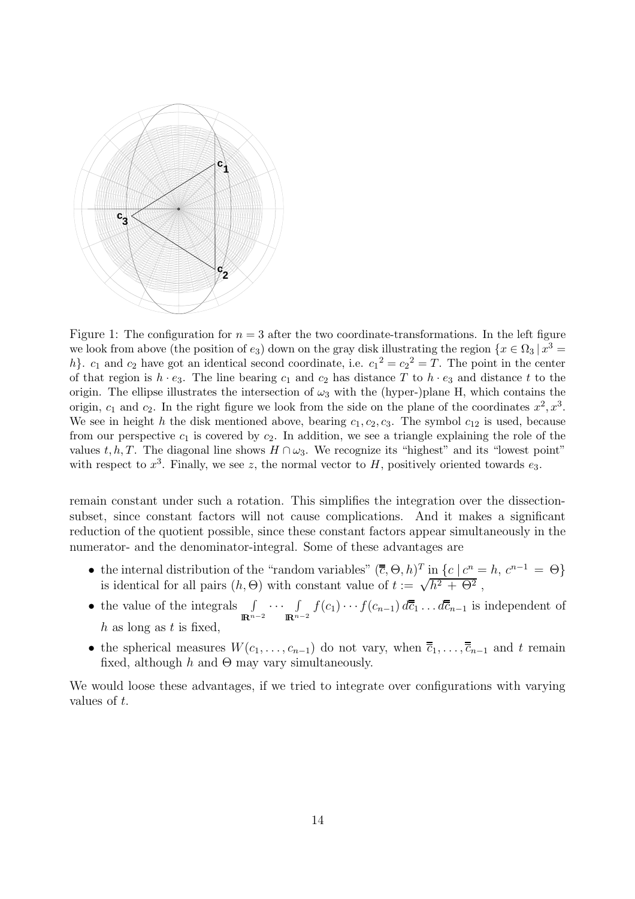

Figure 1: The configuration for  $n = 3$  after the two coordinate-transformations. In the left figure we look from above (the position of  $e_3$ ) down on the gray disk illustrating the region  $\{x \in \Omega_3 \mid x^3 =$ h}.  $c_1$  and  $c_2$  have got an identical second coordinate, i.e.  $c_1^2 = c_2^2 = T$ . The point in the center of that region is  $h \cdot e_3$ . The line bearing  $c_1$  and  $c_2$  has distance T to  $h \cdot e_3$  and distance t to the origin. The ellipse illustrates the intersection of  $\omega_3$  with the (hyper-)plane H, which contains the origin,  $c_1$  and  $c_2$ . In the right figure we look from the side on the plane of the coordinates  $x^2, x^3$ . We see in height h the disk mentioned above, bearing  $c_1, c_2, c_3$ . The symbol  $c_{12}$  is used, because from our perspective  $c_1$  is covered by  $c_2$ . In addition, we see a triangle explaining the role of the values t, h, T. The diagonal line shows  $H \cap \omega_3$ . We recognize its "highest" and its "lowest point" with respect to  $x^3$ . Finally, we see z, the normal vector to H, positively oriented towards  $e_3$ .

remain constant under such a rotation. This simplifies the integration over the dissectionsubset, since constant factors will not cause complications. And it makes a significant reduction of the quotient possible, since these constant factors appear simultaneously in the numerator- and the denominator-integral. Some of these advantages are

- the internal distribution of the "random variables"  $(\overline{\overline{c}}, \Theta, h)^T$  in  $\{c \mid c^n = h, c^{n-1} = \Theta\}$  is identical for all pairs  $(h, \Theta)$  with constant value of  $t := \sqrt{h^2 + \Theta^2}$ ,
- the value of the integrals  $\int$ I**R**n−<sup>2</sup>  $\cdots$   $\int$  $\int_{\mathbb{R}^{n-2}} f(c_1) \cdots f(c_{n-1}) d\overline{c}_1 \dots d\overline{c}_{n-1}$  is independent of h as long as t is fixed.
- the spherical measures  $W(c_1,\ldots,c_{n-1})$  do not vary, when  $\overline{\overline{c}}_1,\ldots,\overline{\overline{c}}_{n-1}$  and t remain fixed, although h and  $\Theta$  may vary simultaneously.

We would loose these advantages, if we tried to integrate over configurations with varying values of t.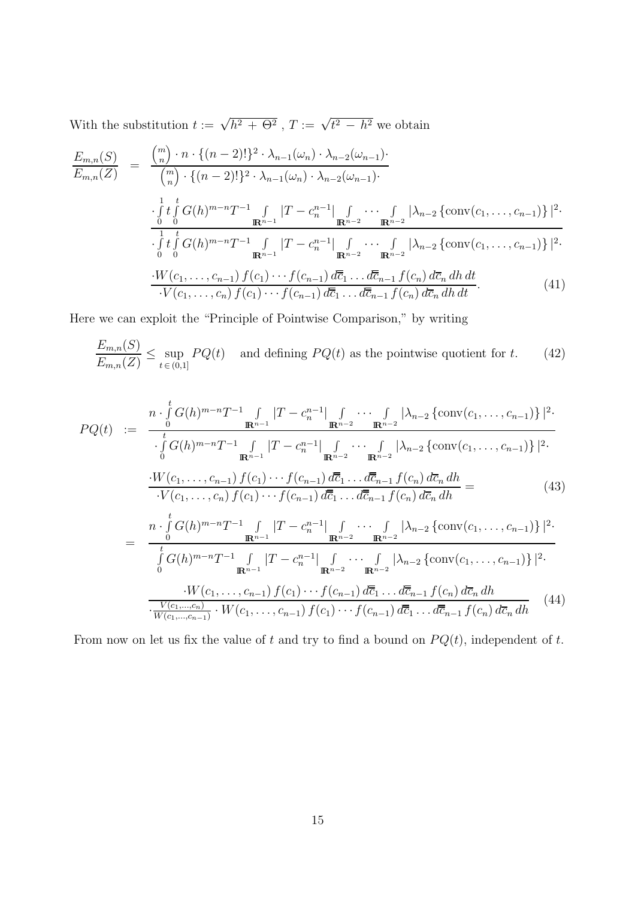With the substitution  $t := \sqrt{h^2 + \Theta^2}$ ,  $T := \sqrt{t^2 - h^2}$  we obtain

$$
\frac{E_{m,n}(S)}{E_{m,n}(Z)} = \frac{\binom{m}{n} \cdot n \cdot \{(n-2)!\}^2 \cdot \lambda_{n-1}(\omega_n) \cdot \lambda_{n-2}(\omega_{n-1})}{\binom{m}{n} \cdot \{(n-2)!\}^2 \cdot \lambda_{n-1}(\omega_n) \cdot \lambda_{n-2}(\omega_{n-1})}
$$
\n
$$
\frac{\int_{0}^{1} t \int_{0}^{t} G(h)^{m-n} T^{-1} \int_{\mathbf{R}^{n-1}} |T - c_n^{n-1}| \int_{\mathbf{R}^{n-2}} \cdots \int_{\mathbf{R}^{n-2}} |\lambda_{n-2} \{\text{conv}(c_1, \dots, c_{n-1})\}|^2 \cdot \frac{\int_{0}^{1} t \int_{0}^{t} G(h)^{m-n} T^{-1} \int_{\mathbf{R}^{n-1}} |T - c_n^{n-1}| \int_{\mathbf{R}^{n-2}} \cdots \int_{\mathbf{R}^{n-2}} |\lambda_{n-2} \{\text{conv}(c_1, \dots, c_{n-1})\}|^2 \cdot \frac{\cdot W(c_1, \dots, c_{n-1}) f(c_1) \cdots f(c_{n-1}) d\overline{c}_1 \cdots d\overline{c}_{n-1} f(c_n) d\overline{c}_n dh dt}{\cdot V(c_1, \dots, c_n) f(c_1) \cdots f(c_{n-1}) d\overline{c}_1 \cdots d\overline{c}_{n-1} f(c_n) d\overline{c}_n dh dt}.
$$
\n(41)

Here we can exploit the "Principle of Pointwise Comparison," by writing

$$
\frac{E_{m,n}(S)}{E_{m,n}(Z)} \le \sup_{t \in (0,1]} PQ(t) \quad \text{and defining } PQ(t) \text{ as the pointwise quotient for } t. \tag{42}
$$

$$
PQ(t) := \frac{n \cdot \int_{0}^{t} G(h)^{m-n} T^{-1} \int_{\mathbb{R}^{n-1}} |T - c_{n}^{n-1}| \int_{\mathbb{R}^{n-2}} \cdots \int_{\mathbb{R}^{n-2}} |\lambda_{n-2} \{\text{conv}(c_{1}, \ldots, c_{n-1})\}|^{2} \cdot \frac{1}{\int_{0}^{t} G(h)^{m-n} T^{-1} \int_{\mathbb{R}^{n-1}} |T - c_{n}^{n-1}| \int_{\mathbb{R}^{n-2}} \cdots \int_{\mathbb{R}^{n-2}} |\lambda_{n-2} \{\text{conv}(c_{1}, \ldots, c_{n-1})\}|^{2} \cdot \frac{1}{\int_{0}^{t} G(h)^{m-n} T^{-1} \int_{\mathbb{R}^{n-1}} |T - c_{n}^{n-1}| \int_{\mathbb{R}^{n-2}} \cdots \int_{\mathbb{R}^{n-2}} |\lambda_{n-2} \{\text{conv}(c_{1}, \ldots, c_{n-1})\}|^{2} \cdot \frac{1}{\int_{0}^{t} G(t, \ldots, c_{n}) f(c_{1}) \cdots f(c_{n-1}) d\overline{c}_{1} \ldots d\overline{c}_{n-1} f(c_{n}) d\overline{c}_{n} dh}{\int_{0}^{t} G(h)^{m-n} T^{-1} \int_{\mathbb{R}^{n-1}} |T - c_{n}^{n-1}| \int_{\mathbb{R}^{n-2}} \cdots \int_{\mathbb{R}^{n-2}} |\lambda_{n-2} \{\text{conv}(c_{1}, \ldots, c_{n-1})\}|^{2} \cdot \frac{1}{\int_{0}^{t} G(h)^{m-n} T^{-1} \int_{\mathbb{R}^{n-1}} |T - c_{n}^{n-1}| \int_{\mathbb{R}^{n-2}} \cdots \int_{\mathbb{R}^{n-2}} |\lambda_{n-2} \{\text{conv}(c_{1}, \ldots, c_{n-1})\}|^{2} \cdot \frac{1}{\int_{0}^{t} G(t, \ldots, c_{n-1}) f(c_{1}) \cdots f(c_{n-1}) d\overline{c}_{1} \ldots d\overline{c}_{n-1} f(c_{n}) d\overline{c}_{n} dh}{\int_{t}^{t} G(c_{1}, \ldots, c_{n-1}) f(c_{
$$

From now on let us fix the value of  $t$  and try to find a bound on  $P Q(t)$ , independent of  $t$ .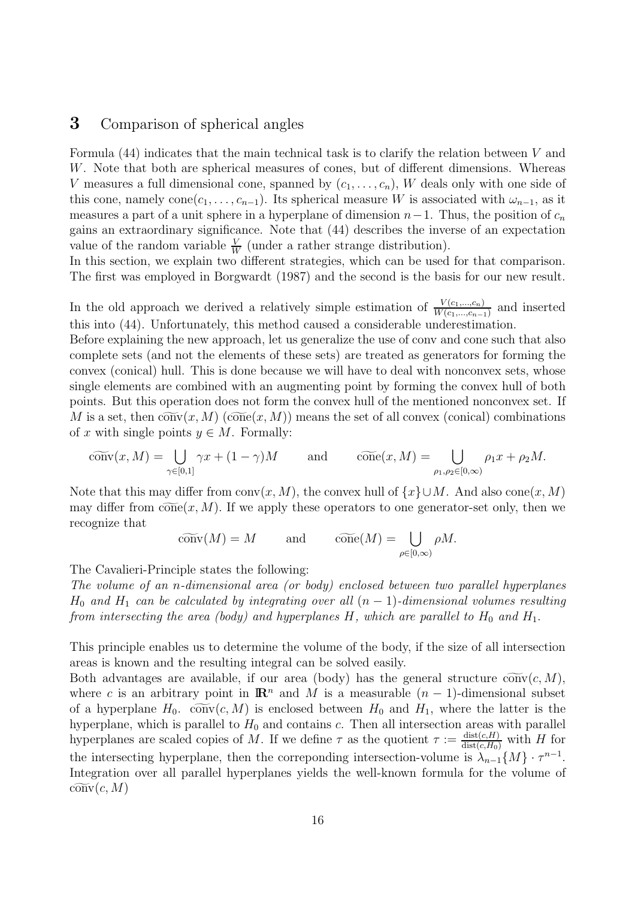### **3** Comparison of spherical angles

Formula  $(44)$  indicates that the main technical task is to clarify the relation between V and W. Note that both are spherical measures of cones, but of different dimensions. Whereas V measures a full dimensional cone, spanned by  $(c_1, \ldots, c_n)$ , W deals only with one side of this cone, namely cone( $c_1, \ldots, c_{n-1}$ ). Its spherical measure W is associated with  $\omega_{n-1}$ , as it measures a part of a unit sphere in a hyperplane of dimension  $n-1$ . Thus, the position of  $c_n$ gains an extraordinary significance. Note that (44) describes the inverse of an expectation value of the random variable  $\frac{V}{W}$  (under a rather strange distribution).<br>In this section, we explain two different strategies, which can be used

In this section, we explain two different strategies, which can be used for that comparison. The first was employed in Borgwardt (1987) and the second is the basis for our new result.

In the old approach we derived a relatively simple estimation of  $\frac{V(c_1,...,c_n)}{W(c_1,...,c_{n-1})}$  and inserted this into (44). Unfortunately, this mathed several a sensiderable undergatimation this into (44). Unfortunately, this method caused a considerable underestimation.

Before explaining the new approach, let us generalize the use of conv and cone such that also complete sets (and not the elements of these sets) are treated as generators for forming the convex (conical) hull. This is done because we will have to deal with nonconvex sets, whose single elements are combined with an augmenting point by forming the convex hull of both points. But this operation does not form the convex hull of the mentioned nonconvex set. If M is a set, then  $\widetilde{\text{conv}}(x, M)$  ( $\widetilde{\text{cone}}(x, M)$ ) means the set of all convex (conical) combinations of x with single points  $y \in M$ . Formally:

$$
\widetilde{\text{conv}}(x, M) = \bigcup_{\gamma \in [0,1]} \gamma x + (1 - \gamma)M \quad \text{and} \quad \widetilde{\text{cone}}(x, M) = \bigcup_{\rho_1, \rho_2 \in [0,\infty)} \rho_1 x + \rho_2 M.
$$

Note that this may differ from conv $(x, M)$ , the convex hull of  $\{x\} \cup M$ . And also cone $(x, M)$ may differ from  $\widetilde{\text{cone}}(x, M)$ . If we apply these operators to one generator-set only, then we recognize that

$$
\widetilde{\text{conv}}(M) = M
$$
 and  $\widetilde{\text{cone}}(M) = \bigcup_{\rho \in [0,\infty)} \rho M.$ 

The Cavalieri-Principle states the following:

The volume of an n-dimensional area (or body) enclosed between two parallel hyperplanes  $H_0$  and  $H_1$  can be calculated by integrating over all  $(n-1)$ -dimensional volumes resulting from intersecting the area (body) and hyperplanes H, which are parallel to  $H_0$  and  $H_1$ .

This principle enables us to determine the volume of the body, if the size of all intersection areas is known and the resulting integral can be solved easily.

Both advantages are available, if our area (body) has the general structure  $\widetilde{\text{conv}}(c, M)$ , where c is an arbitrary point in  $\mathbb{R}^n$  and M is a measurable  $(n-1)$ -dimensional subset of a hyperplane  $H_0$ .  $\widetilde{\text{conv}}(c, M)$  is enclosed between  $H_0$  and  $H_1$ , where the latter is the hyperplane, which is parallel to  $H_0$  and contains c. Then all intersection areas with parallel hyperplanes are scaled copies of M. If we define  $\tau$  as the quotient  $\tau := \frac{\text{dist}(c,H)}{\text{dist}(c,H_0)}$  with H for the intersecting hyperplane, then the correponding intersection-volume is  $\lambda_{n-1}\{M\} \cdot \tau^{n-1}$ . Integration over all parallel hyperplanes yields the well-known formula for the volume of  $\widetilde{\mathrm{conv}}(c, M)$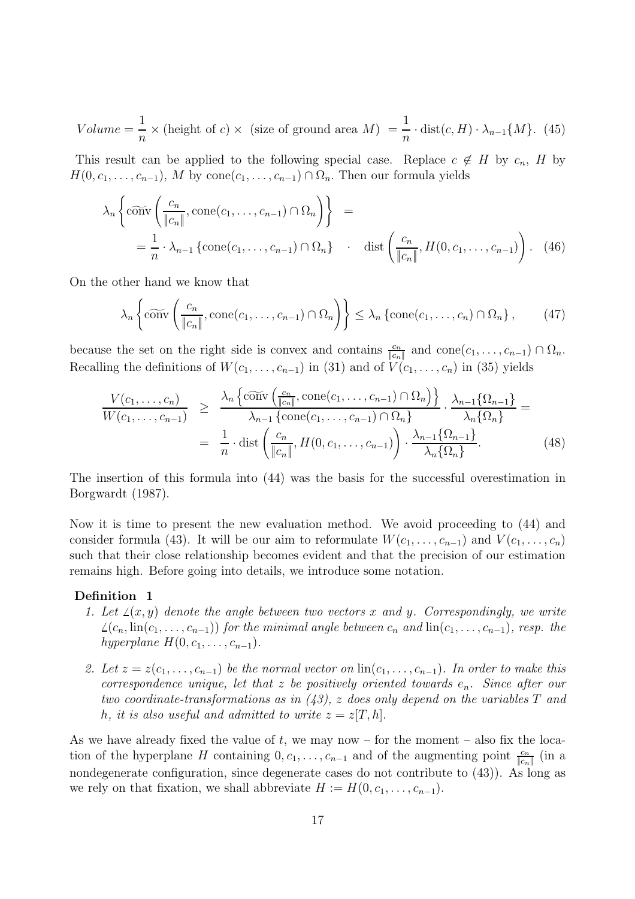$$
Volume = \frac{1}{n} \times (\text{height of } c) \times (\text{size of ground area } M) = \frac{1}{n} \cdot \text{dist}(c, H) \cdot \lambda_{n-1} \{M\}. (45)
$$

This result can be applied to the following special case. Replace  $c \notin H$  by  $c_n$ , H by  $H(0, c_1, \ldots, c_{n-1}), M$  by  $cone(c_1, \ldots, c_{n-1}) \cap \Omega_n$ . Then our formula yields

$$
\lambda_n \left\{ \widetilde{\text{conv}}\left( \frac{c_n}{\|c_n\|}, \text{cone}(c_1, \dots, c_{n-1}) \cap \Omega_n \right) \right\} =
$$
  
=  $\frac{1}{n} \cdot \lambda_{n-1} \left\{ \text{cone}(c_1, \dots, c_{n-1}) \cap \Omega_n \right\} \cdot \text{dist}\left( \frac{c_n}{\|c_n\|}, H(0, c_1, \dots, c_{n-1}) \right).$  (46)

On the other hand we know that

$$
\lambda_n \left\{ c\widetilde{\text{onv}} \left( \frac{c_n}{\|c_n\|}, \text{cone}(c_1, \dots, c_{n-1}) \cap \Omega_n \right) \right\} \le \lambda_n \left\{ \text{cone}(c_1, \dots, c_n) \cap \Omega_n \right\},\tag{47}
$$

because the set on the right side is convex and contains  $\frac{c_n}{|c_n|}$  and  $cone(c_1, \ldots, c_{n-1}) \cap \Omega_n$ .<br>
Describe definitions of  $W(c_1, \ldots, c_{n-1})$  in (21) and of  $V(c_2, \ldots, c_1)$  in (25) rights Recalling the definitions of  $W(c_1,\ldots,c_{n-1})$  in (31) and of  $V(c_1,\ldots,c_n)$  in (35) yields

$$
\frac{V(c_1, \ldots, c_n)}{W(c_1, \ldots, c_{n-1})} \geq \frac{\lambda_n \left\{ \widetilde{\text{conv}}\left(\frac{c_n}{\|c_n\|}, \text{cone}(c_1, \ldots, c_{n-1}) \cap \Omega_n\right) \right\}}{\lambda_{n-1} \left\{ \text{cone}(c_1, \ldots, c_{n-1}) \cap \Omega_n \right\}} \cdot \frac{\lambda_{n-1} \{\Omega_{n-1}\}}{\lambda_n \{\Omega_n\}} = \frac{1}{n} \cdot \text{dist}\left(\frac{c_n}{\|c_n\|}, H(0, c_1, \ldots, c_{n-1})\right) \cdot \frac{\lambda_{n-1} \{\Omega_{n-1}\}}{\lambda_n \{\Omega_n\}}.
$$
\n(48)

The insertion of this formula into (44) was the basis for the successful overestimation in Borgwardt (1987).

Now it is time to present the new evaluation method. We avoid proceeding to (44) and consider formula (43). It will be our aim to reformulate  $W(c_1,\ldots,c_{n-1})$  and  $V(c_1,\ldots,c_n)$ such that their close relationship becomes evident and that the precision of our estimation remains high. Before going into details, we introduce some notation.

#### **Definition 1**

- 1. Let  $\angle(x, y)$  denote the angle between two vectors x and y. Correspondingly, we write  $\angle(c_n, \text{lin}(c_1,\ldots,c_{n-1}))$  for the minimal angle between  $c_n$  and  $\text{lin}(c_1,\ldots,c_{n-1}),$  resp. the hyperplane  $H(0, c_1, \ldots, c_{n-1})$ .
- 2. Let  $z = z(c_1, \ldots, c_{n-1})$  be the normal vector on  $\text{lin}(c_1, \ldots, c_{n-1})$ . In order to make this correspondence unique, let that z be positively oriented towards  $e_n$ . Since after our two coordinate-transformations as in  $(43)$ , z does only depend on the variables T and h, it is also useful and admitted to write  $z = z[T, h]$ .

As we have already fixed the value of  $t$ , we may now – for the moment – also fix the location of the hyperplane H containing  $0, c_1, \ldots, c_{n-1}$  and of the augmenting point  $\frac{c_n}{|c_n|}$  (in a nondegenerate configuration, since degenerate cases do not contribute to (43)). As long as we rely on that fixation, we shall abbreviate  $H := H(0, c_1, \ldots, c_{n-1}).$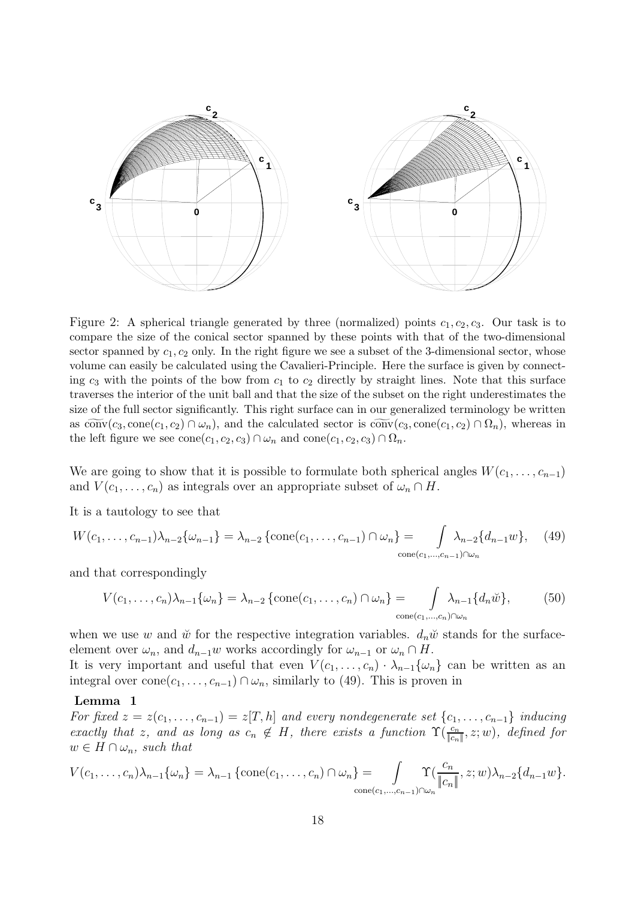

Figure 2: A spherical triangle generated by three (normalized) points  $c_1, c_2, c_3$ . Our task is to compare the size of the conical sector spanned by these points with that of the two-dimensional sector spanned by  $c_1, c_2$  only. In the right figure we see a subset of the 3-dimensional sector, whose volume can easily be calculated using the Cavalieri-Principle. Here the surface is given by connecting  $c_3$  with the points of the bow from  $c_1$  to  $c_2$  directly by straight lines. Note that this surface traverses the interior of the unit ball and that the size of the subset on the right underestimates the size of the full sector significantly. This right surface can in our generalized terminology be written as  $\widetilde{\text{conv}}(c_3, \text{cone}(c_1, c_2) \cap \omega_n)$ , and the calculated sector is  $\widetilde{\text{conv}}(c_3, \text{cone}(c_1, c_2) \cap \Omega_n)$ , whereas in the left figure we see  $cone(c_1, c_2, c_3) \cap \omega_n$  and  $cone(c_1, c_2, c_3) \cap \Omega_n$ .

We are going to show that it is possible to formulate both spherical angles  $W(c_1, \ldots, c_{n-1})$ and  $V(c_1,\ldots,c_n)$  as integrals over an appropriate subset of  $\omega_n \cap H$ .

It is a tautology to see that

$$
W(c_1, \ldots, c_{n-1})\lambda_{n-2}\{\omega_{n-1}\} = \lambda_{n-2} \left\{ \text{cone}(c_1, \ldots, c_{n-1}) \cap \omega_n \right\} = \int_{\text{cone}(c_1, \ldots, c_{n-1}) \cap \omega_n} \lambda_{n-2} \{d_{n-1}w\}, \quad (49)
$$

and that correspondingly

$$
V(c_1,\ldots,c_n)\lambda_{n-1}\{\omega_n\} = \lambda_{n-2}\left\{\text{cone}(c_1,\ldots,c_n)\cap\omega_n\right\} = \int_{\text{cone}(c_1,\ldots,c_n)\cap\omega_n} \lambda_{n-1}\{d_n\breve{w}\},\tag{50}
$$

when we use w and  $\check{w}$  for the respective integration variables.  $d_n\check{w}$  stands for the surfaceelement over  $\omega_n$ , and  $d_{n-1}w$  works accordingly for  $\omega_{n-1}$  or  $\omega_n \cap H$ .

It is very important and useful that even  $V(c_1,\ldots,c_n) \cdot \lambda_{n-1}\{\omega_n\}$  can be written as an integral over cone $(c_1,\ldots,c_{n-1}) \cap \omega_n$ , similarly to (49). This is proven in

#### **Lemma 1**

For fixed  $z = z(c_1, \ldots, c_{n-1}) = z[T, h]$  and every nondegenerate set  $\{c_1, \ldots, c_{n-1}\}\$  inducing exactly that z, and as long as  $c_n \notin H$ , there exists a function  $\Upsilon(\frac{c_n}{|c_n|}, z; w)$ , defined for<br> $w \in H \cap \omega$ , such that  $w \in H \cap \omega_n$ , such that

<sup>V</sup> (c1,...,cn)λn−<sup>1</sup>{ωn} <sup>=</sup> <sup>λ</sup>n−<sup>1</sup> {cone(c1,...,cn) <sup>∩</sup> <sup>ω</sup>n} <sup>=</sup> cone(c1,...,cn−1)∩ω<sup>n</sup> Υ( <sup>c</sup><sup>n</sup> ||cn||, z;w)λn−<sup>2</sup>{dn−<sup>1</sup>w}.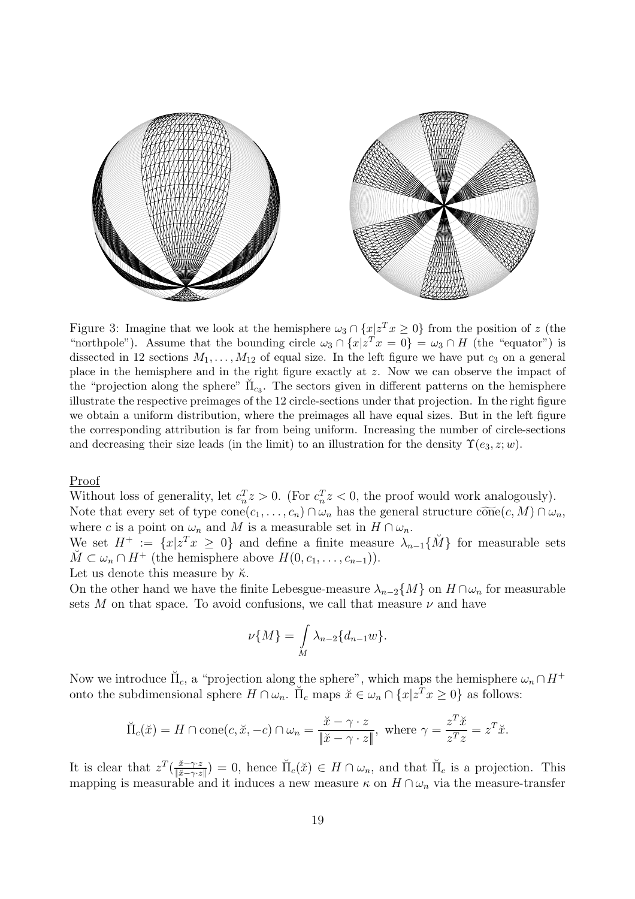

Figure 3: Imagine that we look at the hemisphere  $\omega_3 \cap \{x | z^T x \ge 0\}$  from the position of z (the "northpole"). Assume that the bounding circle  $\omega_3 \cap \{x | z^T x = 0\} = \omega_3 \cap H$  (the "equator") is dissected in 12 sections  $M_1, \ldots, M_{12}$  of equal size. In the left figure we have put  $c_3$  on a general place in the hemisphere and in the right figure exactly at z. Now we can observe the impact of the "projection along the sphere"  $\Pi_{c3}$ . The sectors given in different patterns on the hemisphere illustrate the respective preimages of the 12 circle-sections under that projection. In the right figure we obtain a uniform distribution, where the preimages all have equal sizes. But in the left figure the corresponding attribution is far from being uniform. Increasing the number of circle-sections and decreasing their size leads (in the limit) to an illustration for the density  $\Upsilon(e_3, z; w)$ .

Proof

Without loss of generality, let  $c_n^T z > 0$ . (For  $c_n^T z < 0$ , the proof would work analogously).<br>Note that given get of time conclession  $c_n > 0$  is the general structure  $\widehat{exp}(c_n M) \Omega$ . Note that every set of type  $cone(c_1, \ldots, c_n) \cap \omega_n$  has the general structure  $\widetilde{cone}(c, M) \cap \omega_n$ , where c is a point on  $\omega_n$  and M is a measurable set in  $H \cap \omega_n$ .

We set  $H^+ := \{x | z^T x \geq 0\}$  and define a finite measure  $\lambda_{n-1} \{ \check{M} \}$  for measurable sets  $\check{M} \subset \omega_n \cap H^+$  (the hemisphere above  $H(0, c_1, \ldots, c_{n-1})$ ).

Let us denote this measure by  $\breve{\kappa}$ .

On the other hand we have the finite Lebesgue-measure  $\lambda_{n-2}\{M\}$  on  $H \cap \omega_n$  for measurable sets  $M$  on that space. To avoid confusions, we call that measure  $\nu$  and have

$$
\nu\{M\} = \int\limits_M \lambda_{n-2} \{d_{n-1}w\}.
$$

Now we introduce  $\Pi_c$ , a "projection along the sphere", which maps the hemisphere  $\omega_n \cap H^+$ onto the subdimensional sphere  $H \cap \omega_n$ .  $\breve{\Pi}_c$  maps  $\breve{x} \in \omega_n \cap \{x | z^T x \geq 0\}$  as follows:

$$
\breve{\Pi}_c(\breve{x}) = H \cap \text{cone}(c, \breve{x}, -c) \cap \omega_n = \frac{\breve{x} - \gamma \cdot z}{\|\breve{x} - \gamma \cdot z\|}, \text{ where } \gamma = \frac{z^T \breve{x}}{z^T z} = z^T \breve{x}.
$$

It is clear that  $z^T(\frac{\check{x}-\gamma\cdot z}{\|\check{x}-\gamma\cdot z\|})=0$ , hence  $\check{\Pi}_c(\check{x})\in H\cap \omega_n$ , and that  $\check{\Pi}_c$  is a projection. This mapping is measurable and it induces a new measure  $\kappa$  on  $H\cap \omega$ , yis the measure-transfer mapping is measurable and it induces a new measure  $\kappa$  on  $H \cap \omega_n$  via the measure-transfer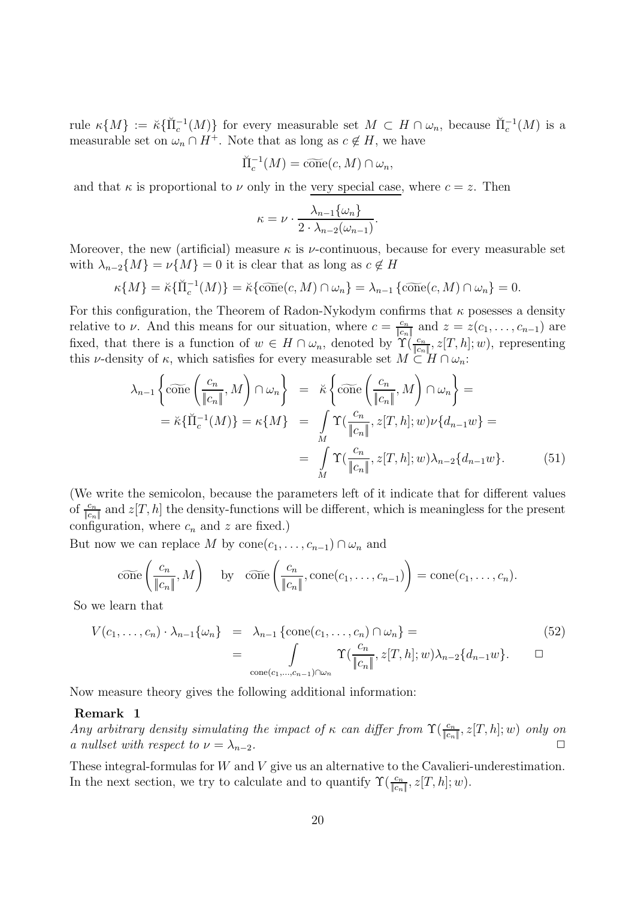rule  $\kappa\{M\} := \breve{\kappa}\{\breve{\Pi}_c^{-1}(M)\}\$  for every measurable set  $M \subset H \cap \omega_n$ , because  $\breve{\Pi}_c^{-1}(M)$  is a measurable set on  $\omega \circ H^+$ . Note that as long as  $\alpha \not\subset H$ , we have measurable set on  $\omega_n \cap H^+$ . Note that as long as  $c \notin H$ , we have

$$
\breve{\Pi}_c^{-1}(M) = \widetilde{\text{cone}}(c, M) \cap \omega_n,
$$

and that  $\kappa$  is proportional to  $\nu$  only in the very special case, where  $c = z$ . Then

$$
\kappa = \nu \cdot \frac{\lambda_{n-1} \{\omega_n\}}{2 \cdot \lambda_{n-2}(\omega_{n-1})}.
$$

Moreover, the new (artificial) measure  $\kappa$  is *v*-continuous, because for every measurable set with  $\lambda_{n-2}\lbrace M \rbrace = \nu\lbrace M \rbrace = 0$  it is clear that as long as  $c \notin H$ 

$$
\kappa\{M\} = \breve{\kappa}\{\breve{\Pi}_c^{-1}(M)\} = \breve{\kappa}\{\widetilde{\text{cone}}(c, M) \cap \omega_n\} = \lambda_{n-1}\{\widetilde{\text{cone}}(c, M) \cap \omega_n\} = 0.
$$

For this configuration, the Theorem of Radon-Nykodym confirms that  $\kappa$  posesses a density relative to *ν*. And this means for our situation, where  $c = \frac{c_n}{\|c_n\|}$  and  $z = z(c_1, \ldots, c_{n-1})$  are<br>fixed that there is a function of  $w \in H \cap C$  denoted by  $\Upsilon(c_n, z[T_b], w)$  representing fixed, that there is a function of  $w \in H \cap \omega_n$ , denoted by  $\Upsilon(\frac{c_n}{\|c_n\|}, z[T, h]; w)$ , representing<br>this *u*-density of  $\kappa$  which satisfies for every measurable set  $M \subset H \cap \omega$ . this *ν*-density of  $\kappa$ , which satisfies for every measurable set  $M \subset H \cap \omega_n$ :

$$
\lambda_{n-1} \left\{ \widetilde{\text{cone}} \left( \frac{c_n}{\|c_n\|}, M \right) \cap \omega_n \right\} = \widetilde{\kappa} \left\{ \widetilde{\text{cone}} \left( \frac{c_n}{\|c_n\|}, M \right) \cap \omega_n \right\} =
$$
\n
$$
= \widetilde{\kappa} \{ \widetilde{\Pi}_c^{-1}(M) \} = \kappa \{ M \} = \int_M \Upsilon(\frac{c_n}{\|c_n\|}, z[T, h]; w) \nu \{ d_{n-1}w \} =
$$
\n
$$
= \int_M \Upsilon(\frac{c_n}{\|c_n\|}, z[T, h]; w) \lambda_{n-2} \{ d_{n-1}w \}. \tag{51}
$$

(We write the semicolon, because the parameters left of it indicate that for different values of  $\frac{c_n}{\|c_n\|}$  and  $z[T,h]$  the density-functions will be different, which is meaningless for the present configuration, where  $c_n$  and z are fixed.)

But now we can replace M by  $cone(c_1, \ldots, c_{n-1}) \cap \omega_n$  and

$$
\widetilde{\text{cone}}\left(\frac{c_n}{\|c_n\|}, M\right) \quad \text{by} \quad \widetilde{\text{cone}}\left(\frac{c_n}{\|c_n\|}, \text{cone}(c_1, \ldots, c_{n-1})\right) = \text{cone}(c_1, \ldots, c_n).
$$

So we learn that

$$
V(c_1, \ldots, c_n) \cdot \lambda_{n-1} \{\omega_n\} = \lambda_{n-1} \left\{ \text{cone}(c_1, \ldots, c_n) \cap \omega_n \right\} = \n\int_{\text{cone}(c_1, \ldots, c_{n-1}) \cap \omega_n} \Upsilon(\frac{c_n}{\|c_n\|}, z[T, h]; w) \lambda_{n-2} \{d_{n-1}w\}. \qquad \Box
$$
\n
$$
(52)
$$

Now measure theory gives the following additional information:

#### **Remark 1**

Any arbitrary density simulating the impact of  $\kappa$  can differ from  $\Upsilon(\frac{c_n}{|c_n|}, z[T, h]; w)$  only on<br>a nulleat with respect to  $\nu = \lambda$ a nullset with respect to  $\nu = \lambda_{n-2}$ .

These integral-formulas for W and V give us an alternative to the Cavalieri-underestimation. In the next section, we try to calculate and to quantify  $\Upsilon(\frac{c_n}{\|c_n\|}, z[T, h]; w)$ .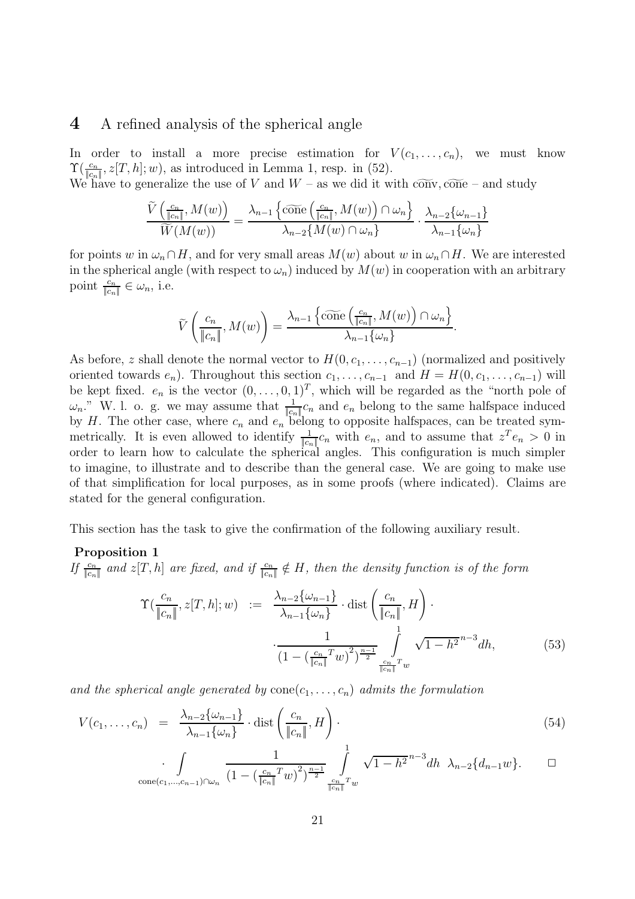### **4** A refined analysis of the spherical angle

In order to install a more precise estimation for  $V(c_1,\ldots,c_n)$ , we must know  $\Upsilon(\frac{c_n}{\|c_n\|}, z[T, h]; w)$ , as introduced in Lemma 1, resp. in (52).<br>We have to generalize the use of V and  $W =$  as we did it w

We have to generalize the use of V and  $W$  – as we did it with  $\widetilde{\text{conv}}, \widetilde{\text{cone}}$  – and study

$$
\frac{\widetilde{V}\left(\frac{c_n}{\|c_n\|}, M(w)\right)}{\widetilde{W}(M(w))} = \frac{\lambda_{n-1}\left\{\widetilde{\text{cone}}\left(\frac{c_n}{\|c_n\|}, M(w)\right) \cap \omega_n\right\}}{\lambda_{n-2}\left\{M(w) \cap \omega_n\right\}} \cdot \frac{\lambda_{n-2}\left\{\omega_{n-1}\right\}}{\lambda_{n-1}\left\{\omega_n\right\}}
$$

for points w in  $\omega_n \cap H$ , and for very small areas  $M(w)$  about w in  $\omega_n \cap H$ . We are interested in the spherical angle (with respect to  $\omega_n$ ) induced by  $M(w)$  in cooperation with an arbitrary point  $\frac{c_n}{\|c_n\|} \in \omega_n$ , i.e.

$$
\widetilde{V}\left(\frac{c_n}{\|c_n\|}, M(w)\right) = \frac{\lambda_{n-1}\left\{\widetilde{\text{cone}}\left(\frac{c_n}{\|c_n\|}, M(w)\right) \cap \omega_n\right\}}{\lambda_{n-1}\{\omega_n\}}.
$$

As before, z shall denote the normal vector to  $H(0, c_1, \ldots, c_{n-1})$  (normalized and positively oriented towards  $e_n$ ). Throughout this section  $c_1, \ldots, c_{n-1}$  and  $H = H(0, c_1, \ldots, c_{n-1})$  will be kept fixed.  $e_n$  is the vector  $(0,\ldots,0,1)^T$ , which will be regarded as the "north pole of  $\omega_n$ ." W. l. o. g. we may assume that  $\frac{1}{\|c_n\|}c_n$  and  $e_n$  belong to the same halfspace induced<br>by H. The other case, where c. and e. belong to opposite halfspaces, can be treated symby H. The other case, where  $c_n$  and  $e_n$  belong to opposite halfspaces, can be treated sym-<br>matricelly H is even allowed to identify  $\frac{1}{n}$  a with a second to exame that  $x^n = \frac{1}{n}$ metrically. It is even allowed to identify  $\frac{1}{|c_n|}c_n$  with  $e_n$ , and to assume that  $z^T e_n > 0$  in order to learn how to calculate the spherical angles. This configuration is much simpler to imagine, to illustrate and to describe than the general case. We are going to make use of that simplification for local purposes, as in some proofs (where indicated). Claims are stated for the general configuration.

This section has the task to give the confirmation of the following auxiliary result.

#### **Proposition 1**

If  $\frac{c_n}{\|c_n\|}$  and  $z[T, h]$  are fixed, and if  $\frac{c_n}{\|c_n\|} \notin H$ , then the density function is of the form

$$
\Upsilon(\frac{c_n}{\|c_n\|}, z[T, h]; w) := \frac{\lambda_{n-2}\{\omega_{n-1}\}}{\lambda_{n-1}\{\omega_n\}} \cdot \text{dist}\left(\frac{c_n}{\|c_n\|}, H\right) \cdot \frac{1}{\left(1 - \left(\frac{c_n}{\|c_n\|}T w\right)^2\right)^{\frac{n-1}{2}}} \int\limits_{\frac{c_n}{\|c_n\|}T w} \sqrt{1 - h^2}^{n-3} dh,
$$
\n(53)

and the spherical angle generated by  $cone(c_1, \ldots, c_n)$  admits the formulation

$$
V(c_1, \ldots, c_n) = \frac{\lambda_{n-2} \{\omega_{n-1}\}}{\lambda_{n-1} \{\omega_n\}} \cdot \text{dist}\left(\frac{c_n}{\|c_n\|}, H\right). \tag{54}
$$

$$
\int_{\text{cone}(c_1,\dots,c_{n-1})\cap\omega_n} \frac{1}{(1-(\frac{c_n}{\|c_n\|}^T w)^2)^{\frac{n-1}{2}}}\int_{\frac{c_n}{\|c_n\|}^T w}^1 \sqrt{1-h^2}^{n-3} dh \ \lambda_{n-2}\{d_{n-1}w\}.
$$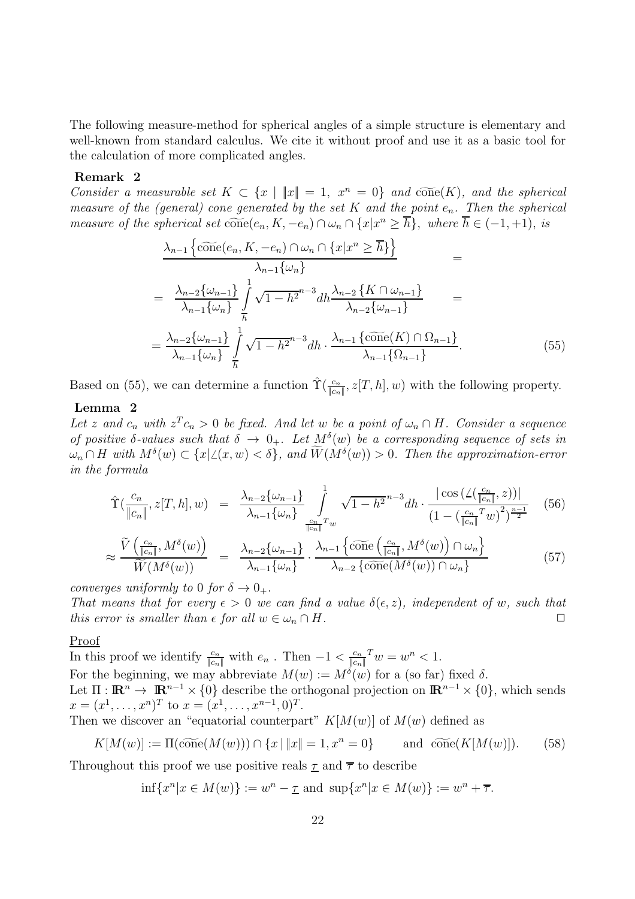The following measure-method for spherical angles of a simple structure is elementary and well-known from standard calculus. We cite it without proof and use it as a basic tool for the calculation of more complicated angles.

#### **Remark 2**

Consider a measurable set  $K \subset \{x \mid ||x|| = 1, x^n = 0\}$  and  $\widetilde{\text{cone}}(K)$ , and the spherical measure of the (general) cone generated by the set K and the point  $e_n$ . Then the spherical measure of the spherical set  $\widetilde{\text{cone}}(e_n, K, -e_n) \cap \omega_n \cap \{x | x^n \geq \overline{h}\},\ \text{where } \overline{h} \in (-1, +1),\ \text{is}$ 

$$
\frac{\lambda_{n-1}\left\{\widehat{\text{cone}}(e_n, K, -e_n) \cap \omega_n \cap \{x | x^n \ge \overline{h}\}\right\}}{\lambda_{n-1}\{\omega_n\}} =
$$
\n
$$
= \frac{\lambda_{n-2}\{\omega_{n-1}\}}{\lambda_{n-1}\{\omega_n\}} \int\limits_{\overline{h}}^1 \sqrt{1 - h^{2^{n-3}}} dh \frac{\lambda_{n-2}\left\{K \cap \omega_{n-1}\right\}}{\lambda_{n-2}\{\omega_{n-1}\}} =
$$
\n
$$
= \frac{\lambda_{n-2}\{\omega_{n-1}\}}{\lambda_{n-1}\{\omega_n\}} \int\limits_{\overline{h}}^1 \sqrt{1 - h^{2^{n-3}}} dh \cdot \frac{\lambda_{n-1}\left\{\widehat{\text{cone}}(K) \cap \Omega_{n-1}\right\}}{\lambda_{n-1}\{\Omega_{n-1}\}}.
$$
\n(55)

Based on (55), we can determine a function  $\hat{\Upsilon}(\frac{c_n}{\|c_n\|}, z[T, h], w)$  with the following property.

#### **Lemma 2**

Let z and  $c_n$  with  $z^T c_n > 0$  be fixed. And let w be a point of  $\omega_n \cap H$ . Consider a sequence of positive  $\delta$ -values such that  $\delta \to 0_+$ . Let  $M^{\delta}(w)$  be a corresponding sequence of sets in  $\omega_n \cap H$  with  $M^{\delta}(w) \subset \{x | \angle(x, w) < \delta\}$ , and  $W(M^{\delta}(w)) > 0$ . Then the approximation-error in the formula

$$
\hat{\Upsilon}\left(\frac{c_n}{\|c_n\|}, z[T, h], w\right) = \frac{\lambda_{n-2}\{\omega_{n-1}\}}{\lambda_{n-1}\{\omega_n\}} \int\limits_{\frac{c_n}{\|c_n\|}^T w}^1 \sqrt{1 - h^2}^{n-3} dh \cdot \frac{|\cos\left(\angle\left(\frac{c_n}{\|c_n\|}, z\right)\right)|}{\left(1 - \left(\frac{c_n}{\|c_n\|}^T w\right)^2\right)^{\frac{n-1}{2}}} \tag{56}
$$

$$
\approx \frac{\tilde{V}\left(\frac{c_n}{\|c_n\|}, M^\delta(w)\right)}{\tilde{W}(M^\delta(w))} = \frac{\lambda_{n-2}\{\omega_{n-1}\}}{\lambda_{n-1}\{\omega_n\}} \cdot \frac{\lambda_{n-1}\left\{\tilde{\text{cone}}\left(\frac{c_n}{\|c_n\|}, M^\delta(w)\right) \cap \omega_n\right\}}{\lambda_{n-2}\left\{\tilde{\text{cone}}(M^\delta(w)) \cap \omega_n\right\}} \tag{57}
$$

converges uniformly to 0 for  $\delta \rightarrow 0_+$ .

That means that for every  $\epsilon > 0$  we can find a value  $\delta(\epsilon, z)$ , independent of w, such that this error is smaller than  $\epsilon$  for all  $w \in \omega_n \cap H$ .

#### Proof

In this proof we identify  $\frac{c_n}{\|c_n\|}$  with  $e_n$ . Then  $-1 < \frac{c_n}{\|c_n\|} w = w^n < 1$ .  $\|c_n\|$ For the beginning, we may abbreviate  $M(w) := M^{\delta}(w)$  for a (so far) fixed  $\delta$ . Let  $\Pi$ :  $\mathbb{R}^n \to \mathbb{R}^{n-1} \times \{0\}$  describe the orthogonal projection on  $\mathbb{R}^{n-1} \times \{0\}$ , which sends  $x = (x^1, \ldots, x^n)^T$  to  $x = (x^1, \ldots, x^{n-1}, 0)^T$ .

Then we discover an "equatorial counterpart"  $K[M(w)]$  of  $M(w)$  defined as

$$
K[M(w)] := \Pi(\widetilde{\text{cone}}(M(w))) \cap \{x \mid \|x\| = 1, x^n = 0\} \quad \text{and } \widetilde{\text{cone}}(K[M(w)]). \tag{58}
$$

Throughout this proof we use positive reals  $\underline{\tau}$  and  $\overline{\tau}$  to describe

$$
\inf \{x^n | x \in M(w)\} := w^n - \underline{\tau} \text{ and } \sup \{x^n | x \in M(w)\} := w^n + \overline{\tau}.
$$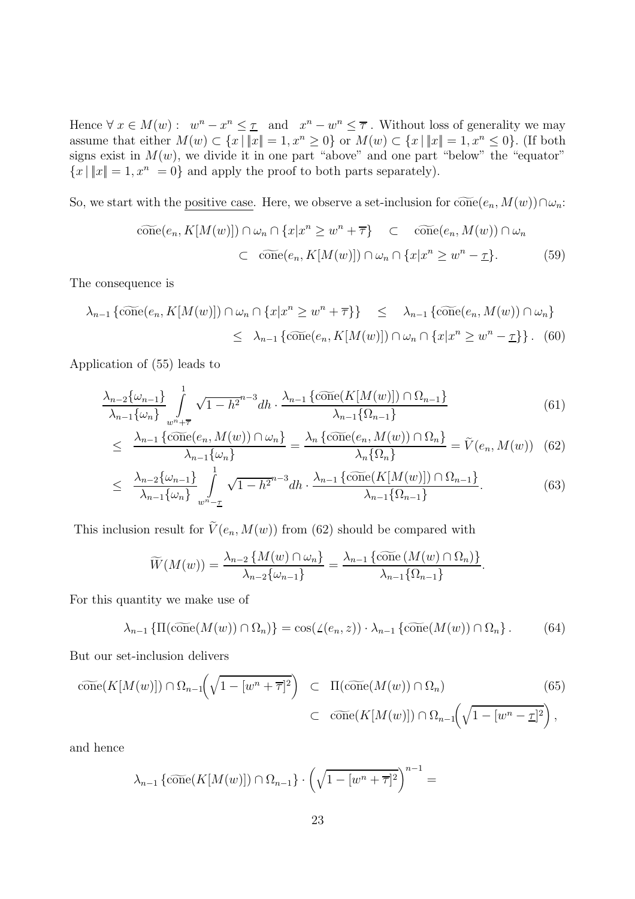Hence  $\forall x \in M(w): w^n - x^n \leq \underline{\tau}$  and  $x^n - w^n \leq \overline{\tau}$ . Without loss of generality we may assume that either  $M(w) \subset \{x \mid ||x|| = 1, x^n \geq 0\}$  or  $M(w) \subset \{x \mid ||x|| = 1, x^n \leq 0\}$ . (If both signs exist in  $M(w)$ , we divide it in one part "above" and one part "below" the "equator"  ${x | ||x|| = 1, x^n = 0}$  and apply the proof to both parts separately).

So, we start with the positive case. Here, we observe a set-inclusion for  $\widetilde{\text{cone}}(e_n, M(w)) \cap \omega_n$ :

$$
\widetilde{\text{cone}}(e_n, K[M(w)]) \cap \omega_n \cap \{x | x^n \ge w^n + \overline{\tau}\} \subset \widetilde{\text{cone}}(e_n, M(w)) \cap \omega_n
$$
  

$$
\subset \widetilde{\text{cone}}(e_n, K[M(w)]) \cap \omega_n \cap \{x | x^n \ge w^n - \underline{\tau}\}. \tag{59}
$$

The consequence is

$$
\lambda_{n-1} \left\{ \widetilde{\text{cone}}(e_n, K[M(w)]) \cap \omega_n \cap \{x | x^n \ge w^n + \overline{\tau} \} \right\} \le \lambda_{n-1} \left\{ \widetilde{\text{cone}}(e_n, M(w)) \cap \omega_n \right\}
$$
  

$$
\le \lambda_{n-1} \left\{ \widetilde{\text{cone}}(e_n, K[M(w)]) \cap \omega_n \cap \{x | x^n \ge w^n - \underline{\tau} \} \right\}. \tag{60}
$$

Application of (55) leads to

$$
\frac{\lambda_{n-2}\{\omega_{n-1}\}}{\lambda_{n-1}\{\omega_n\}} \int\limits_{w^n+\overline{\tau}}^1 \sqrt{1-h^{2n-3}} dh \cdot \frac{\lambda_{n-1}\{\widetilde{\text{cone}}(K[M(w)]) \cap \Omega_{n-1}\}}{\lambda_{n-1}\{\Omega_{n-1}\}}
$$
(61)

$$
\leq \frac{\lambda_{n-1} \{\widetilde{\text{cone}}(e_n, M(w)) \cap \omega_n\}}{\lambda_{n-1} \{\omega_n\}} = \frac{\lambda_n \{\widetilde{\text{cone}}(e_n, M(w)) \cap \Omega_n\}}{\lambda_n \{\Omega_n\}} = \widetilde{V}(e_n, M(w)) \quad (62)
$$

$$
\leq \frac{\lambda_{n-2}\{\omega_{n-1}\}}{\lambda_{n-1}\{\omega_n\}} \int_{w^n - \underline{\tau}}^1 \sqrt{1 - h^2} h \cdot \frac{\lambda_{n-1}\{\widetilde{\text{cone}}(K[M(w)]) \cap \Omega_{n-1}\}}{\lambda_{n-1}\{\Omega_{n-1}\}}.
$$
 (63)

This inclusion result for  $V(e_n, M(w))$  from (62) should be compared with

$$
\widetilde{W}(M(w)) = \frac{\lambda_{n-2} \{ M(w) \cap \omega_n \}}{\lambda_{n-2} \{\omega_{n-1}\}} = \frac{\lambda_{n-1} \{\widetilde{\text{cone}} \{ M(w) \cap \Omega_n \} \}}{\lambda_{n-1} \{\Omega_{n-1}\}}.
$$

For this quantity we make use of

$$
\lambda_{n-1} \left\{ \Pi(\widetilde{\text{cone}}(M(w)) \cap \Omega_n) \right\} = \cos(\angle(e_n, z)) \cdot \lambda_{n-1} \left\{ \widetilde{\text{cone}}(M(w)) \cap \Omega_n \right\}. \tag{64}
$$

But our set-inclusion delivers

$$
\widetilde{\text{cone}}(K[M(w)]) \cap \Omega_{n-1}\left(\sqrt{1 - [w^n + \overline{\tau}]^2}\right) \subset \Pi(\widetilde{\text{cone}}(M(w)) \cap \Omega_n) \qquad (65)
$$
\n
$$
\subset \widetilde{\text{cone}}(K[M(w)]) \cap \Omega_{n-1}\left(\sqrt{1 - [w^n - \underline{\tau}]^2}\right),
$$

and hence

$$
\lambda_{n-1} \left\{ c \widetilde{\text{one}}(K[M(w)]) \cap \Omega_{n-1} \right\} \cdot \left( \sqrt{1 - [w^n + \overline{\tau}]^2} \right)^{n-1} =
$$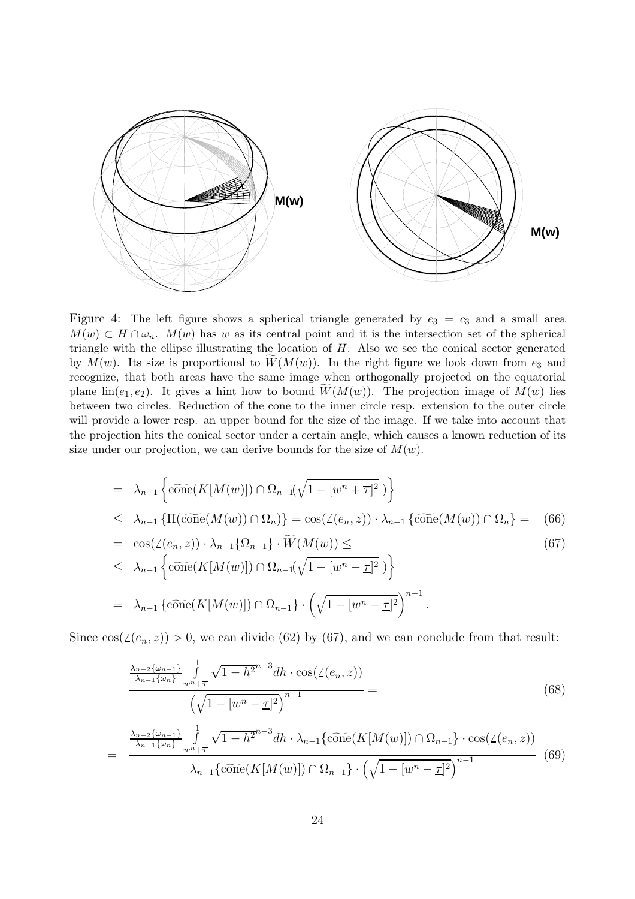

Figure 4: The left figure shows a spherical triangle generated by  $e_3 = c_3$  and a small area  $M(w) \subset H \cap \omega_n$ .  $M(w)$  has w as its central point and it is the intersection set of the spherical triangle with the ellipse illustrating the location of  $H$ . Also we see the conical sector generated by  $M(w)$ . Its size is proportional to  $\widetilde{W}(M(w))$ . In the right figure we look down from  $e_3$  and recognize, that both areas have the same image when orthogonally projected on the equatorial plane  $\text{lin}(e_1, e_2)$ . It gives a hint how to bound  $\widetilde{W}(M(w))$ . The projection image of  $M(w)$  lies between two circles. Reduction of the cone to the inner circle resp. extension to the outer circle will provide a lower resp. an upper bound for the size of the image. If we take into account that the projection hits the conical sector under a certain angle, which causes a known reduction of its size under our projection, we can derive bounds for the size of  $M(w)$ .

$$
= \lambda_{n-1} \left\{ \widetilde{\text{cone}}(K[M(w)]) \cap \Omega_{n-1}(\sqrt{1 - [w^n + \overline{\tau}]^2}) \right\}
$$
  
\n
$$
\leq \lambda_{n-1} \left\{ \Pi(\widetilde{\text{cone}}(M(w)) \cap \Omega_n) \right\} = \cos(\angle(e_n, z)) \cdot \lambda_{n-1} \left\{ \widetilde{\text{cone}}(M(w)) \cap \Omega_n \right\} = (66)
$$
  
\n
$$
= \cos(\angle(e_n, z)) \cdot \lambda_{n-1} \left\{ \Omega_{n-1} \right\} \cdot \widetilde{W}(M(w)) \leq (67)
$$
  
\n
$$
\leq \lambda_{n-1} \left\{ \widetilde{\text{cone}}(K[M(w)]) \cap \Omega_{n-1}(\sqrt{1 - [w^n - \underline{\tau}]^2}) \right\}
$$
  
\n
$$
= \lambda_{n-1} \left\{ \widetilde{\text{cone}}(K[M(w)]) \cap \Omega_{n-1} \right\} \cdot \left( \sqrt{1 - [w^n - \underline{\tau}]^2} \right)^{n-1}.
$$

Since  $cos(\angle(e_n, z)) > 0$ , we can divide (62) by (67), and we can conclude from that result:

$$
\frac{\frac{\lambda_{n-2}\{\omega_{n-1}\}}{\lambda_{n-1}\{\omega_{n}\}}\int_{w^{n}+\overline{\tau}}^{1} \sqrt{1-h^{2}}^{n-3}dh \cdot \cos(\angle(e_{n},z))}{\left(\sqrt{1-[w^{n}-\underline{\tau}]^{2}}\right)^{n-1}} =
$$
\n
$$
= \frac{\frac{\lambda_{n-2}\{\omega_{n-1}\}}{\lambda_{n-1}\{\omega_{n}\}}\int_{w^{n}+\overline{\tau}}^{1} \sqrt{1-h^{2}}^{n-3}dh \cdot \lambda_{n-1}\{\widetilde{\text{cone}}(K[M(w)]) \cap \Omega_{n-1}\} \cdot \cos(\angle(e_{n},z))}{\lambda_{n-1}\{\widetilde{\text{cone}}(K[M(w)]) \cap \Omega_{n-1}\} \cdot \left(\sqrt{1-[w^{n}-\underline{\tau}]^{2}}\right)^{n-1}}
$$
\n(69)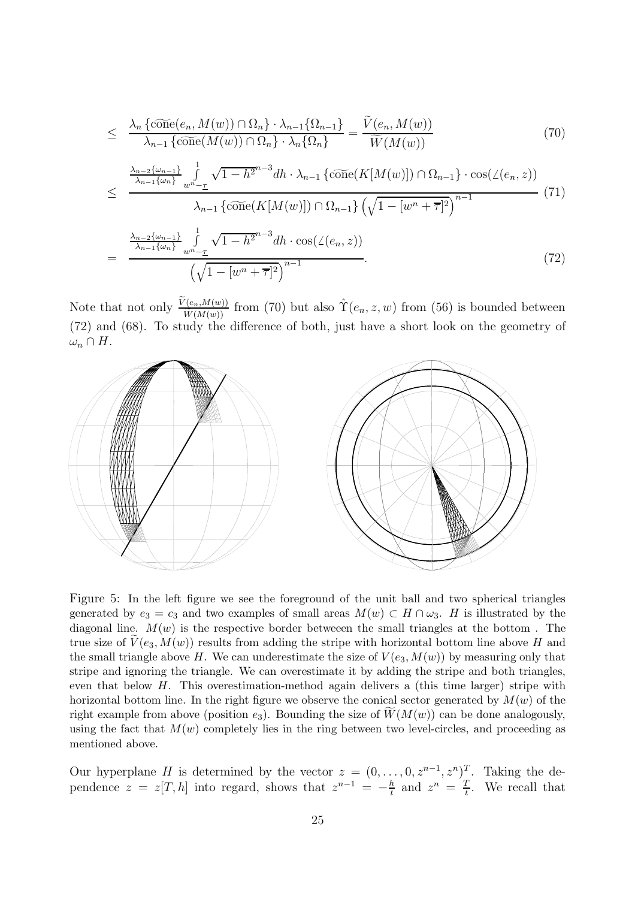$$
\leq \frac{\lambda_n \{\widetilde{\text{cone}}(e_n, M(w)) \cap \Omega_n\} \cdot \lambda_{n-1} \{\Omega_{n-1}\}}{\lambda_{n-1} \{\widetilde{\text{cone}}(M(w)) \cap \Omega_n\} \cdot \lambda_n \{\Omega_n\}} = \frac{\widetilde{V}(e_n, M(w))}{\widetilde{W}(M(w))}
$$
(70)  

$$
\leq \frac{\frac{\lambda_{n-2}\{\omega_{n-1}\}}{\lambda_{n-1}\{\omega_n\}} \int_{w^n - \underline{\tau}}^1 \sqrt{1 - h^2} h \cdot \lambda_{n-1} \{\widetilde{\text{cone}}(K[M(w)]) \cap \Omega_{n-1}\} \cdot \cos(\angle(e_n, z))}{\lambda_{n-1} \{\widetilde{\text{cone}}(K[M(w)]) \cap \Omega_{n-1}\} \left(\sqrt{1 - [w^n + \overline{\tau}]^2}\right)^{n-1}}
$$
(71)  

$$
= \frac{\frac{\lambda_{n-2}\{\omega_{n-1}\}}{\lambda_{n-1}\{\omega_n\}} \int_{w^n - \underline{\tau}}^1 \sqrt{1 - h^2} h \cdot \cos(\angle(e_n, z))}{\left(\sqrt{1 - [w^n + \overline{\tau}]^2}\right)^{n-1}}.
$$
(72)

Note that not only  $\frac{\widetilde{V}(e_n,M(w))}{\widetilde{W}(M(w))}$  from (70) but also  $\hat{T}(e_n,z,w)$  from (56) is bounded between<br>(72) and (68). To study the difference of both, just have a short look on the geometry of (72) and (68). To study the difference of both, just have a short look on the geometry of  $\omega_n \cap H$ .



Figure 5: In the left figure we see the foreground of the unit ball and two spherical triangles generated by  $e_3 = c_3$  and two examples of small areas  $M(w) \subset H \cap \omega_3$ . H is illustrated by the diagonal line.  $M(w)$  is the respective border betweeen the small triangles at the bottom. The true size of  $\tilde{V}(e_3, M(w))$  results from adding the stripe with horizontal bottom line above H and the small triangle above H. We can underestimate the size of  $V(e_3, M(w))$  by measuring only that stripe and ignoring the triangle. We can overestimate it by adding the stripe and both triangles, even that below  $H$ . This overestimation-method again delivers a (this time larger) stripe with horizontal bottom line. In the right figure we observe the conical sector generated by  $M(w)$  of the right example from above (position  $e_3$ ). Bounding the size of  $\widetilde{W}(M(w))$  can be done analogously, using the fact that  $M(w)$  completely lies in the ring between two level-circles, and proceeding as mentioned above.

Our hyperplane H is determined by the vector  $z = (0, \ldots, 0, z^{n-1}, z^n)^T$ . Taking the dependence  $z = z[T, h]$  into regard, shows that  $z^{n-1} = -\frac{h}{t}$  and  $z^n = \frac{T}{t}$ . We recall that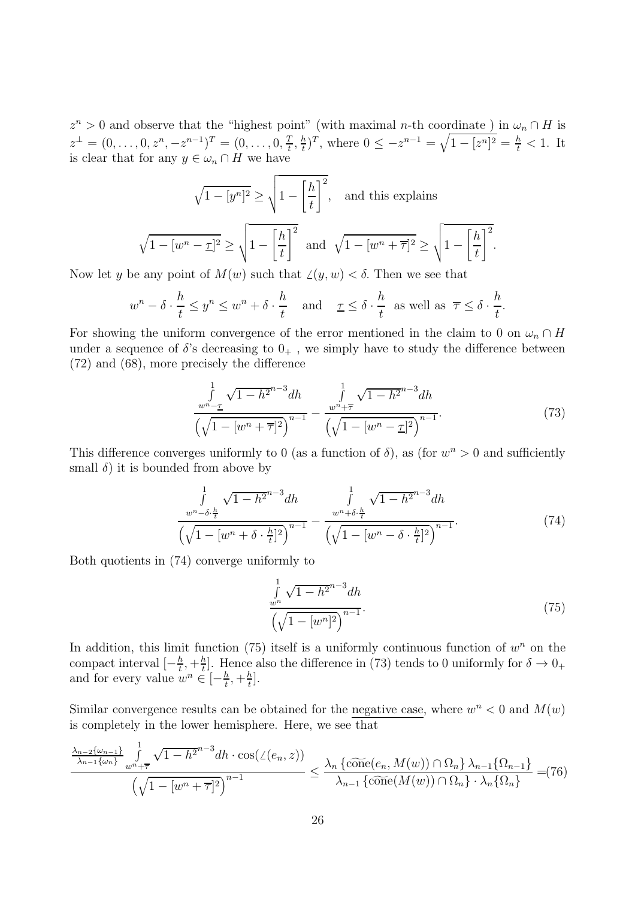$z<sup>n</sup> > 0$  and observe that the "highest point" (with maximal n-th coordinate) in  $\omega_n \cap H$  is  $z^{\perp} = (0, \ldots, 0, z^n, -z^{n-1})^T = (0, \ldots, 0, \frac{T}{t}, \frac{h}{t})^T$ , where  $0 \leq -z^{n-1} = \sqrt{1 - [z^n]^2} = \frac{h}{t} < 1$ . It is clear that for any  $y \in \omega_n \cap H$  we have

$$
\sqrt{1 - [y^n]^2} \ge \sqrt{1 - \left[\frac{h}{t}\right]^2},
$$
 and this explains  

$$
\sqrt{1 - [w^n - \underline{\tau}]^2} \ge \sqrt{1 - \left[\frac{h}{t}\right]^2}
$$
 and  $\sqrt{1 - [w^n + \overline{\tau}]^2} \ge \sqrt{1 - \left[\frac{h}{t}\right]^2}$ 

Now let y be any point of  $M(w)$  such that  $\angle(y,w) < \delta$ . Then we see that

$$
w^n - \delta \cdot \frac{h}{t} \le y^n \le w^n + \delta \cdot \frac{h}{t} \quad \text{and} \quad \underline{\tau} \le \delta \cdot \frac{h}{t} \text{ as well as } \overline{\tau} \le \delta \cdot \frac{h}{t}.
$$

For showing the uniform convergence of the error mentioned in the claim to 0 on  $\omega_n \cap H$ under a sequence of  $\delta$ 's decreasing to  $0_+$ , we simply have to study the difference between (72) and (68), more precisely the difference

$$
\frac{\int_{w^n - \underline{\tau}}^1 \sqrt{1 - h^{2n-3}} dh}{\left(\sqrt{1 - [w^n + \overline{\tau}]^2}\right)^{n-1}} - \frac{\int_{w^n + \overline{\tau}}^1 \sqrt{1 - h^{2n-3}} dh}{\left(\sqrt{1 - [w^n - \underline{\tau}]^2}\right)^{n-1}}.
$$
\n(73)

.

This difference converges uniformly to 0 (as a function of  $\delta$ ), as (for  $w<sup>n</sup> > 0$  and sufficiently small  $\delta$ ) it is bounded from above by

$$
\frac{\int_{w^n-\delta\cdot\frac{h}{t}}^1 \sqrt{1-h^{2n-3}} dh}{\left(\sqrt{1-[w^n+\delta\cdot\frac{h}{t}]^2}\right)^{n-1}} - \frac{\int_{w^n+\delta\cdot\frac{h}{t}}^1 \sqrt{1-h^{2n-3}} dh}{\left(\sqrt{1-[w^n-\delta\cdot\frac{h}{t}]^2}\right)^{n-1}}.
$$
\n(74)

Both quotients in (74) converge uniformly to

$$
\frac{\int_{w^n} \sqrt{1 - h^{2n-3}} dh}{\left(\sqrt{1 - [w^n]^2}\right)^{n-1}}.
$$
\n(75)

In addition, this limit function (75) itself is a uniformly continuous function of  $w<sup>n</sup>$  on the compact interval  $[-\frac{h}{t}, +\frac{h}{t}]$ . Hence also the difference in (73) tends to 0 uniformly for  $\delta \to 0_+$  and for every value  $w^n \in [-\frac{h}{t}, +\frac{h}{t}]$ .

Similar convergence results can be obtained for the negative case, where  $w^n < 0$  and  $M(w)$ is completely in the lower hemisphere. Here, we see that

$$
\frac{\frac{\lambda_{n-2}\{\omega_{n-1}\}}{\lambda_{n-1}\{\omega_n\}}\int\limits_{w^n+\overline{\tau}}^1 \sqrt{1-h^{2n-3}}dh\cdot\cos(\angle(e_n,z))}{\left(\sqrt{1-[w^n+\overline{\tau}]^2}\right)^{n-1}} \leq \frac{\lambda_n\left\{\widetilde{\text{cone}}(e_n, M(w))\cap\Omega_n\right\}\lambda_{n-1}\{\Omega_{n-1}\}}{\lambda_{n-1}\left\{\widetilde{\text{cone}}(M(w))\cap\Omega_n\right\}\cdot\lambda_n\{\Omega_n\}}=(76)
$$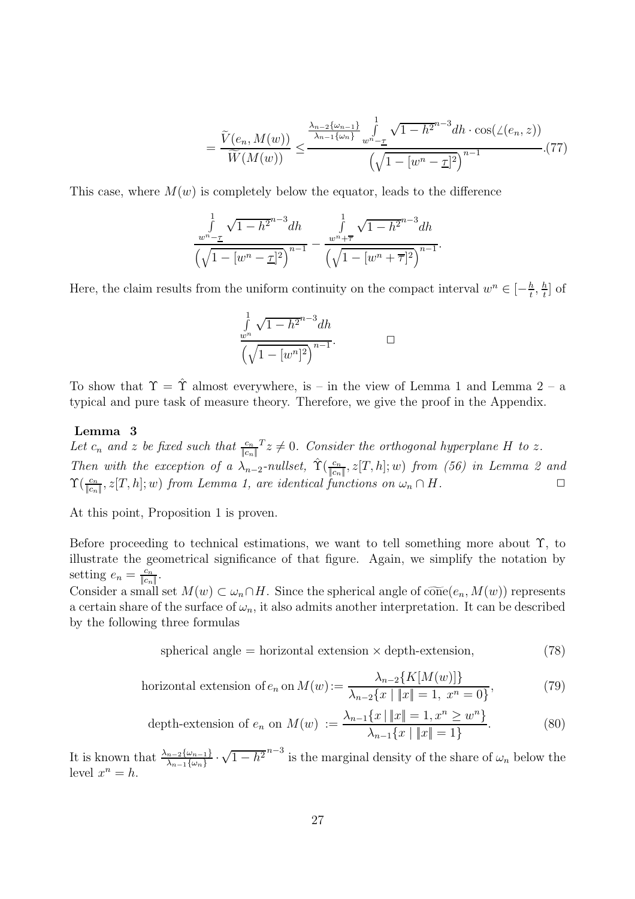$$
= \frac{\widetilde{V}(e_n, M(w))}{\widetilde{W}(M(w))} \le \frac{\frac{\lambda_{n-2}\{\omega_{n-1}\}}{\lambda_{n-1}\{\omega_n\}} \int_{w^n - \underline{\tau}}^1 \sqrt{1 - h^2} h^{-3} dh \cdot \cos(\angle(e_n, z))}{\left(\sqrt{1 - [w^n - \underline{\tau}]^2}\right)^{n-1}}.(77)
$$

This case, where  $M(w)$  is completely below the equator, leads to the difference

$$
\frac{\int_{w^n - \underline{\tau}}^1 \sqrt{1 - h^{2n-3}} dh}{\left(\sqrt{1 - [w^n - \underline{\tau}]^2}\right)^{n-1}} - \frac{\int_{w^n + \overline{\tau}}^1 \sqrt{1 - h^{2n-3}} dh}{\left(\sqrt{1 - [w^n + \overline{\tau}]^2}\right)^{n-1}}.
$$

Here, the claim results from the uniform continuity on the compact interval  $w^n \in [-\frac{h}{t}, \frac{h}{t}]$  of

$$
\frac{\int_{w^n}^{1} \sqrt{1 - h^{2n-3}} dh}{\left(\sqrt{1 - [w^n]^2}\right)^{n-1}}.
$$

To show that  $\Upsilon = \hat{\Upsilon}$  almost everywhere, is – in the view of Lemma 1 and Lemma 2 – a typical and pure task of measure theory. Therefore, we give the proof in the Appendix.

#### **Lemma 3**

Let  $c_n$  and z be fixed such that  $\frac{c_n}{|c_n|}$   $z \neq 0$ . Consider the orthogonal hyperplane H to z. Then with the exception of a  $\lambda_{n-2}$ -nullset,  $\hat{\Upsilon}(\frac{c_n}{\|c_n\|}, z[T, h]; w)$  from (56) in Lemma 2 and  $\Upsilon(\frac{c_n}{\|c_n\|}, z[T, h]; w)$  from Lemma 1, are identical functions on  $\omega_n \cap H$ .

At this point, Proposition 1 is proven.

Before proceeding to technical estimations, we want to tell something more about Υ, to illustrate the geometrical significance of that figure. Again, we simplify the notation by setting  $e_n = \frac{c_n}{\|c_n\|}$ .<br>Consider a small

Consider a small set  $M(w) \subset \omega_n \cap H$ . Since the spherical angle of  $\widetilde{\text{cone}}(e_n, M(w))$  represents a certain share of the surface of  $\omega_n$ , it also admits another interpretation. It can be described by the following three formulas

spherical angle = horizontal extension 
$$
\times
$$
 depth-extension, (78)

horizontal extension of 
$$
e_n
$$
 on  $M(w) := \frac{\lambda_{n-2}\{K[M(w)]\}}{\lambda_{n-2}\{x \mid \|x\| = 1, x^n = 0\}},$  (79)

depth-extension of 
$$
e_n
$$
 on  $M(w) := \frac{\lambda_{n-1}\{x \mid \|x\| = 1, x^n \ge w^n\}}{\lambda_{n-1}\{x \mid \|x\| = 1\}}$ . (80)

It is known that  $\frac{\lambda_{n-2}\{\omega_{n-1}\}}{\lambda_{n-1}\{\omega_n\}} \cdot \sqrt{1-h^2}^{n-3}$  is the marginal density of the share of  $\omega_n$  below the level  $x^n = h$ .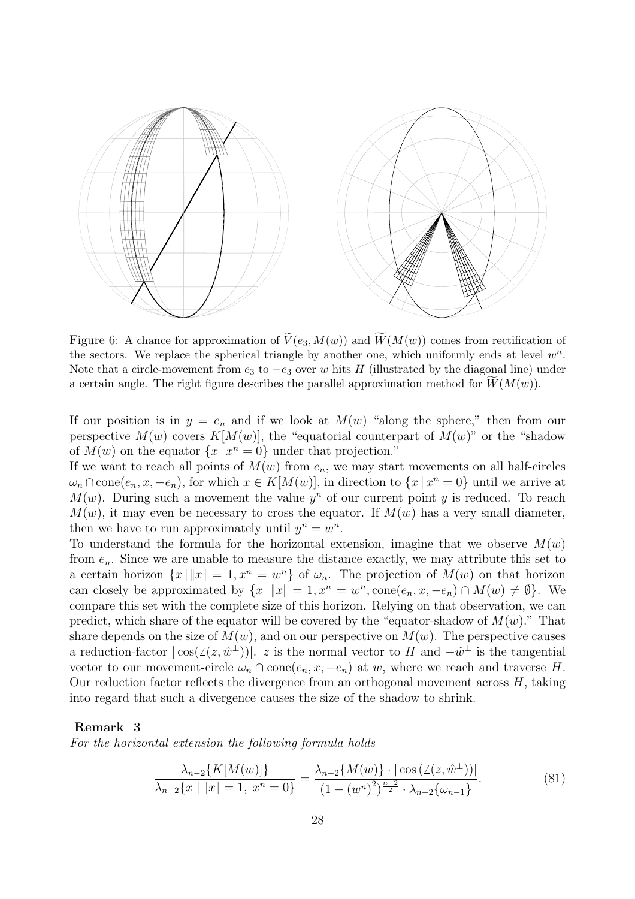

Figure 6: A chance for approximation of  $\widetilde{V}(e_3, M(w))$  and  $\widetilde{W}(M(w))$  comes from rectification of the sectors. We replace the spherical triangle by another one, which uniformly ends at level  $w^n$ . Note that a circle-movement from  $e_3$  to  $-e_3$  over w hits H (illustrated by the diagonal line) under a certain angle. The right figure describes the parallel approximation method for  $\widetilde{W}(M(w))$ .

If our position is in  $y = e_n$  and if we look at  $M(w)$  "along the sphere," then from our perspective  $M(w)$  covers  $K[M(w)]$ , the "equatorial counterpart of  $M(w)$ " or the "shadow of  $M(w)$  on the equator  $\{x \mid x^n = 0\}$  under that projection."

If we want to reach all points of  $M(w)$  from  $e_n$ , we may start movements on all half-circles  $\omega_n \cap \text{cone}(e_n, x, -e_n)$ , for which  $x \in K[M(w)]$ , in direction to  $\{x \mid x^n = 0\}$  until we arrive at  $M(w)$ . During such a movement the value  $y^n$  of our current point y is reduced. To reach  $M(w)$ , it may even be necessary to cross the equator. If  $M(w)$  has a very small diameter, then we have to run approximately until  $y^n = w^n$ .

To understand the formula for the horizontal extension, imagine that we observe  $M(w)$ from  $e_n$ . Since we are unable to measure the distance exactly, we may attribute this set to a certain horizon  $\{x \mid ||x|| = 1, x^n = w^n\}$  of  $\omega_n$ . The projection of  $M(w)$  on that horizon can closely be approximated by  $\{x \mid ||x|| = 1, x^n = w^n, \text{cone}(e_n, x, -e_n) \cap M(w) \neq \emptyset\}$ . We compare this set with the complete size of this horizon. Relying on that observation, we can predict, which share of the equator will be covered by the "equator-shadow of  $M(w)$ ." That share depends on the size of  $M(w)$ , and on our perspective on  $M(w)$ . The perspective causes a reduction-factor  $|\cos(\angle(z,\hat{w}^{\perp}))|$ . z is the normal vector to H and  $-\hat{w}^{\perp}$  is the tangential vector to our movement-circle  $\omega_n \cap \text{cone}(e_n, x, -e_n)$  at w, where we reach and traverse H. Our reduction factor reflects the divergence from an orthogonal movement across  $H$ , taking into regard that such a divergence causes the size of the shadow to shrink.

#### **Remark 3**

For the horizontal extension the following formula holds

$$
\frac{\lambda_{n-2}\{K[M(w)]\}}{\lambda_{n-2}\{x \mid \|x\| = 1, \ x^n = 0\}} = \frac{\lambda_{n-2}\{M(w)\} \cdot |\cos(\angle(z, \hat{w}^{\perp}))|}{(1 - (w^n)^2)^{\frac{n-2}{2}} \cdot \lambda_{n-2}\{\omega_{n-1}\}}.
$$
(81)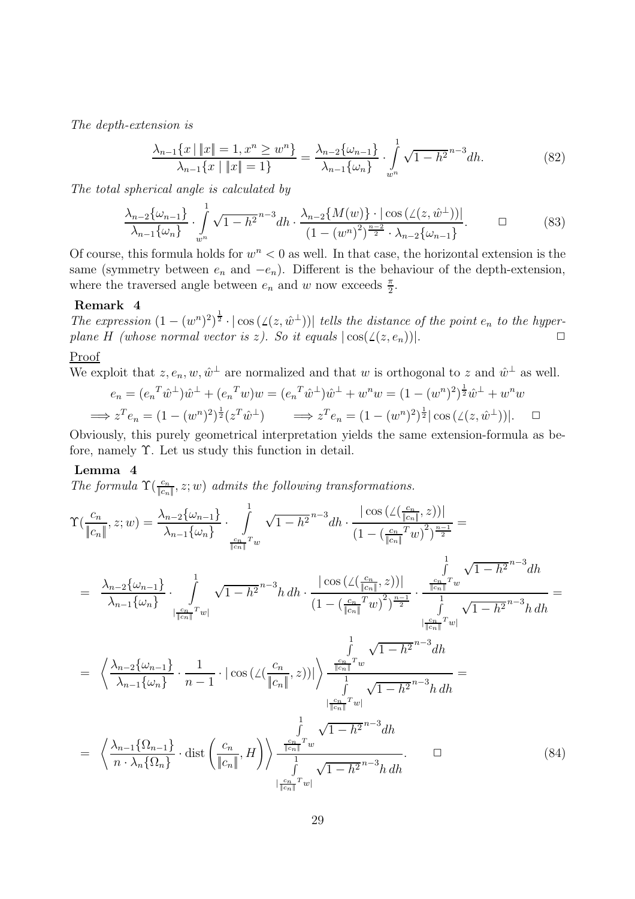The depth-extension is

$$
\frac{\lambda_{n-1}\{x \mid \|x\| = 1, x^n \ge w^n\}}{\lambda_{n-1}\{x \mid \|x\| = 1\}} = \frac{\lambda_{n-2}\{\omega_{n-1}\}}{\lambda_{n-1}\{\omega_n\}} \cdot \int_{w^n}^1 \sqrt{1 - h^2}^{n-3} dh. \tag{82}
$$

The total spherical angle is calculated by

$$
\frac{\lambda_{n-2}\{\omega_{n-1}\}}{\lambda_{n-1}\{\omega_n\}} \cdot \int_{w^n}^1 \sqrt{1-h^2}^{n-3} dh \cdot \frac{\lambda_{n-2}\{M(w)\} \cdot |\cos(\angle(z,\hat{w}^\perp))|}{(1-(w^n)^2)^{\frac{n-2}{2}} \cdot \lambda_{n-2}\{\omega_{n-1}\}}.
$$
 (83)

Of course, this formula holds for  $w^n < 0$  as well. In that case, the horizontal extension is the same (symmetry between  $e_n$  and  $-e_n$ ). Different is the behaviour of the depth-extension, where the traversed angle between  $e_n$  and w now exceeds  $\frac{\pi}{2}$ .

#### **Remark 4**

The expression  $(1 - (w^n)^2)^{\frac{1}{2}} \cdot |\cos(\angle(z, \hat{w}^{\perp}))|$  tells the distance of the point  $e_n$  to the hyper-<br>where  $H_1(wh, \cos w, \cos w, \cos w, \sin w, \cos w)$ plane H (whose normal vector is z). So it equals  $|\cos(\angle(z, e_n))|$ .

### Proof

We exploit that  $z, e_n, w, \hat{w}^{\perp}$  are normalized and that w is orthogonal to z and  $\hat{w}^{\perp}$  as well.

$$
e_n = (e_n^T \hat{w}^\perp) \hat{w}^\perp + (e_n^T w) w = (e_n^T \hat{w}^\perp) \hat{w}^\perp + w^n w = (1 - (w^n)^2)^{\frac{1}{2}} \hat{w}^\perp + w^n w
$$
  
\n
$$
\implies z^T e_n = (1 - (w^n)^2)^{\frac{1}{2}} (z^T \hat{w}^\perp) \implies z^T e_n = (1 - (w^n)^2)^{\frac{1}{2}} |\cos(\angle(z, \hat{w}^\perp))|.
$$

Obviously, this purely geometrical interpretation yields the same extension-formula as before, namely  $\Upsilon$ . Let us study this function in detail.

#### **Lemma 4**

The formula  $\Upsilon(\frac{c_n}{|c_n|}, z; w)$  admits the following transformations.

$$
\Upsilon\left(\frac{c_n}{\|c_n\|}, z; w\right) = \frac{\lambda_{n-2}\{\omega_{n-1}\}}{\lambda_{n-1}\{\omega_n\}} \cdot \int_{\frac{c_n}{\|c_n\|}x} \sqrt{1-h^2}^{n-3} dh \cdot \frac{|\cos\left(\angle\left(\frac{c_n}{\|c_n\|}, z\right)\right)|}{\left(1 - \left(\frac{c_n}{\|c_n\|}x\right)\right)^{\frac{n-1}{2}}} =
$$
\n
$$
= \frac{\lambda_{n-2}\{\omega_{n-1}\}}{\lambda_{n-1}\{\omega_n\}} \cdot \int_{\frac{c_n}{\|c_n\|}x} \sqrt{1-h^2}^{n-3} hdh \cdot \frac{|\cos\left(\angle\left(\frac{c_n}{\|c_n\|}, z\right)\right)|}{\left(1 - \left(\frac{c_n}{\|c_n\|}x\right)\right)^{\frac{n-1}{2}}} \cdot \frac{\int_{\frac{c_n}{\|c_n\|}x} \sqrt{1-h^2}^{n-3} dh}{\int_{\frac{c_n}{\|c_n\|}x} \sqrt{1-h^2}^{n-3} hdh}
$$
\n
$$
= \left\langle \frac{\lambda_{n-2}\{\omega_{n-1}\}}{\lambda_{n-1}\{\omega_n\}} \cdot \frac{1}{n-1} \cdot |\cos\left(\angle\left(\frac{c_n}{\|c_n\|}, z\right)\right)| \right\rangle \frac{\frac{c_n}{\|c_n\|}x}{\int_{\frac{c_n}{\|c_n\|}x} \sqrt{1-h^2}^{n-3} dh}}{\int_{\frac{c_n}{\|c_n\|}x} \sqrt{1-h^2}^{n-3} h dh}
$$
\n
$$
= \left\langle \frac{\lambda_{n-1}\{\Omega_{n-1}\}}{\lambda_{n-1}\{\Omega_n\}} \cdot \frac{1}{\text{dist}\left(\frac{c_n}{\|c_n\|}, H\right)} \right\rangle \frac{\frac{1}{\|c_n\|}x}{\int_{\frac{c_n}{\|c_n\|}x} \sqrt{1-h^2}^{n-3} dh}{\sqrt{1-h^2}^{n-3} h dh}.
$$
\n
$$
= \left\langle \frac{\lambda_{n-1}\{\Omega_{n-1}\}}{\lambda_{n}\{\Omega_n\}} \cdot \text{dist}\left(\frac{c_n}{\|c_n\|}, H\right) \right\rangle \frac{\frac{1}{
$$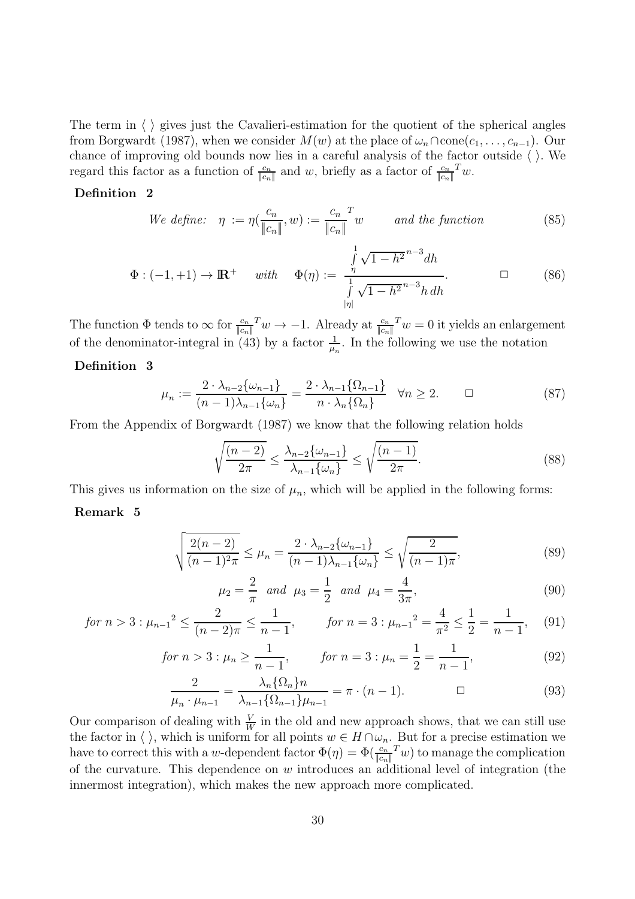The term in  $\langle \ \rangle$  gives just the Cavalieri-estimation for the quotient of the spherical angles from Borgwardt (1987), when we consider  $M(w)$  at the place of  $\omega_n \cap \text{cone}(c_1,\ldots,c_{n-1})$ . Our chance of improving old bounds now lies in a careful analysis of the factor outside  $\langle \ \rangle$ . We regard this factor as a function of  $\frac{c_n}{\|c_n\|}$  and w, briefly as a factor of  $\frac{c_n}{\|c_n\|} w$ .

#### **Definition 2**

We define: 
$$
\eta := \eta(\frac{c_n}{\|c_n\|}, w) := \frac{c_n}{\|c_n\|}^T w
$$
 and the function (85)

$$
\Phi: (-1, +1) \to \mathbb{R}^+ \quad \text{with} \quad \Phi(\eta) := \frac{\int_{\eta}^{1} \sqrt{1 - h^2}^{n-3} dh}{\int_{|\eta|}^{1} \sqrt{1 - h^2}^{n-3} h \, dh}.
$$

The function  $\Phi$  tends to  $\infty$  for  $\frac{c_n}{\|c_n\|}^T w \to -1$ . Already at  $\frac{c_n}{\|c_n\|}^T w = 0$  it yields an enlargement of the denominator-integral in  $(43)$  by a factor  $\frac{1}{4}$  $\mu_n$ . In the following we use the notation

#### **Definition 3**

$$
\mu_n := \frac{2 \cdot \lambda_{n-2} \{\omega_{n-1}\}}{(n-1)\lambda_{n-1} \{\omega_n\}} = \frac{2 \cdot \lambda_{n-1} \{\Omega_{n-1}\}}{n \cdot \lambda_n \{\Omega_n\}} \quad \forall n \ge 2. \qquad \Box
$$
\n(87)

From the Appendix of Borgwardt (1987) we know that the following relation holds

$$
\sqrt{\frac{(n-2)}{2\pi}} \le \frac{\lambda_{n-2}\{\omega_{n-1}\}}{\lambda_{n-1}\{\omega_n\}} \le \sqrt{\frac{(n-1)}{2\pi}}.
$$
\n(88)

This gives us information on the size of  $\mu_n$ , which will be applied in the following forms:

#### **Remark 5**

$$
\sqrt{\frac{2(n-2)}{(n-1)^2\pi}} \le \mu_n = \frac{2 \cdot \lambda_{n-2} \{\omega_{n-1}\}}{(n-1)\lambda_{n-1} \{\omega_n\}} \le \sqrt{\frac{2}{(n-1)\pi}},
$$
\n(89)

$$
\mu_2 = \frac{2}{\pi} \text{ and } \mu_3 = \frac{1}{2} \text{ and } \mu_4 = \frac{4}{3\pi},
$$
\n(90)

$$
\text{for } n > 3: \mu_{n-1}^2 \le \frac{2}{(n-2)\pi} \le \frac{1}{n-1}, \qquad \text{for } n = 3: \mu_{n-1}^2 = \frac{4}{\pi^2} \le \frac{1}{2} = \frac{1}{n-1}, \quad (91)
$$

$$
for n > 3 : \mu_n \ge \frac{1}{n-1}, \qquad for n = 3 : \mu_n = \frac{1}{2} = \frac{1}{n-1}, \tag{92}
$$

$$
\frac{2}{\mu_n \cdot \mu_{n-1}} = \frac{\lambda_n \{\Omega_n\} n}{\lambda_{n-1} \{\Omega_{n-1}\} \mu_{n-1}} = \pi \cdot (n-1). \qquad \Box \qquad (93)
$$

Our comparison of dealing with  $\frac{V}{W}$  in the old and new approach shows, that we can still use<br>the factor in  $\wedge$  which is uniform for all points  $w \in H \cap \omega$ . But for a precise estimation we the factor in  $\langle \ \rangle$ , which is uniform for all points  $w \in H \cap \omega_n$ . But for a precise estimation we<br>have to correct this with a w-dependent factor  $\Phi(\eta) = \Phi(\frac{c_n}{|c_n|}T w)$  to manage the complication<br>of the currentian. Thi of the curvature. This dependence on  $w$  introduces an additional level of integration (the innermost integration), which makes the new approach more complicated.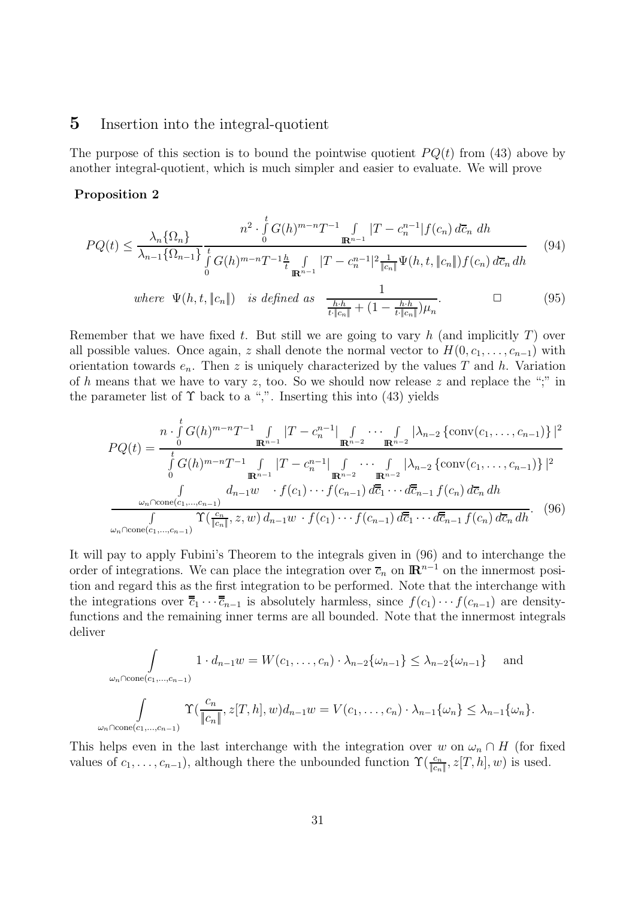### **5** Insertion into the integral-quotient

The purpose of this section is to bound the pointwise quotient  $PQ(t)$  from (43) above by another integral-quotient, which is much simpler and easier to evaluate. We will prove

#### **Proposition 2**

$$
PQ(t) \leq \frac{\lambda_n \{\Omega_n\}}{\lambda_{n-1} \{\Omega_{n-1}\}} \frac{n^2 \cdot \int_0^t G(h)^{m-n} T^{-1} \int_{\mathbb{R}^{n-1}} |T - c_n^{n-1}| f(c_n) d\overline{c}_n dh}{\int_0^t G(h)^{m-n} T^{-1} \frac{h}{t} \int_{\mathbb{R}^{n-1}} |T - c_n^{n-1}|^2 \frac{1}{\|c_n\|} \Psi(h, t, \|c_n\|) f(c_n) d\overline{c}_n dh}
$$
(94)

where 
$$
\Psi(h, t, \|c_n\|)
$$
 is defined as 
$$
\frac{1}{\frac{h \cdot h}{t \cdot \|c_n\|} + (1 - \frac{h \cdot h}{t \cdot \|c_n\|}) \mu_n}.
$$
 (95)

Remember that we have fixed t. But still we are going to vary h (and implicitly  $T$ ) over all possible values. Once again, z shall denote the normal vector to  $H(0, c_1, \ldots, c_{n-1})$  with orientation towards  $e_n$ . Then z is uniquely characterized by the values T and h. Variation of h means that we have to vary z, too. So we should now release z and replace the ";" in the parameter list of  $\Upsilon$  back to a ",". Inserting this into (43) yields

$$
PQ(t) = \frac{n \cdot \int_{0}^{t} G(h)^{m-n} T^{-1} \int_{\mathbb{R}^{n-1}} |T - c_n^{n-1}| \int_{\mathbb{R}^{n-2}} \cdots \int_{\mathbb{R}^{n-2}} |\lambda_{n-2} \{\text{conv}(c_1, \ldots, c_{n-1})\}|^{2}}{\int_{0}^{t} G(h)^{m-n} T^{-1} \int_{\mathbb{R}^{n-1}} |T - c_n^{n-1}| \int_{\mathbb{R}^{n-2}} \cdots \int_{\mathbb{R}^{n-2}} |\lambda_{n-2} \{\text{conv}(c_1, \ldots, c_{n-1})\}|^{2}
$$

$$
\frac{\int_{\omega_n \cap \text{cone}(c_1, \ldots, c_{n-1})} d_{n-1} w \cdot f(c_1) \cdots f(c_{n-1}) d\overline{c}_1 \cdots d\overline{c}_{n-1} f(c_n) d\overline{c}_n dh}{\int_{\omega_n \cap \text{cone}(c_1, \ldots, c_{n-1})} \Upsilon(\frac{c_n}{|c_n|}, z, w) d_{n-1} w \cdot f(c_1) \cdots f(c_{n-1}) d\overline{c}_1 \cdots d\overline{c}_{n-1} f(c_n) d\overline{c}_n dh}.
$$
(96)

It will pay to apply Fubini's Theorem to the integrals given in (96) and to interchange the order of integrations. We can place the integration over  $\overline{c}_n$  on  $\mathbb{R}^{n-1}$  on the innermost position and regard this as the first integration to be performed. Note that the interchange with the integrations over  $\overline{\overline{c}}_1 \cdots \overline{\overline{c}}_{n-1}$  is absolutely harmless, since  $f(c_1) \cdots f(c_{n-1})$  are densityfunctions and the remaining inner terms are all bounded. Note that the innermost integrals deliver

$$
\int_{\omega_n \cap \text{cone}(c_1, \dots, c_{n-1})} 1 \cdot d_{n-1}w = W(c_1, \dots, c_n) \cdot \lambda_{n-2} \{\omega_{n-1}\} \leq \lambda_{n-2} \{\omega_{n-1}\} \quad \text{and}
$$

$$
\int_{\omega_n \cap \text{cone}(c_1, \dots, c_{n-1})} \Upsilon(\frac{c_n}{\|c_n\|}, z[T, h], w) d_{n-1}w = V(c_1, \dots, c_n) \cdot \lambda_{n-1} \{\omega_n\} \leq \lambda_{n-1} \{\omega_n\}.
$$

This helps even in the last interchange with the integration over w on  $\omega_n \cap H$  (for fixed values of  $c_1, \ldots, c_{n-1}$ ), although there the unbounded function  $\Upsilon(\frac{c_n}{\|c_n\|}, z[T, h], w)$  is used.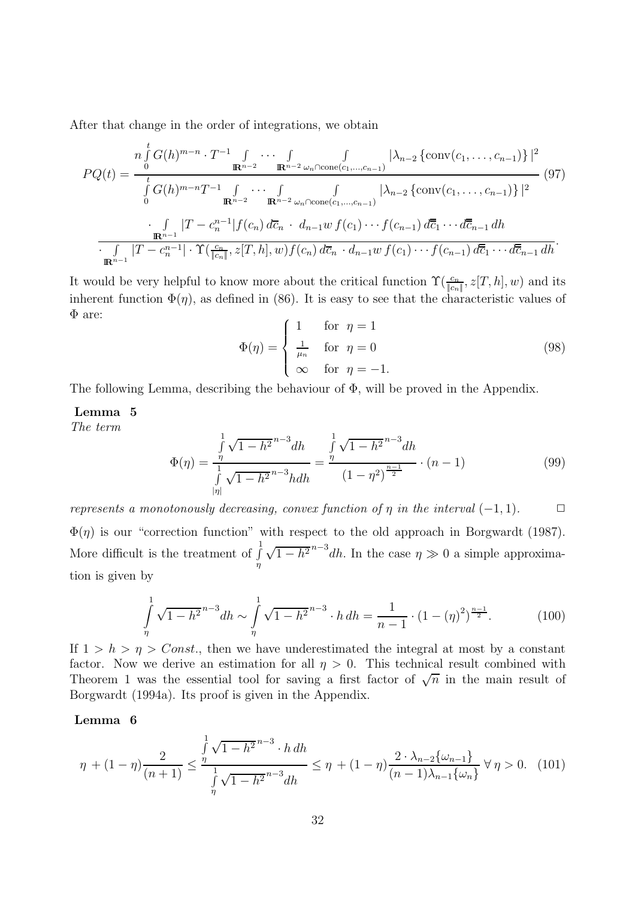After that change in the order of integrations, we obtain

$$
PQ(t) = \frac{n \int_{0}^{t} G(h)^{m-n} \cdot T^{-1} \int_{\mathbb{R}^{n-2}} \cdots \int_{\mathbb{R}^{n-2}} \int_{\mathbb{R}^{n-2}} \left| \lambda_{n-2} \left\{ \text{conv}(c_1, \ldots, c_{n-1}) \right\} \right|^2}{\int_{0}^{t} G(h)^{m-n} T^{-1} \int_{\mathbb{R}^{n-2}} \cdots \int_{\mathbb{R}^{n-2}} \int_{\mathbb{R}^{n-2}} \left| \lambda_{n-2} \left\{ \text{conv}(c_1, \ldots, c_{n-1}) \right\} \right|^2} (97)
$$
\n
$$
\frac{\int_{\mathbb{R}^{n-1}} |T - c_n^{n-1}| f(c_n) d\overline{c}_n \cdot d_{n-1} w f(c_1) \cdots f(c_{n-1}) d\overline{c}_1 \cdots d\overline{c}_{n-1} dh}{\int_{\mathbb{R}^{n-1}} |T - c_n^{n-1}| \cdot \Upsilon(\frac{c_n}{\|c_n\|}, z[T, h], w) f(c_n) d\overline{c}_n \cdot d_{n-1} w f(c_1) \cdots f(c_{n-1}) d\overline{c}_1 \cdots d\overline{c}_{n-1} dh}.
$$

It would be very helpful to know more about the critical function  $\Upsilon(\frac{c_n}{|c_n|}, z[T, h], w)$  and its<br>inherent function  $\Phi(x)$ , as defined in (86). It is easy to see that the ehemotopistic values of inherent function  $\Phi(\eta)$ , as defined in (86). It is easy to see that the characteristic values of  $\Phi$  are:

$$
\Phi(\eta) = \begin{cases}\n1 & \text{for } \eta = 1 \\
\frac{1}{\mu_n} & \text{for } \eta = 0 \\
\infty & \text{for } \eta = -1.\n\end{cases}
$$
\n(98)

The following Lemma, describing the behaviour of  $\Phi$ , will be proved in the Appendix.

### **Lemma 5**

The term

$$
\Phi(\eta) = \frac{\int_{\eta}^{1} \sqrt{1 - h^2}^{n-3} dh}{\int_{|\eta|}^{1} \sqrt{1 - h^2}^{n-3} h dh} = \frac{\int_{\eta}^{1} \sqrt{1 - h^2}^{n-3} dh}{(1 - \eta^2)^{\frac{n-1}{2}}} \cdot (n - 1)
$$
\n(99)

represents a monotonously decreasing, convex function of  $\eta$  in the interval  $(-1, 1)$ .  $\Box$  $\Phi(\eta)$  is our "correction function" with respect to the old approach in Borgwardt (1987). More difficult is the treatment of  $\int$ 1 η  $\sqrt{1-h^2}^{n-3}$ dh. In the case  $\eta \gg 0$  a simple approximation is given by

$$
\int_{\eta}^{1} \sqrt{1 - h^2}^{n-3} dh \sim \int_{\eta}^{1} \sqrt{1 - h^2}^{n-3} \cdot h \, dh = \frac{1}{n-1} \cdot (1 - (\eta)^2)^{\frac{n-1}{2}}.
$$
 (100)

If  $1 > h > \eta > Const.$ , then we have underestimated the integral at most by a constant factor. Now we derive an estimation for all  $\eta > 0$ . This technical result combined with Theorem 1 was the essential tool for saving a first factor of  $\sqrt{n}$  in the main result of Borgwardt (1994a). Its proof is given in the Appendix.

#### **Lemma 6**

$$
\eta + (1 - \eta) \frac{2}{(n+1)} \le \frac{\int_{\eta}^{1} \sqrt{1 - h^2}^{n-3} \cdot h \, dh}{\int_{\eta}^{1} \sqrt{1 - h^2}^{n-3} \, dh} \le \eta + (1 - \eta) \frac{2 \cdot \lambda_{n-2} \{\omega_{n-1}\}}{(n-1)\lambda_{n-1} \{\omega_n\}} \ \forall \eta > 0. \tag{101}
$$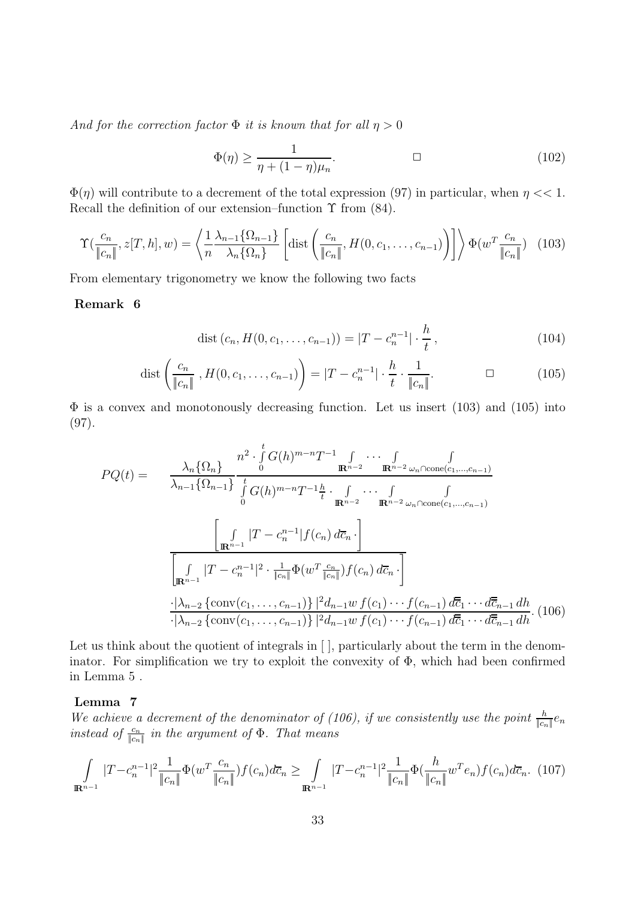And for the correction factor  $\Phi$  it is known that for all  $\eta > 0$ 

$$
\Phi(\eta) \ge \frac{1}{\eta + (1 - \eta)\mu_n}.\tag{102}
$$

 $\Phi(\eta)$  will contribute to a decrement of the total expression (97) in particular, when  $\eta \ll 1$ . Recall the definition of our extension–function  $\Upsilon$  from (84).

$$
\Upsilon\left(\frac{c_n}{\|c_n\|}, z[T, h], w\right) = \left\langle \frac{1}{n} \frac{\lambda_{n-1} \{\Omega_{n-1}\}}{\lambda_n \{\Omega_n\}} \left[ \text{dist}\left(\frac{c_n}{\|c_n\|}, H(0, c_1, \dots, c_{n-1})\right) \right] \right\rangle \Phi(w^T \frac{c_n}{\|c_n\|}) \tag{103}
$$

From elementary trigonometry we know the following two facts

#### **Remark 6**

$$
dist (c_n, H(0, c_1, \dots, c_{n-1})) = |T - c_n^{n-1}| \cdot \frac{h}{t}, \qquad (104)
$$

dist 
$$
\left(\frac{c_n}{\|c_n\|}, H(0, c_1, \dots, c_{n-1})\right) = |T - c_n^{n-1}| \cdot \frac{h}{t} \cdot \frac{1}{\|c_n\|}.
$$
  $\Box$  (105)

 $\Phi$  is a convex and monotonously decreasing function. Let us insert (103) and (105) into (97).

$$
PQ(t) = \frac{\lambda_n \{\Omega_n\}}{\lambda_{n-1} \{\Omega_{n-1}\}} \frac{n^2 \cdot \int_0^t G(h)^{m-n} T^{-1} \int_{\mathbf{R}^{n-2}} \cdots \int_{\mathbf{R}^{n-2} \omega_n \cap \text{cone}(c_1, \ldots, c_{n-1})} \cdots \int_0^t G(h)^{m-n} T^{-1} \frac{h}{t} \cdot \int_{\mathbf{R}^{n-2}} \cdots \int_{\mathbf{R}^{n-2} \omega_n \cap \text{cone}(c_1, \ldots, c_{n-1})} \cdots \int_0^t G(h)^{m-n} T^{-1} \frac{h}{t} \cdot \int_{\mathbf{R}^{n-2}} \cdots \int_0^t \cdots \int_0^t \cdots \int_0^t G(h)^{m-n} T^{-1} \frac{h}{t} \cdot \int_0^t \cdots \int_0^t \cdots \int_0^t \cdots \int_0^t G(h)^{m-n} T^{-1} \frac{h}{t} \cdot \int_0^t \cdots \int_0^t \cdots \int_0^t \cdots \int_0^t G(h)^{m-n} T^{-1} \frac{h}{t} \cdot \int_0^t \cdots \int_0^t \cdots \int_0^t \cdots \int_0^t G(h)^{m-n} T^{-1} \frac{h}{t} \cdot \int_0^t \cdots \int_0^t \cdots \int_0^t G(h)^{m-n} T^{-1} \frac{h}{t} \cdot \int_0^t \cdots \int_0^t \cdots \int_0^t G(h)^{m-n} T^{-1} \frac{h}{t} \cdot \int_0^t \cdots \int_0^t \cdots \int_0^t G(h)^{m-n} T^{-1} \frac{h}{t} \cdot \int_0^t \cdots \int_0^t \cdots \int_0^t G(h)^{m-n} T^{-1} \frac{h}{t} \cdot \int_0^t \cdots \int_0^t \cdots \int_0^t G(h)^{m-n} \mathbf{R}^{n-2} \cdots \int_0^t \cdots \int_0^t \cdots \int_0^t \cdots \int_0^t G(h)^{m-n} \mathbf{R}^{n-2} \cdots \int_0^t \cdots \int_0^t \cdots \int_0^t \cdots \int_0^t \cdots \int
$$

Let us think about the quotient of integrals in  $\lceil \cdot \rceil$ , particularly about the term in the denominator. For simplification we try to exploit the convexity of  $\Phi$ , which had been confirmed in Lemma 5 .

#### **Lemma 7**

We achieve a decrement of the denominator of (106), if we consistently use the point  $\frac{h}{|c_n|}e_n$ <br>instead of  $\frac{c_n}{|c_n|}$  in the argument of  $\Phi$ . That means instead of  $\frac{c_n}{|c_n|}$  in the argument of  $\Phi$ . That means

$$
\int_{\mathbb{R}^{n-1}} |T - c_n^{n-1}|^2 \frac{1}{\|c_n\|} \Phi(w^T \frac{c_n}{\|c_n\|}) f(c_n) d\overline{c}_n \ge \int_{\mathbb{R}^{n-1}} |T - c_n^{n-1}|^2 \frac{1}{\|c_n\|} \Phi(\frac{h}{\|c_n\|} w^T e_n) f(c_n) d\overline{c}_n. (107)
$$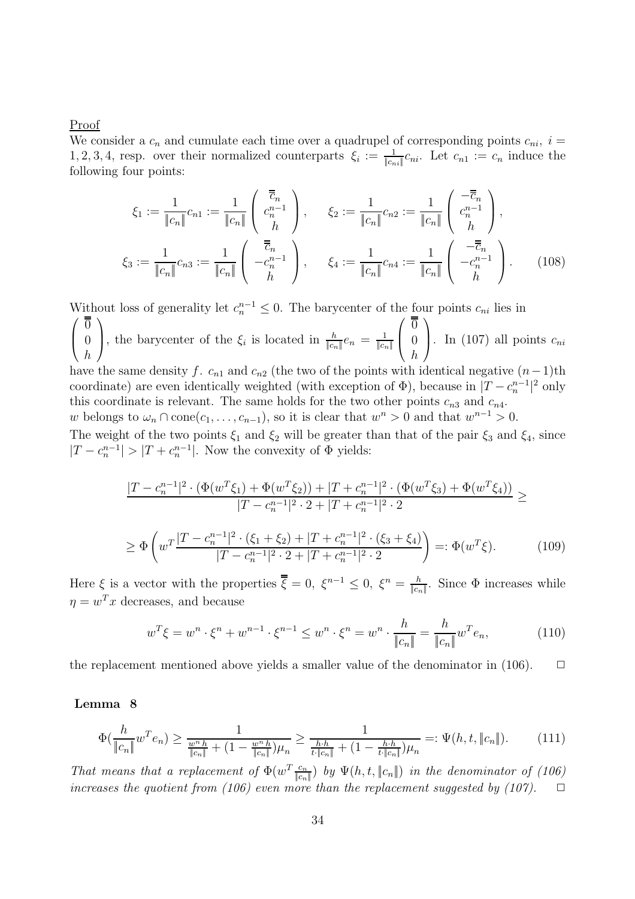Proof

We consider a  $c_n$  and cumulate each time over a quadrupel of corresponding points  $c_{ni}$ ,  $i =$ 1, 2, 3, 4, resp. over their normalized counterparts  $\xi_i := \frac{1}{|c_{ni}|} c_{ni}$ . Let  $c_{n1} := c_n$  induce the following four points: following four points:

$$
\xi_1 := \frac{1}{\|c_n\|} c_{n1} := \frac{1}{\|c_n\|} \begin{pmatrix} \overline{\overline{c}}_n \\ c_n^{n-1} \\ h \end{pmatrix}, \qquad \xi_2 := \frac{1}{\|c_n\|} c_{n2} := \frac{1}{\|c_n\|} \begin{pmatrix} -\overline{\overline{c}}_n \\ c_n^{n-1} \\ h \end{pmatrix},
$$
  

$$
\xi_3 := \frac{1}{\|c_n\|} c_{n3} := \frac{1}{\|c_n\|} \begin{pmatrix} \overline{\overline{c}}_n \\ -c_n^{n-1} \\ h \end{pmatrix}, \qquad \xi_4 := \frac{1}{\|c_n\|} c_{n4} := \frac{1}{\|c_n\|} \begin{pmatrix} -\overline{\overline{c}}_n \\ -c_n^{n-1} \\ h \end{pmatrix}.
$$
 (108)

Without loss of generality let  $c_n^{n-1} \leq 0$ . The barycenter of the four points  $c_{ni}$  lies in  $\sqrt{ }$  $\overline{ }$  $\overline{0}$  $\overline{0}$ h  $\setminus$ , the barycenter of the  $\xi_i$  is located in  $\frac{h}{\|c_n\|}e_n = \frac{1}{\|c_n\|}$  $\sqrt{ }$  $\left\{ \right.$  $\overline{0}$  $\overline{0}$ h  $\setminus$ . In (107) all points  $c_{ni}$ have the same density f.  $c_{n1}$  and  $c_{n2}$  (the two of the points with identical negative  $(n-1)$ th coordinate) are even identically weighted (with exception of  $\Phi$ ), because in  $|T - c_n^{n-1}|^2$  only<br>this coordinate is relevant. The same holds for the two other points  $e_n$  and  $e_n$ . this coordinate is relevant. The same holds for the two other points  $c_{n3}$  and  $c_{n4}$ . w belongs to  $\omega_n \cap \text{cone}(c_1,\ldots,c_{n-1})$ , so it is clear that  $w^n > 0$  and that  $w^{n-1} > 0$ . The weight of the two points  $\xi_1$  and  $\xi_2$  will be greater than that of the pair  $\xi_3$  and  $\xi_4$ , since  $|T - c_n^{n-1}| > |T + c_n^{n-1}|$ . Now the convexity of  $\Phi$  yields:

$$
\frac{|T - c_n^{n-1}|^2 \cdot (\Phi(w^T \xi_1) + \Phi(w^T \xi_2)) + |T + c_n^{n-1}|^2 \cdot (\Phi(w^T \xi_3) + \Phi(w^T \xi_4))}{|T - c_n^{n-1}|^2 \cdot 2 + |T + c_n^{n-1}|^2 \cdot 2}
$$
\n
$$
\geq \Phi\left(w^T \frac{|T - c_n^{n-1}|^2 \cdot (\xi_1 + \xi_2) + |T + c_n^{n-1}|^2 \cdot (\xi_3 + \xi_4)}{|T - c_n^{n-1}|^2 \cdot 2 + |T + c_n^{n-1}|^2 \cdot 2}\right) =: \Phi(w^T \xi). \tag{109}
$$

Here  $\xi$  is a vector with the properties  $\overline{\overline{\xi}} = 0$ ,  $\xi^{n-1} \leq 0$ ,  $\xi^n = \frac{h}{|c_n|}$ . Since  $\Phi$  increases while  $\eta = w^T x$  decreases, and because

$$
w^T \xi = w^n \cdot \xi^n + w^{n-1} \cdot \xi^{n-1} \le w^n \cdot \xi^n = w^n \cdot \frac{h}{\|c_n\|} = \frac{h}{\|c_n\|} w^T e_n,
$$
 (110)

the replacement mentioned above yields a smaller value of the denominator in  $(106)$ .  $\Box$ 

#### **Lemma 8**

$$
\Phi\left(\frac{h}{\|c_n\|}w^T e_n\right) \ge \frac{1}{\frac{w^n h}{\|c_n\|} + (1 - \frac{w^n h}{\|c_n\|})\mu_n} \ge \frac{1}{\frac{h \cdot h}{t \cdot \|c_n\|} + (1 - \frac{h \cdot h}{t \cdot \|c_n\|})\mu_n} =: \Psi(h, t, \|c_n\|). \tag{111}
$$

That means that a replacement of  $\Phi(w^T \frac{c_n}{\|c_n\|})$  by  $\Psi(h, t, \|c_n\|)$  in the denominator of (106)<br>increases the quotient from (106) cum means than the replacement expected by (107) increases the quotient from (106) even more than the replacement suggested by (107).  $\Box$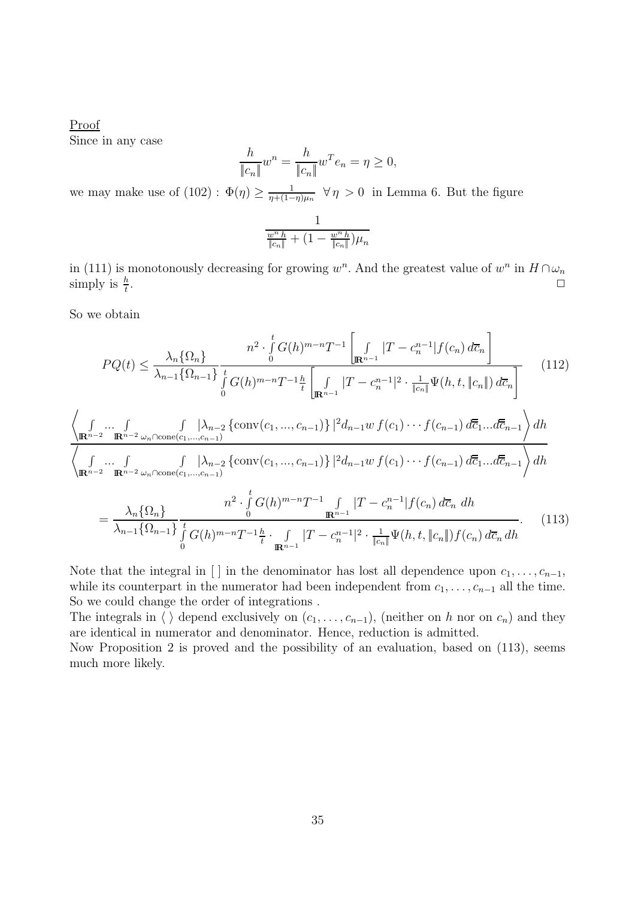Proof Since in any case

$$
\frac{h}{\|c_n\|}w^n = \frac{h}{\|c_n\|}w^T e_n = \eta \ge 0,
$$

we may make use of (102) :  $\Phi(\eta) \ge \frac{1}{\eta + (1-\eta)\mu_n} \ \forall \eta > 0$  in Lemma 6. But the figure

$$
\frac{1}{\frac{w^n h}{\|c_n\|} + (1 - \frac{w^n h}{\|c_n\|})\mu_n}
$$

in (111) is monotonously decreasing for growing  $w^n$ . And the greatest value of  $w^n$  in  $H \cap \omega_n$ <br>simply is  $\frac{h}{L}$ . simply is  $\frac{h}{t}$ .  $\frac{h}{t}$ .

So we obtain

$$
PQ(t) \leq \frac{\lambda_n \{\Omega_n\}}{\lambda_{n-1} \{\Omega_{n-1}\}} \frac{n^2 \cdot \int_0^t G(h)^{m-n} T^{-1} \left[ \int_{\mathbb{R}^{n-1}} |T - c_n^{n-1}| f(c_n) d\overline{c}_n \right]}{\int_G (h)^{m-n} T^{-1} \frac{h}{t} \left[ \int_{\mathbb{R}^{n-1}} |T - c_n^{n-1}|^2 \cdot \frac{1}{\|c_n\|} \Psi(h, t, \|c_n\|) d\overline{c}_n \right]}
$$
(112)  

$$
\left\langle \int_{\mathbb{R}^{n-2}} \cdots \int_{\mathbb{R}^{n-2} \omega_n \cap \text{cone}(c_1, \dots, c_{n-1})} \left( \frac{\lambda_{n-2} \left\{ \text{conv}(c_1, \dots, c_{n-1}) \right\} \right\}^2 d_{n-1} w f(c_1) \cdots f(c_{n-1}) d\overline{c}_1 \dots d\overline{c}_{n-1} \right\rangle dh}{\sqrt{\int_{\mathbb{R}^{n-2}} \cdots \int_{\mathbb{R}^{n-2} \omega_n \cap \text{cone}(c_1, \dots, c_{n-1})} \frac{\int_{\mathbb{R}^{n-2}} \left( \frac{\lambda_{n-2} \left\{ \text{conv}(c_1, \dots, c_{n-1}) \right\} \right\}^2 d_{n-1} w f(c_1) \cdots f(c_{n-1}) d\overline{c}_1 \dots d\overline{c}_{n-1} \right\rangle dh}{\frac{n^2 \cdot \int_0^t G(h)^{m-n} T^{-1} \int_{\mathbb{R}^{n-1}} |T - c_n^{n-1}| f(c_n) d\overline{c}_n dh}{\frac{n^2 \cdot \int_0^t G(h)^{m-n} T^{-1} \frac{h}{t} \cdot \int_{\mathbb{R}^{n-1}} |T - c_n^{n-1}|^2 \cdot \frac{1}{|c_n|} \Psi(h, t, \|c_n\|) f(c_n) d\overline{c}_n dh}
$$
(113)

Note that the integral in [] in the denominator has lost all dependence upon  $c_1, \ldots, c_{n-1}$ , while its counterpart in the numerator had been independent from  $c_1, \ldots, c_{n-1}$  all the time. So we could change the order of integrations .

The integrals in  $\langle \rangle$  depend exclusively on  $(c_1,\ldots,c_{n-1})$ , (neither on h nor on  $c_n$ ) and they are identical in numerator and denominator. Hence, reduction is admitted.

Now Proposition 2 is proved and the possibility of an evaluation, based on (113), seems much more likely.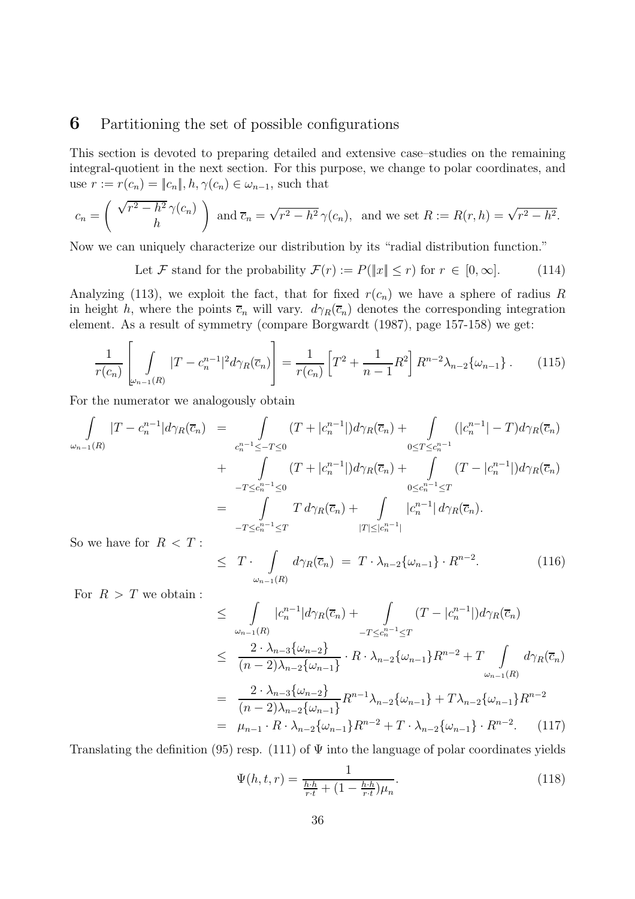### **6** Partitioning the set of possible configurations

This section is devoted to preparing detailed and extensive case–studies on the remaining integral-quotient in the next section. For this purpose, we change to polar coordinates, and use  $r := r(c_n) = ||c_n||, h, \gamma(c_n) \in \omega_{n-1}$ , such that

$$
c_n = \left(\begin{array}{c} \sqrt{r^2 - h^2} \gamma(c_n) \\ h \end{array}\right) \text{ and } \overline{c}_n = \sqrt{r^2 - h^2} \gamma(c_n), \text{ and we set } R := R(r, h) = \sqrt{r^2 - h^2}.
$$

Now we can uniquely characterize our distribution by its "radial distribution function."

Let F stand for the probability  $\mathcal{F}(r) := P(\|x\| \le r)$  for  $r \in [0, \infty]$ . (114)

Analyzing (113), we exploit the fact, that for fixed  $r(c_n)$  we have a sphere of radius R in height h, where the points  $\overline{c}_n$  will vary.  $d\gamma_R(\overline{c}_n)$  denotes the corresponding integration element. As a result of symmetry (compare Borgwardt (1987), page 157-158) we get:

$$
\frac{1}{r(c_n)} \left[ \int\limits_{\omega_{n-1}(R)} |T - c_n^{n-1}|^2 d\gamma_R(\overline{c}_n) \right] = \frac{1}{r(c_n)} \left[ T^2 + \frac{1}{n-1} R^2 \right] R^{n-2} \lambda_{n-2} \{\omega_{n-1}\} \,. \tag{115}
$$

For the numerator we analogously obtain

$$
\int_{\omega_{n-1}(R)} |T - c_n^{n-1}| d\gamma_R(\overline{c}_n) = \int_{\substack{c_n^{n-1} \le -T \le 0 \\ \omega_{n-1}(R)}} (T + |c_n^{n-1}|) d\gamma_R(\overline{c}_n) + \int_{\substack{0 \le T \le c_n^{n-1} \\ \omega_{n-1}(T + |c_n^{n-1}|) d\gamma_R(\overline{c}_n) + \int_{\substack{0 \le c_n^{n-1} \le T}} (T - |c_n^{n-1}|) d\gamma_R(\overline{c}_n) + \int_{\substack{0 \le c_n^{n-1} \le T}} (T - |c_n^{n-1}|) d\gamma_R(\overline{c}_n) + \int_{\substack{-T \le c_n^{n-1} \le T}} T d\gamma_R(\overline{c}_n) + \int_{|T| \le |c_n^{n-1}|} |c_n^{n-1}| d\gamma_R(\overline{c}_n).
$$
\nSo we have for  $R < T$ .

So we have for  $R <$ 

$$
\leq T \cdot \int_{\omega_{n-1}(R)} d\gamma_R(\overline{c}_n) = T \cdot \lambda_{n-2} \{\omega_{n-1}\} \cdot R^{n-2}.
$$
 (116)

For  $R>T$  we obtain :

$$
\leq \int_{\omega_{n-1}(R)} |c_{n}^{n-1}| d\gamma_{R}(\overline{c}_{n}) + \int_{-T \leq c_{n}^{n-1} \leq T} (T - |c_{n}^{n-1}|) d\gamma_{R}(\overline{c}_{n})
$$
\n
$$
\leq \frac{2 \cdot \lambda_{n-3} \{\omega_{n-2}\}}{(n-2)\lambda_{n-2} \{\omega_{n-1}\}} \cdot R \cdot \lambda_{n-2} \{\omega_{n-1}\} R^{n-2} + T \int_{\omega_{n-1}(R)} d\gamma_{R}(\overline{c}_{n})
$$
\n
$$
= \frac{2 \cdot \lambda_{n-3} \{\omega_{n-2}\}}{(n-2)\lambda_{n-2} \{\omega_{n-1}\}} R^{n-1} \lambda_{n-2} \{\omega_{n-1}\} + T \lambda_{n-2} \{\omega_{n-1}\} R^{n-2}
$$
\n
$$
= \mu_{n-1} \cdot R \cdot \lambda_{n-2} \{\omega_{n-1}\} R^{n-2} + T \cdot \lambda_{n-2} \{\omega_{n-1}\} \cdot R^{n-2}.
$$
\n(117)

Translating the definition (95) resp. (111) of  $\Psi$  into the language of polar coordinates yields

$$
\Psi(h, t, r) = \frac{1}{\frac{h \cdot h}{r \cdot t} + (1 - \frac{h \cdot h}{r \cdot t}) \mu_n}.
$$
\n(118)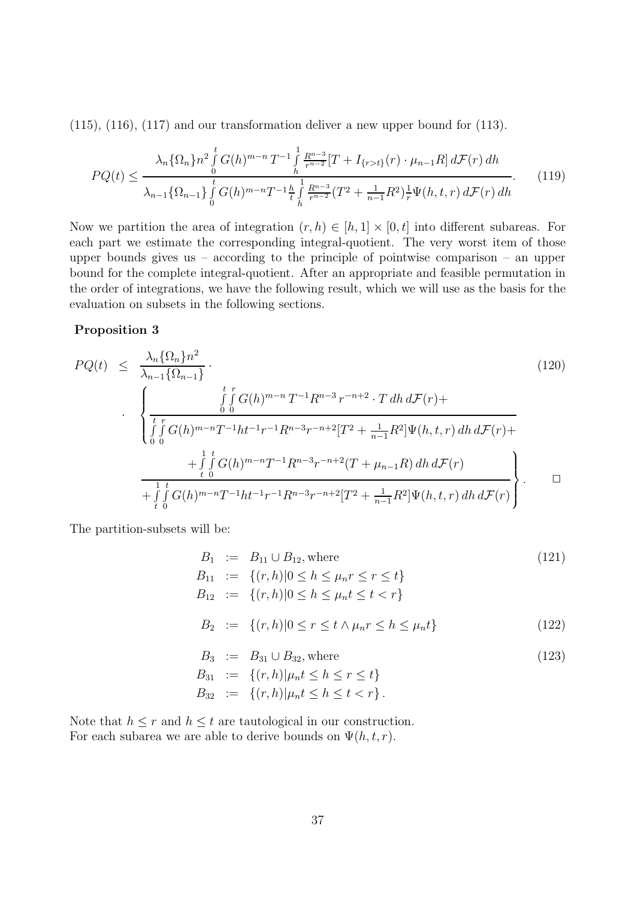$(115)$ ,  $(116)$ ,  $(117)$  and our transformation deliver a new upper bound for  $(113)$ .

$$
PQ(t) \leq \frac{\lambda_n \{\Omega_n\} n^2 \int_0^t G(h)^{m-n} T^{-1} \int_h^1 \frac{R^{n-3}}{r^{n-2}} [T + I_{\{r > t\}}(r) \cdot \mu_{n-1} R] d\mathcal{F}(r) dh}{\lambda_{n-1} \{\Omega_{n-1}\} \int_0^t G(h)^{m-n} T^{-1} \frac{h}{t} \int_h^1 \frac{R^{n-3}}{r^{n-2}} (T^2 + \frac{1}{n-1} R^2) \frac{1}{r} \Psi(h, t, r) d\mathcal{F}(r) dh}.
$$
 (119)

Now we partition the area of integration  $(r, h) \in [h, 1] \times [0, t]$  into different subareas. For each part we estimate the corresponding integral-quotient. The very worst item of those upper bounds gives us – according to the principle of pointwise comparison – an upper bound for the complete integral-quotient. After an appropriate and feasible permutation in the order of integrations, we have the following result, which we will use as the basis for the evaluation on subsets in the following sections.

#### **Proposition 3**

$$
PQ(t) \leq \frac{\lambda_n \{\Omega_n\} n^2}{\lambda_{n-1} \{\Omega_{n-1}\}} \cdot \qquad (120)
$$
\n
$$
\cdot \left\{ \frac{\int\limits_0^t \int\limits_0^r G(h)^{m-n} T^{-1} R^{n-3} r^{-n+2} \cdot T \, dh \, d\mathcal{F}(r) + \frac{\int\limits_0^t \int\limits_0^r G(h)^{m-n} T^{-1} h t^{-1} r^{-1} R^{n-3} r^{-n+2} [T^2 + \frac{1}{n-1} R^2] \Psi(h, t, r) \, dh \, d\mathcal{F}(r) + \frac{\int\limits_0^1 \int\limits_0^t G(h)^{m-n} T^{-1} R^{n-3} r^{-n+2} (T + \mu_{n-1} R) \, dh \, d\mathcal{F}(r)}{\frac{1}{n} \int\limits_0^t \int\limits_0^t G(h)^{m-n} T^{-1} h t^{-1} r^{-1} R^{n-3} r^{-n+2} [T^2 + \frac{1}{n-1} R^2] \Psi(h, t, r) \, dh \, d\mathcal{F}(r)} \right\} \qquad \Box
$$
\n(120)

The partition-subsets will be:

$$
B_1 := B_{11} \cup B_{12}, \text{where} \qquad (121)
$$
\n
$$
B_{11} := \{(r, h) | 0 \le h \le \mu_n r \le r \le t\}
$$
\n
$$
B_{12} := \{(r, h) | 0 \le h \le \mu_n t \le t < r\}
$$
\n
$$
B_2 := \{(r, h) | 0 \le r \le t \land \mu_n r \le h \le \mu_n t\} \qquad (122)
$$
\n
$$
B_3 := B_{31} \cup B_{32}, \text{where} \qquad (123)
$$
\n
$$
B_{31} := \{(r, h) | \mu_n t < h < r < t\}
$$

$$
B_{31} := \{(r,h)|\mu_n t \le h \le r \le t\}
$$
  

$$
B_{32} := \{(r,h)|\mu_n t \le h \le t < r\}.
$$

Note that  $h \leq r$  and  $h \leq t$  are tautological in our construction. For each subarea we are able to derive bounds on  $\Psi(h, t, r)$ .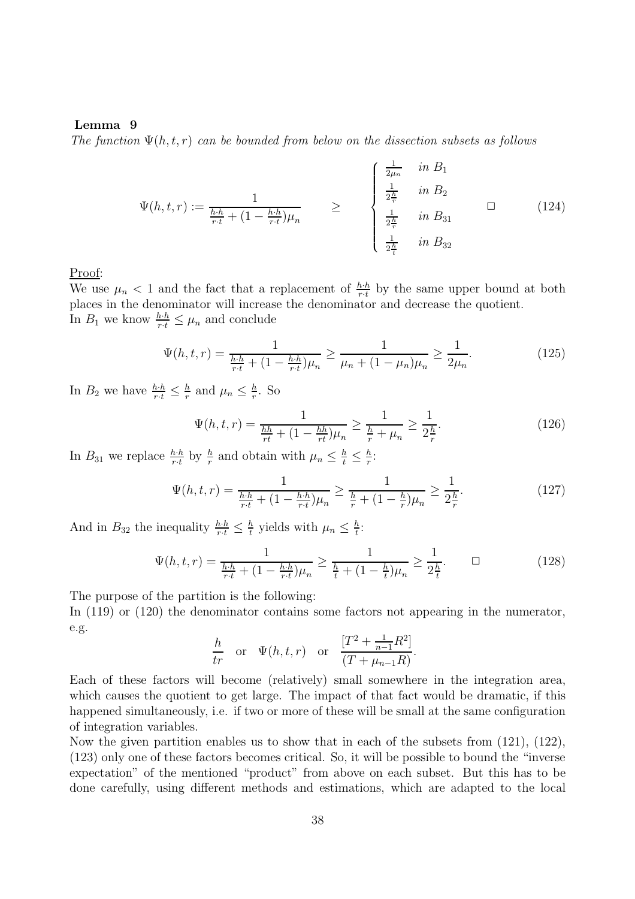#### **Lemma 9**

The function  $\Psi(h, t, r)$  can be bounded from below on the dissection subsets as follows

$$
\Psi(h, t, r) := \frac{1}{\frac{h \cdot h}{r \cdot t} + (1 - \frac{h \cdot h}{r \cdot t}) \mu_n} \ge \begin{cases} \frac{1}{2\mu_n} & \text{in } B_1 \\ \frac{1}{2\frac{h}{r}} & \text{in } B_2 \\ \frac{1}{2\frac{h}{r}} & \text{in } B_{31} \end{cases} \qquad (124)
$$

#### Proof:

We use  $\mu_n < 1$  and the fact that a replacement of  $\frac{h \cdot h}{r \cdot t}$  by the same upper bound at both places in the denominator will increase the denominator and decrease the quotient places in the denominator will increase the denominator and decrease the quotient. In  $B_1$  we know  $\frac{h \cdot h}{r \cdot t} \leq \mu_n$  and conclude

$$
\Psi(h,t,r) = \frac{1}{\frac{h \cdot h}{r \cdot t} + (1 - \frac{h \cdot h}{r \cdot t})\mu_n} \ge \frac{1}{\mu_n + (1 - \mu_n)\mu_n} \ge \frac{1}{2\mu_n}.
$$
\n(125)

In  $B_2$  we have  $\frac{h \cdot h}{r \cdot t} \leq \frac{h}{r}$  and  $\mu_n \leq \frac{h}{r}$ . So

$$
\Psi(h, t, r) = \frac{1}{\frac{hh}{rt} + (1 - \frac{hh}{rt})\mu_n} \ge \frac{1}{\frac{h}{r} + \mu_n} \ge \frac{1}{2\frac{h}{r}}.\tag{126}
$$

In  $B_{31}$  we replace  $\frac{h \cdot h}{r \cdot t}$  by  $\frac{h}{r}$  and obtain with  $\mu_n \leq \frac{h}{t} \leq \frac{h}{r}$ :

$$
\Psi(h, t, r) = \frac{1}{\frac{h \cdot h}{r \cdot t} + (1 - \frac{h \cdot h}{r \cdot t}) \mu_n} \ge \frac{1}{\frac{h}{r} + (1 - \frac{h}{r}) \mu_n} \ge \frac{1}{2\frac{h}{r}}.\tag{127}
$$

And in  $B_{32}$  the inequality  $\frac{h \cdot h}{r \cdot t} \leq \frac{h}{t}$  yields with  $\mu_n \leq \frac{h}{t}$ :

$$
\Psi(h, t, r) = \frac{1}{\frac{h \cdot h}{r \cdot t} + (1 - \frac{h \cdot h}{r \cdot t})\mu_n} \ge \frac{1}{\frac{h}{t} + (1 - \frac{h}{t})\mu_n} \ge \frac{1}{2\frac{h}{t}}.\tag{128}
$$

The purpose of the partition is the following:

In  $(119)$  or  $(120)$  the denominator contains some factors not appearing in the numerator, e.g.

$$
rac{h}{tr}
$$
 or  $\Psi(h, t, r)$  or  $\frac{[T^2 + \frac{1}{n-1}R^2]}{(T + \mu_{n-1}R)}$ .

Each of these factors will become (relatively) small somewhere in the integration area, which causes the quotient to get large. The impact of that fact would be dramatic, if this happened simultaneously, i.e. if two or more of these will be small at the same configuration of integration variables.

Now the given partition enables us to show that in each of the subsets from (121), (122), (123) only one of these factors becomes critical. So, it will be possible to bound the "inverse expectation" of the mentioned "product" from above on each subset. But this has to be done carefully, using different methods and estimations, which are adapted to the local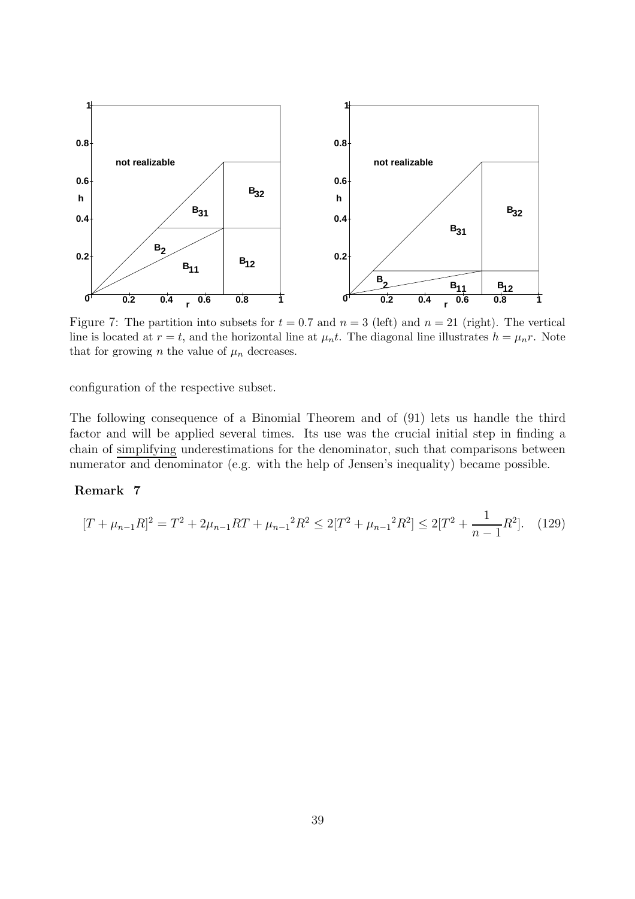

Figure 7: The partition into subsets for  $t = 0.7$  and  $n = 3$  (left) and  $n = 21$  (right). The vertical line is located at  $r = t$ , and the horizontal line at  $\mu_n t$ . The diagonal line illustrates  $h = \mu_n r$ . Note that for growing n the value of  $\mu_n$  decreases.

configuration of the respective subset.

The following consequence of a Binomial Theorem and of (91) lets us handle the third factor and will be applied several times. Its use was the crucial initial step in finding a chain of simplifying underestimations for the denominator, such that comparisons between numerator and denominator (e.g. with the help of Jensen's inequality) became possible.

#### **Remark 7**

$$
[T + \mu_{n-1}R]^2 = T^2 + 2\mu_{n-1}RT + \mu_{n-1}^2R^2 \le 2[T^2 + \mu_{n-1}^2R^2] \le 2[T^2 + \frac{1}{n-1}R^2]. \tag{129}
$$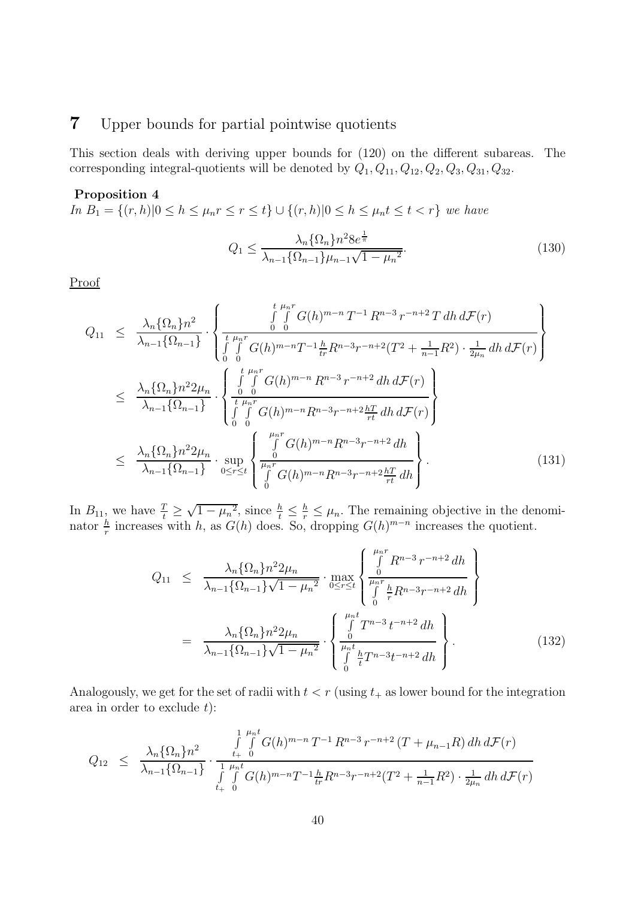## **7** Upper bounds for partial pointwise quotients

This section deals with deriving upper bounds for (120) on the different subareas. The corresponding integral-quotients will be denoted by  $Q_1, Q_{11}, Q_{12}, Q_2, Q_3, Q_{31}, Q_{32}$ .

#### **Proposition 4**

In  $B_1 = \{(r, h) | 0 \le h \le \mu_n r \le r \le t\}$  ∪  $\{(r, h) | 0 \le h \le \mu_n t \le t < r\}$  we have  $Q_1 \leq \frac{\lambda_n {\Omega_n} n^2 8 e^{\frac{1}{\pi}}}{\Omega_n}$  $\lambda_{n-1} {\Omega_{n-1}}\mu_{n-1}\sqrt{1-\mu_n^2}$ . (130)

Proof

$$
Q_{11} \leq \frac{\lambda_n \{\Omega_n\} n^2}{\lambda_{n-1} \{\Omega_{n-1}\}} \cdot \left\{ \frac{\int_{0}^{t} \int_{0}^{\mu_n r} G(h)^{m-n} T^{-1} R^{n-3} r^{-n+2} T \, dh \, d\mathcal{F}(r)}{\int_{0}^{t} \int_{0}^{\mu_n r} G(h)^{m-n} T^{-1} \frac{h}{tr} R^{n-3} r^{-n+2} (T^2 + \frac{1}{n-1} R^2) \cdot \frac{1}{2\mu_n} \, dh \, d\mathcal{F}(r)} \right\}
$$
  

$$
\leq \frac{\lambda_n \{\Omega_n\} n^2 2\mu_n}{\lambda_{n-1} \{\Omega_{n-1}\}} \cdot \left\{ \frac{\int_{0}^{t} \int_{0}^{\mu_n r} G(h)^{m-n} R^{n-3} r^{-n+2} \, dh \, d\mathcal{F}(r)}{\int_{0}^{t} \int_{0}^{\mu_n r} G(h)^{m-n} R^{n-3} r^{-n+2} \frac{hT}{rt} \, dh \, d\mathcal{F}(r)} \right\}
$$
  

$$
\leq \frac{\lambda_n \{\Omega_n\} n^2 2\mu_n}{\lambda_{n-1} \{\Omega_{n-1}\}} \cdot \sup_{0 \leq r \leq t} \left\{ \frac{\int_{0}^{\mu_n r} G(h)^{m-n} R^{n-3} r^{-n+2} \, dh}{\int_{0}^{\mu_n r} G(h)^{m-n} R^{n-3} r^{-n+2} \frac{hT}{rt} \, dh} \right\}.
$$
 (131)

In  $B_{11}$ , we have  $\frac{7}{t}$ In  $B_{11}$ , we have  $\frac{T}{t} \geq \sqrt{1 - \mu_n^2}$ , since  $\frac{h}{t} \leq \frac{h}{r} \leq \mu_n$ . The remaining objective in the denominator  $\frac{h}{r}$  increases with h, as  $G(h)$  does. So, dropping  $G(h)^{m-n}$  increases the quotient.

$$
Q_{11} \leq \frac{\lambda_n \{\Omega_n\} n^2 2\mu_n}{\lambda_{n-1} \{\Omega_{n-1}\} \sqrt{1 - \mu_n^2}} \cdot \max_{0 \leq r \leq t} \left\{ \frac{\int_0^{\mu_n r} R^{n-3} r^{-n+2} \, dh}{\int_0^r \frac{h}{r} R^{n-3} r^{-n+2} \, dh} \right\}
$$
\n
$$
= \frac{\lambda_n \{\Omega_n\} n^2 2\mu_n}{\lambda_{n-1} \{\Omega_{n-1}\} \sqrt{1 - \mu_n^2}} \cdot \left\{ \frac{\int_0^{\mu_n t} T^{n-3} \, t^{-n+2} \, dh}{\int_0^{\mu_n t} \frac{h}{t} T^{n-3} t^{-n+2} \, dh} \right\}.
$$
\n(132)

Analogously, we get for the set of radii with  $t < r$  (using  $t_+$  as lower bound for the integration area in order to exclude  $t$ :

$$
Q_{12} \leq \frac{\lambda_n \{\Omega_n\} n^2}{\lambda_{n-1} \{\Omega_{n-1}\}} \cdot \frac{\int\limits_{t_+}^{1} \int\limits_{0}^{\mu_n t} G(h)^{m-n} T^{-1} R^{n-3} r^{-n+2} (T + \mu_{n-1} R) dh d\mathcal{F}(r)}{\int\limits_{t_+}^{1} \int\limits_{0}^{\mu_n t} G(h)^{m-n} T^{-1} \frac{h}{tr} R^{n-3} r^{-n+2} (T^2 + \frac{1}{n-1} R^2) \cdot \frac{1}{2\mu_n} dh d\mathcal{F}(r)}
$$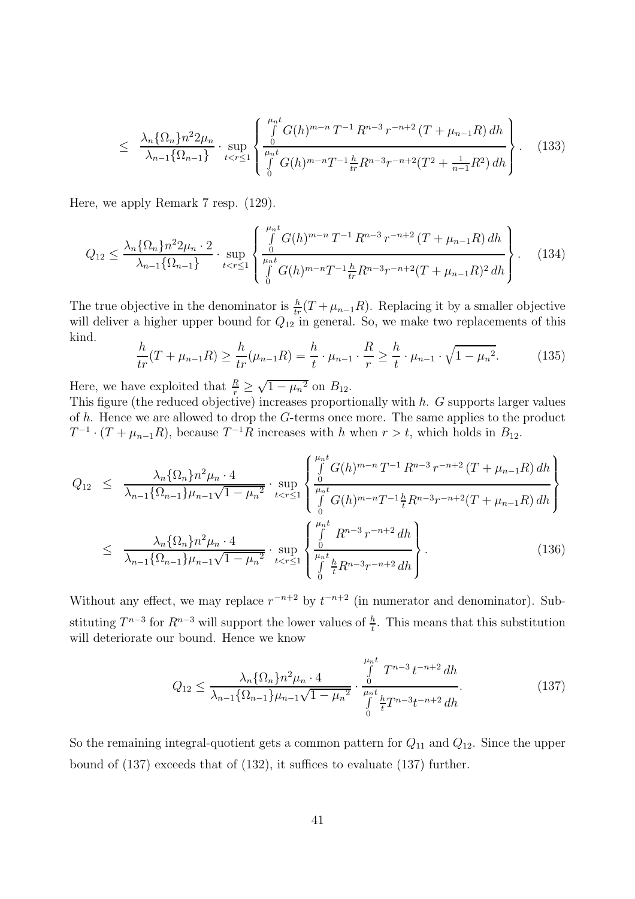$$
\leq \frac{\lambda_n \{\Omega_n\} n^2 2\mu_n}{\lambda_{n-1} \{\Omega_{n-1}\}} \cdot \sup_{t < r \leq 1} \left\{ \frac{\int_0^{\mu_n t} G(h)^{m-n} T^{-1} R^{n-3} r^{-n+2} (T + \mu_{n-1} R) dh}{\int_0^{\mu_n t} G(h)^{m-n} T^{-1} \frac{h}{tr} R^{n-3} r^{-n+2} (T^2 + \frac{1}{n-1} R^2) dh} \right\}.
$$
 (133)

Here, we apply Remark 7 resp. (129).

$$
Q_{12} \leq \frac{\lambda_n \{\Omega_n\} n^2 2\mu_n \cdot 2}{\lambda_{n-1} \{\Omega_{n-1}\}} \cdot \sup_{t < r \leq 1} \left\{ \frac{\int_0^{\mu_n t} G(h)^{m-n} T^{-1} R^{n-3} r^{-n+2} \left(T + \mu_{n-1} R\right) dh}{\int_0^{\mu_n t} G(h)^{m-n} T^{-1} \frac{h}{tr} R^{n-3} r^{-n+2} \left(T + \mu_{n-1} R\right)^2 dh} \right\}.
$$
 (134)

The true objective in the denominator is  $\frac{h}{tr}(T + \mu_{n-1}R)$ . Replacing it by a smaller objective<br>will deliver a higher upper bound for  $O_{\text{min}}$  general. So, we make two replacements of this will deliver a higher upper bound for  $Q_{12}$  in general. So, we make two replacements of this kind.

$$
\frac{h}{tr}(T + \mu_{n-1}R) \ge \frac{h}{tr}(\mu_{n-1}R) = \frac{h}{t} \cdot \mu_{n-1} \cdot \frac{R}{r} \ge \frac{h}{t} \cdot \mu_{n-1} \cdot \sqrt{1 - \mu_n^2}.
$$
 (135)

Here, we have exploited that  $\frac{R}{r}$  $\frac{R}{r} \geq \sqrt{1 - \mu_n^2}$  on  $B_{12}$ .<br>tive) increases proport

This figure (the reduced objective) increases proportionally with h. G supports larger values of  $h$ . Hence we are allowed to drop the  $G$ -terms once more. The same applies to the product  $T^{-1} \cdot (T + \mu_{n-1}R)$ , because  $T^{-1}R$  increases with h when  $r > t$ , which holds in  $B_{12}$ .

$$
Q_{12} \leq \frac{\lambda_n \{\Omega_n\} n^2 \mu_n \cdot 4}{\lambda_{n-1} \{\Omega_{n-1}\} \mu_{n-1} \sqrt{1 - \mu_n^2}} \cdot \sup_{t < r \leq 1} \left\{ \frac{\int_0^{\mu_n t} G(h)^{m-n} T^{-1} R^{n-3} r^{-n+2} (T + \mu_{n-1} R) dh}{\int_0^{\mu_n t} G(h)^{m-n} T^{-1} \frac{h}{t} R^{n-3} r^{-n+2} (T + \mu_{n-1} R) dh} \right\}
$$
\n
$$
\leq \frac{\lambda_n \{\Omega_n\} n^2 \mu_n \cdot 4}{\lambda_{n-1} \{\Omega_{n-1}\} \mu_{n-1} \sqrt{1 - \mu_n^2}} \cdot \sup_{t < r \leq 1} \left\{ \frac{\int_0^{\mu_n t} R^{n-3} r^{-n+2} dh}{\int_0^{\mu_n t} \frac{h}{t} R^{n-3} r^{-n+2} dh} \right\}.
$$
\n(136)

Without any effect, we may replace  $r^{-n+2}$  by  $t^{-n+2}$  (in numerator and denominator). Substituting  $T^{n-3}$  for  $R^{n-3}$  will support the lower values of  $\frac{h}{t}$ . This means that this substitution will deteriorate our bound. Hence we know will deteriorate our bound. Hence we know

$$
Q_{12} \leq \frac{\lambda_n \{\Omega_n\} n^2 \mu_n \cdot 4}{\lambda_{n-1} \{\Omega_{n-1}\} \mu_{n-1} \sqrt{1 - \mu_n^2}} \cdot \frac{\int_0^{\mu_n t} T^{n-3} t^{-n+2} dh}{\int_0^{\mu_n t} \frac{h}{t} T^{n-3} t^{-n+2} dh}.
$$
 (137)

So the remaining integral-quotient gets a common pattern for  $Q_{11}$  and  $Q_{12}$ . Since the upper bound of (137) exceeds that of (132), it suffices to evaluate (137) further.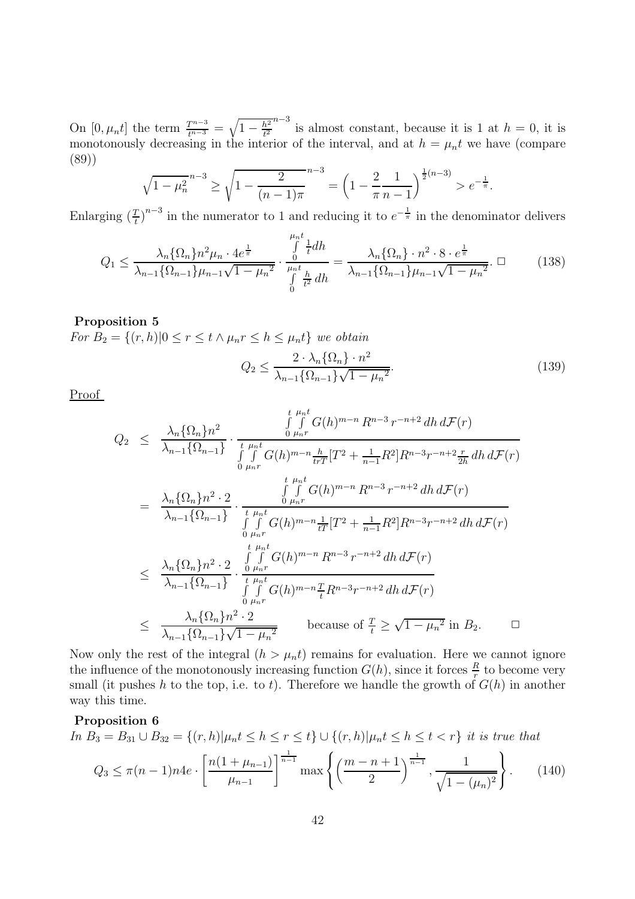On  $[0, \mu_n t]$  the term  $\frac{T^{n-3}}{t^{n-3}} = \sqrt{1 - \frac{h^2}{t^2}}$ <br>monotonously decreasing in the inter $t^2$ <br> $\alpha$  $n-3$  is almost constant, because it is 1 at  $h = 0$ , it is monotonously decreasing in the interior of the interval, and at  $h = \mu_n t$  we have (compare (89))

$$
\sqrt{1-\mu_n^2}^{n-3} \ge \sqrt{1-\frac{2}{(n-1)\pi}}^{n-3} = \left(1-\frac{2}{\pi}\frac{1}{n-1}\right)^{\frac{1}{2}(n-3)} > e^{-\frac{1}{\pi}}.
$$

Enlarging  $\left(\frac{T}{t}\right)^{n-3}$  in the numerator to 1 and reducing it to  $e^{-\frac{1}{\pi}}$  in the denominator delivers

$$
Q_1 \le \frac{\lambda_n \{\Omega_n\} n^2 \mu_n \cdot 4e^{\frac{1}{\pi}}}{\lambda_{n-1} \{\Omega_{n-1}\} \mu_{n-1} \sqrt{1-\mu_n^2}} \cdot \frac{\int_0^{\mu_n t} \frac{1}{t} dh}{\int_0^{\mu_n t} \frac{h}{t^2} dh} = \frac{\lambda_n \{\Omega_n\} \cdot n^2 \cdot 8 \cdot e^{\frac{1}{\pi}}}{\lambda_{n-1} \{\Omega_{n-1}\} \mu_{n-1} \sqrt{1-\mu_n^2}}. \quad \Box \tag{138}
$$

#### **Proposition 5**

For  $B_2 = \{(r, h) | 0 \le r \le t \wedge \mu_n r \le h \le \mu_n t \}$  we obtain

$$
Q_2 \le \frac{2 \cdot \lambda_n \{\Omega_n\} \cdot n^2}{\lambda_{n-1} \{\Omega_{n-1}\} \sqrt{1 - \mu_n^2}}.
$$
\n(139)

Proof

$$
Q_{2} \leq \frac{\lambda_{n} \{\Omega_{n}\} n^{2}}{\lambda_{n-1} \{\Omega_{n-1}\}} \cdot \frac{\int_{0}^{t} \int_{\mu_{n}r}^{\mu_{n}t} G(h)^{m-n} R^{n-3} r^{-n+2} dh d\mathcal{F}(r)}{\int_{0}^{t} \int_{\mu_{n}r}^{\mu_{n}t} G(h)^{m-n} \frac{h}{trT} [T^{2} + \frac{1}{n-1} R^{2}] R^{n-3} r^{-n+2} \frac{r}{2h} dh d\mathcal{F}(r)}
$$
\n
$$
= \frac{\lambda_{n} \{\Omega_{n}\} n^{2} \cdot 2}{\lambda_{n-1} \{\Omega_{n-1}\}} \cdot \frac{\int_{0}^{t} \int_{\mu_{n}r}^{t} G(h)^{m-n} R^{n-3} r^{-n+2} dh d\mathcal{F}(r)}{\int_{0}^{t} \int_{\mu_{n}r}^{\mu_{n}t} G(h)^{m-n} \frac{1}{tT} [T^{2} + \frac{1}{n-1} R^{2}] R^{n-3} r^{-n+2} dh d\mathcal{F}(r)}
$$
\n
$$
\leq \frac{\lambda_{n} \{\Omega_{n}\} n^{2} \cdot 2}{\lambda_{n-1} \{\Omega_{n-1}\}} \cdot \frac{\int_{0}^{t} \int_{\mu_{n}r}^{t} G(h)^{m-n} R^{n-3} r^{-n+2} dh d\mathcal{F}(r)}{\int_{0}^{t} \int_{\mu_{n}r}^{\mu_{n}t} G(h)^{m-n} \frac{T}{t} R^{n-3} r^{-n+2} dh d\mathcal{F}(r)}
$$
\n
$$
\leq \frac{\lambda_{n} \{\Omega_{n}\} n^{2} \cdot 2}{\lambda_{n-1} \{\Omega_{n-1}\} \sqrt{1 - \mu_{n}^{2}}} \text{ because of } \frac{T}{t} \geq \sqrt{1 - \mu_{n}^{2}} \text{ in } B_{2}.
$$

Now only the rest of the integral  $(h > \mu_n t)$  remains for evaluation. Here we cannot ignore the influence of the monotonously increasing function  $G(h)$ , since it forces  $\frac{R}{r}$  to become very<br>small (it pushes h to the top i.e., to t). Therefore we handle the growth of  $G(h)$  in another small (it pushes h to the top, i.e. to t). Therefore we handle the growth of  $G(h)$  in another way this time.

#### **Proposition 6**

$$
\text{In } B_3 = B_{31} \cup B_{32} = \{(r, h) | \mu_n t \le h \le r \le t\} \cup \{(r, h) | \mu_n t \le h \le t < r\} \text{ it is true that}
$$
\n
$$
Q_3 \le \pi (n - 1) n 4e \cdot \left[ \frac{n(1 + \mu_{n-1})}{\mu_{n-1}} \right]^{\frac{1}{n-1}} \max \left\{ \left( \frac{m - n + 1}{2} \right)^{\frac{1}{n-1}}, \frac{1}{\sqrt{1 - (\mu_n)^2}} \right\}. \tag{140}
$$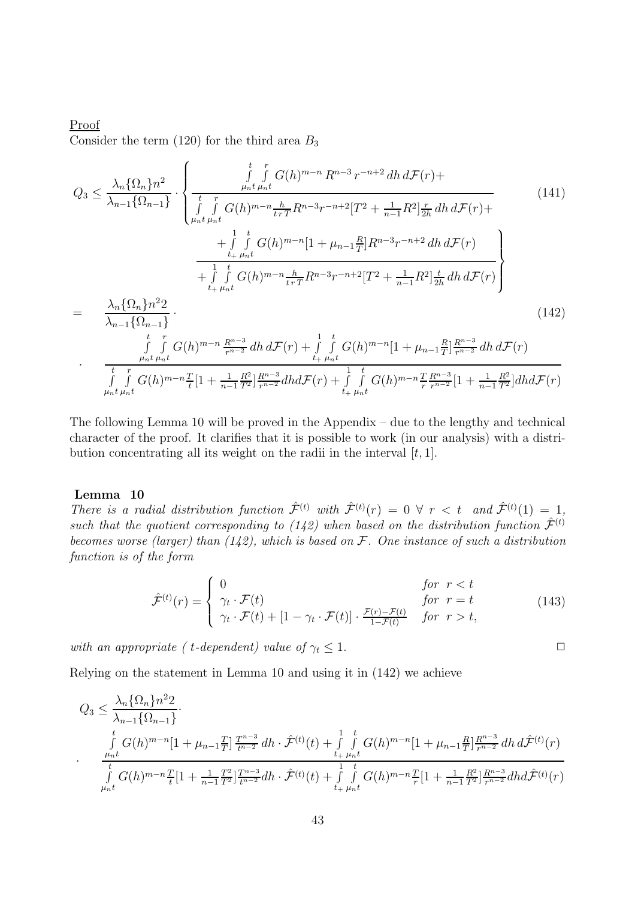### Proof Consider the term  $(120)$  for the third area  $B_3$

$$
Q_{3} \leq \frac{\lambda_{n} \{\Omega_{n}\} n^{2}}{\lambda_{n-1} \{\Omega_{n-1}\}} \cdot \begin{cases} \int_{\mu_{n}t}^{t} \int_{\mu_{n}t}^{r} G(h)^{m-n} R^{n-3} r^{-n+2} dh \, d\mathcal{F}(r) + \\ \frac{t}{\int_{\mu_{n}t}^{r} \int_{\mu_{n}t}^{r} G(h)^{m-n} \frac{h}{t r T} R^{n-3} r^{-n+2} [T^{2} + \frac{1}{n-1} R^{2}] \frac{r}{2h} dh \, d\mathcal{F}(r) + \\ + \int_{t}^{1} \int_{t}^{t} G(h)^{m-n} [1 + \mu_{n-1} \frac{R}{T}] R^{n-3} r^{-n+2} dh \, d\mathcal{F}(r) \\ + \int_{t}^{1} \int_{t}^{t} G(h)^{m-n} \frac{h}{t r T} R^{n-3} r^{-n+2} [T^{2} + \frac{1}{n-1} R^{2}] \frac{t}{2h} dh \, d\mathcal{F}(r) \\ + \int_{t}^{1} \int_{\mu_{n}t}^{t} G(h)^{m-n} \frac{h}{t r T} R^{n-3} r^{-n+2} [T^{2} + \frac{1}{n-1} R^{2}] \frac{t}{2h} dh \, d\mathcal{F}(r) \end{cases}
$$
\n
$$
= \frac{\lambda_{n} \{\Omega_{n}\} n^{2} 2}{\lambda_{n-1} \{\Omega_{n-1}\}} \tag{142}
$$
\n
$$
\frac{t}{\int_{\mu_{n}t}^{r} \int_{\mu_{n}t}^{r} G(h)^{m-n} \frac{R^{n-3}}{r^{n-2}} dh \, d\mathcal{F}(r) + \int_{t}^{1} \int_{t}^{t} G(h)^{m-n} \frac{T}{r} \frac{R^{n-3}}{r^{n-2}} [1 + \frac{1}{n-1} \frac{R^{2}}{T^{2}}] dh \, d\mathcal{F}(r) \} \frac{t}{\mu_{n}t \mu_{n}t} \tag{142}
$$

The following Lemma 10 will be proved in the Appendix – due to the lengthy and technical character of the proof. It clarifies that it is possible to work (in our analysis) with a distribution concentrating all its weight on the radii in the interval  $[t, 1]$ .

#### **Lemma 10**

There is a radial distribution function  $\hat{\mathcal{F}}^{(t)}$  with  $\hat{\mathcal{F}}^{(t)}(r) = 0 \ \forall \ r \lt t \ and \ \hat{\mathcal{F}}^{(t)}(1) = 1$ , such that the quotient corresponding to (142) when based on the distribution function  $\hat{\mathcal{F}}^{(t)}$ becomes worse (larger) than  $(142)$ , which is based on  $\mathcal F$ . One instance of such a distribution function is of the form

$$
\hat{\mathcal{F}}^{(t)}(r) = \begin{cases}\n0 & \text{for } r < t \\
\gamma_t \cdot \mathcal{F}(t) & \text{for } r = t \\
\gamma_t \cdot \mathcal{F}(t) + [1 - \gamma_t \cdot \mathcal{F}(t)] \cdot \frac{\mathcal{F}(r) - \mathcal{F}(t)}{1 - \mathcal{F}(t)} & \text{for } r > t,\n\end{cases}
$$
\n(143)

with an appropriate ( t-dependent) value of  $\gamma_t \leq 1$ .

Relying on the statement in Lemma 10 and using it in (142) we achieve

$$
Q_3 \leq \frac{\lambda_n \{\Omega_n\} n^2 2}{\lambda_{n-1} \{\Omega_{n-1}\}} \cdot \frac{\int_{t}^{t} G(h)^{m-n} [1 + \mu_{n-1} \frac{T}{T}] \frac{T^{n-3}}{t^{n-2}} dh \cdot \hat{\mathcal{F}}^{(t)}(t) + \int_{t+\mu_n t}^{1-t} \int_{t+\mu_n t}^{t} G(h)^{m-n} [1 + \mu_{n-1} \frac{R}{T}] \frac{R^{n-3}}{r^{n-2}} dh \, d\hat{\mathcal{F}}^{(t)}(r)
$$
  
.  
.  

$$
\int_{\mu_n t}^{t} G(h)^{m-n} \frac{T}{t} [1 + \frac{1}{n-1} \frac{T^2}{T^2}] \frac{T^{n-3}}{t^{n-2}} dh \cdot \hat{\mathcal{F}}^{(t)}(t) + \int_{t+\mu_n t}^{1-t} \int_{t+\mu_n t}^{t} G(h)^{m-n} \frac{T}{r} [1 + \frac{1}{n-1} \frac{R^2}{T^2}] \frac{R^{n-3}}{r^{n-2}} dh \, d\hat{\mathcal{F}}^{(t)}(r)
$$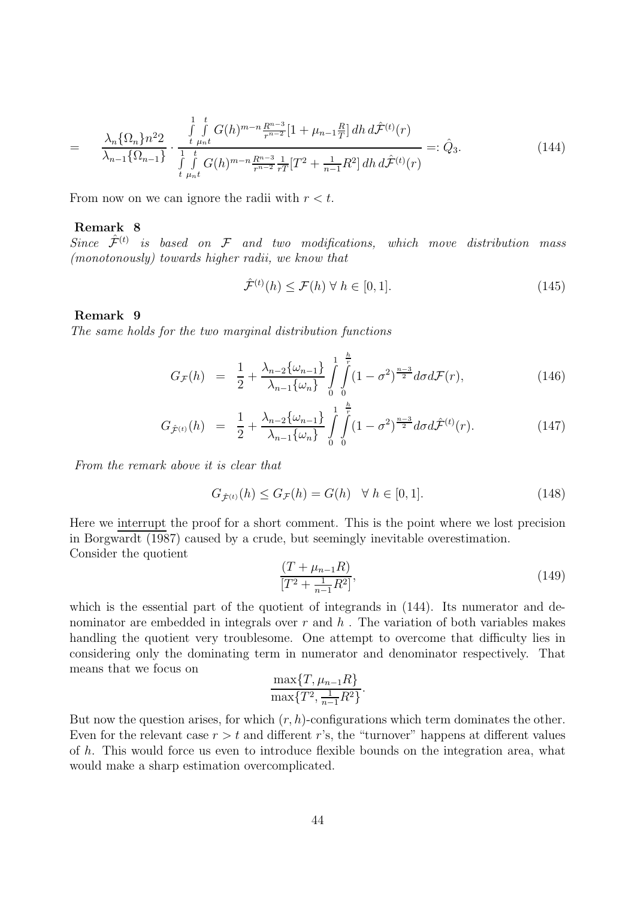$$
= \frac{\lambda_n \{\Omega_n\} n^2 2}{\lambda_{n-1} \{\Omega_{n-1}\}} \cdot \frac{\int\limits_{t}^{1} \int\limits_{\mu_n t}^t G(h)^{m-n} \frac{R^{n-3}}{r^{n-2}} [1 + \mu_{n-1} \frac{R}{T}] dh \, d\hat{\mathcal{F}}^{(t)}(r)}{\int\limits_{t}^{1} \int\limits_{\mu_n t}^t G(h)^{m-n} \frac{R^{n-3}}{r^{n-2}} \frac{1}{rT} [T^2 + \frac{1}{n-1} R^2] dh \, d\hat{\mathcal{F}}^{(t)}(r)} =: \hat{Q}_3. \tag{144}
$$

From now on we can ignore the radii with  $r < t$ .

#### **Remark 8**

 $Since \hspace{0.2cm} \hat{\mathcal{F}}^{(t)} \hspace{0.2cm} is \hspace{0.2cm} based \hspace{0.2cm} on \hspace{0.2cm} \mathcal{F} \hspace{0.2cm} and \hspace{0.2cm} two \hspace{0.2cm} modifications, \hspace{0.2cm} which \hspace{0.2cm} move \hspace{0.2cm} distribution \hspace{0.2cm} mass$ (monotonously) towards higher radii, we know that

$$
\hat{\mathcal{F}}^{(t)}(h) \le \mathcal{F}(h) \,\forall \, h \in [0, 1]. \tag{145}
$$

#### **Remark 9**

The same holds for the two marginal distribution functions

$$
G_{\mathcal{F}}(h) = \frac{1}{2} + \frac{\lambda_{n-2} \{\omega_{n-1}\}}{\lambda_{n-1} \{\omega_n\}} \int_{0}^{1} \int_{0}^{\frac{h}{r}} (1 - \sigma^2)^{\frac{n-3}{2}} d\sigma d\mathcal{F}(r), \qquad (146)
$$

$$
G_{\hat{\mathcal{F}}^{(t)}}(h) = \frac{1}{2} + \frac{\lambda_{n-2} \{\omega_{n-1}\}}{\lambda_{n-1} \{\omega_n\}} \int_{0}^{1} \int_{0}^{\frac{h}{r}} (1 - \sigma^2)^{\frac{n-3}{2}} d\sigma d\hat{\mathcal{F}}^{(t)}(r).
$$
 (147)

From the remark above it is clear that

$$
G_{\hat{\mathcal{F}}^{(t)}}(h) \le G_{\mathcal{F}}(h) = G(h) \quad \forall \ h \in [0,1]. \tag{148}
$$

Here we interrupt the proof for a short comment. This is the point where we lost precision in Borgwardt (1987) caused by a crude, but seemingly inevitable overestimation. Consider the quotient

$$
\frac{(T + \mu_{n-1}R)}{[T^2 + \frac{1}{n-1}R^2]},
$$
\n(149)

which is the essential part of the quotient of integrands in  $(144)$ . Its numerator and denominator are embedded in integrals over  $r$  and  $h$ . The variation of both variables makes handling the quotient very troublesome. One attempt to overcome that difficulty lies in considering only the dominating term in numerator and denominator respectively. That means that we focus on

$$
\frac{\max\{T, \mu_{n-1}R\}}{\max\{T^2, \frac{1}{n-1}R^2\}}.
$$

But now the question arises, for which  $(r, h)$ -configurations which term dominates the other. Even for the relevant case  $r>t$  and different r's, the "turnover" happens at different values of h. This would force us even to introduce flexible bounds on the integration area, what would make a sharp estimation overcomplicated.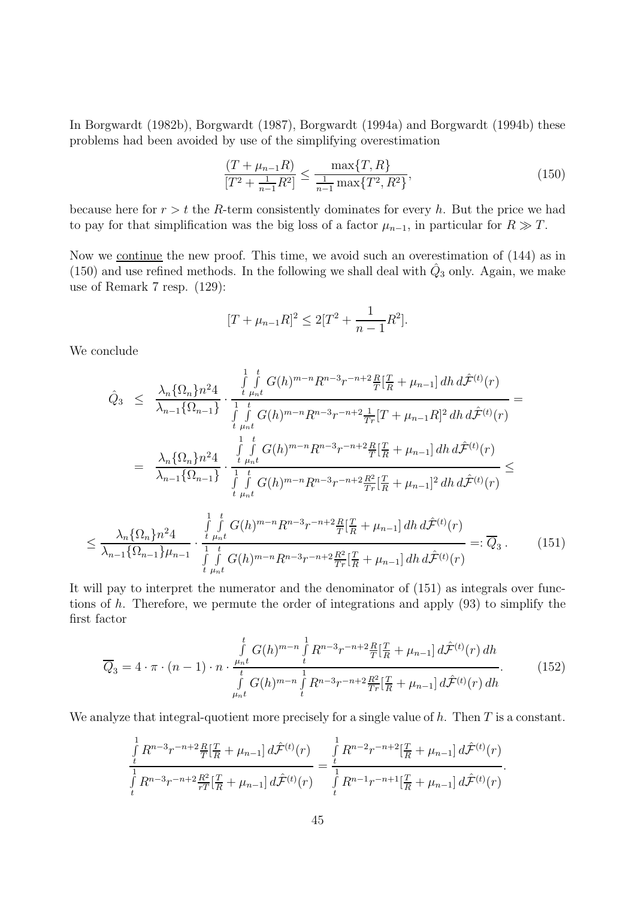In Borgwardt (1982b), Borgwardt (1987), Borgwardt (1994a) and Borgwardt (1994b) these problems had been avoided by use of the simplifying overestimation

$$
\frac{(T + \mu_{n-1}R)}{[T^2 + \frac{1}{n-1}R^2]} \le \frac{\max\{T, R\}}{\frac{1}{n-1}\max\{T^2, R^2\}},\tag{150}
$$

because here for  $r>t$  the R-term consistently dominates for every h. But the price we had to pay for that simplification was the big loss of a factor  $\mu_{n-1}$ , in particular for  $R \gg T$ .

Now we continue the new proof. This time, we avoid such an overestimation of  $(144)$  as in (150) and use refined methods. In the following we shall deal with  $\hat{Q}_3$  only. Again, we make use of Remark 7 resp. (129):

$$
[T + \mu_{n-1}R]^2 \le 2[T^2 + \frac{1}{n-1}R^2].
$$

We conclude

≤

$$
\hat{Q}_{3} \leq \frac{\lambda_{n} \{\Omega_{n}\} n^{2} 4}{\lambda_{n-1} \{\Omega_{n-1}\}} \cdot \frac{\int_{t}^{1} \int_{\mu_{n}t}^{t} G(h)^{m-n} R^{n-3} r^{-n+2} \frac{R}{T} [\frac{T}{R} + \mu_{n-1}] \, dh \, d\hat{\mathcal{F}}^{(t)}(r)}{\int_{t}^{1} \int_{\mu_{n}t}^{t} G(h)^{m-n} R^{n-3} r^{-n+2} \frac{1}{T^{r}} [T + \mu_{n-1}R]^{2} \, dh \, d\hat{\mathcal{F}}^{(t)}(r)}
$$
\n
$$
= \frac{\lambda_{n} \{\Omega_{n}\} n^{2} 4}{\lambda_{n-1} \{\Omega_{n-1}\}} \cdot \frac{\int_{t}^{1} \int_{\mu_{n}t}^{t} G(h)^{m-n} R^{n-3} r^{-n+2} \frac{R}{T} [\frac{T}{R} + \mu_{n-1}] \, dh \, d\hat{\mathcal{F}}^{(t)}(r)}{\int_{t}^{1} \int_{\mu_{n}t}^{t} G(h)^{m-n} R^{n-3} r^{-n+2} \frac{R^{2}}{T^{r}} [\frac{T}{R} + \mu_{n-1}]^{2} \, dh \, d\hat{\mathcal{F}}^{(t)}(r)} \leq
$$
\n
$$
\frac{\lambda_{n} \{\Omega_{n}\} n^{2} 4}{\lambda_{n-1} \{\Omega_{n-1}\} n^{2} 4} \cdot \frac{\int_{t}^{1} \int_{\mu_{n}t}^{t} G(h)^{m-n} R^{n-3} r^{-n+2} \frac{R}{T} [\frac{T}{R} + \mu_{n-1}] \, dh \, d\hat{\mathcal{F}}^{(t)}(r)}{\lambda_{n-1} \{\Omega_{n-1}\} \mu_{n-1}} \cdot \frac{\int_{t}^{1} \int_{\mu_{n}t}^{t} G(h)^{m-n} R^{n-3} r^{-n+2} \frac{R^{2}}{T^{r}} [\frac{T}{R} + \mu_{n-1}] \, dh \, d\hat{\mathcal{F}}^{(t)}(r)}{\int_{t}^{t} \mu_{n} t} =: \overline{Q}_{3} \, . \tag{151}
$$

It will pay to interpret the numerator and the denominator of (151) as integrals over functions of h. Therefore, we permute the order of integrations and apply  $(93)$  to simplify the first factor

$$
\overline{Q}_3 = 4 \cdot \pi \cdot (n-1) \cdot n \cdot \frac{\int\limits_{\mu_n t}^t G(h)^{m-n} \int\limits_t^1 R^{n-3} r^{-n+2} \frac{R}{T} [\frac{T}{R} + \mu_{n-1}] \, d\hat{\mathcal{F}}^{(t)}(r) \, dh}{\int\limits_{\mu_n t}^t G(h)^{m-n} \int\limits_t^1 R^{n-3} r^{-n+2} \frac{R^2}{Tr} [\frac{T}{R} + \mu_{n-1}] \, d\hat{\mathcal{F}}^{(t)}(r) \, dh}.
$$
\n(152)

We analyze that integral-quotient more precisely for a single value of  $h$ . Then  $T$  is a constant.

$$
\frac{\int\limits_t^1 R^{n-3}r^{-n+2}\frac{R}{T}[\frac{T}{R}+\mu_{n-1}]\,d\hat{\mathcal{F}}^{(t)}(r)}{\int\limits_t^1 R^{n-3}r^{-n+2}\frac{R^2}{rT}[\frac{T}{R}+\mu_{n-1}]\,d\hat{\mathcal{F}}^{(t)}(r)} = \frac{\int\limits_t^1 R^{n-2}r^{-n+2}[\frac{T}{R}+\mu_{n-1}]\,d\hat{\mathcal{F}}^{(t)}(r)}{\int\limits_t^1 R^{n-1}r^{-n+1}[\frac{T}{R}+\mu_{n-1}]\,d\hat{\mathcal{F}}^{(t)}(r)}.
$$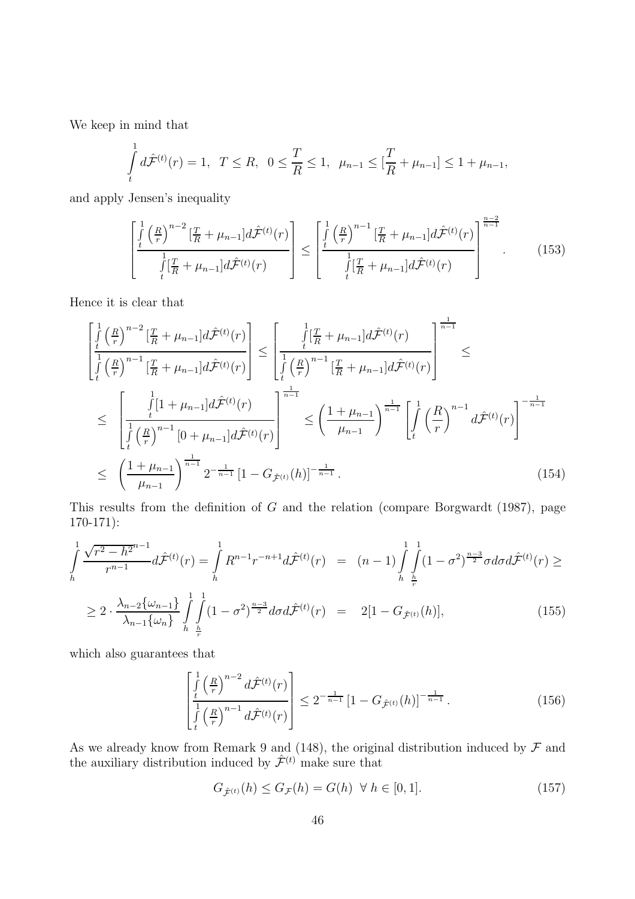We keep in mind that

$$
\int_{t}^{1} d\hat{\mathcal{F}}^{(t)}(r) = 1, \ T \leq R, \ 0 \leq \frac{T}{R} \leq 1, \ \mu_{n-1} \leq [\frac{T}{R} + \mu_{n-1}] \leq 1 + \mu_{n-1},
$$

and apply Jensen's inequality

$$
\left[\frac{\int_{t}^{1} \left(\frac{R}{r}\right)^{n-2} \left[\frac{T}{R} + \mu_{n-1}\right] d\hat{\mathcal{F}}^{(t)}(r)}{\int_{t}^{1} \left[\frac{T}{R} + \mu_{n-1}\right] d\hat{\mathcal{F}}^{(t)}(r)}\right] \leq \left[\frac{\int_{t}^{1} \left(\frac{R}{r}\right)^{n-1} \left[\frac{T}{R} + \mu_{n-1}\right] d\hat{\mathcal{F}}^{(t)}(r)}{\int_{t}^{1} \left[\frac{T}{R} + \mu_{n-1}\right] d\hat{\mathcal{F}}^{(t)}(r)}\right]^{\frac{n-2}{n-1}}.
$$
\n(153)

Hence it is clear that

$$
\begin{split}\n&\left[\frac{\int_{t}^{1} \left(\frac{R}{r}\right)^{n-2} \left[\frac{T}{R} + \mu_{n-1}\right] d\hat{\mathcal{F}}^{(t)}(r)\right]}{\int_{t}^{1} \left(\frac{R}{r}\right)^{n-1} \left[\frac{T}{R} + \mu_{n-1}\right] d\hat{\mathcal{F}}^{(t)}(r)\right]}\n\leq \left[\frac{\int_{t}^{1} \left(\frac{T}{R}\right)^{n-1} \left[\frac{T}{R} + \mu_{n-1}\right] d\hat{\mathcal{F}}^{(t)}(r)}{\int_{t}^{1} \left(\frac{R}{r}\right)^{n-1} \left[\frac{T}{R} + \mu_{n-1}\right] d\hat{\mathcal{F}}^{(t)}(r)\right]}\n\leq \left[\frac{\int_{t}^{1} \left(1 + \mu_{n-1}\right] d\hat{\mathcal{F}}^{(t)}(r)}{\int_{t}^{1} \left(\frac{R}{r}\right)^{n-1} \left[0 + \mu_{n-1}\right] d\hat{\mathcal{F}}^{(t)}(r)}\right]^{\frac{1}{n-1}}\n\leq \left(\frac{1 + \mu_{n-1}}{\mu_{n-1}}\right)^{\frac{1}{n-1}} \left[\int_{t}^{1} \left(\frac{R}{r}\right)^{n-1} d\hat{\mathcal{F}}^{(t)}(r)\right]^{\frac{1}{n-1}}\n\leq \left(\frac{1 + \mu_{n-1}}{\mu_{n-1}}\right)^{\frac{1}{n-1}} 2^{-\frac{1}{n-1}} \left[1 - G_{\hat{\mathcal{F}}^{(t)}}(h)\right]^{-\frac{1}{n-1}}.\n\end{split} \tag{154}
$$

This results from the definition of G and the relation (compare Borgwardt (1987), page 170-171):

$$
\int_{h}^{1} \frac{\sqrt{r^{2} - h^{2}}^{n-1}}{r^{n-1}} d\mathcal{F}^{(t)}(r) = \int_{h}^{1} R^{n-1} r^{-n+1} d\mathcal{F}^{(t)}(r) = (n-1) \int_{h}^{1} \int_{\frac{h}{r}}^{1} (1 - \sigma^{2})^{\frac{n-3}{2}} \sigma d\sigma d\mathcal{F}^{(t)}(r) \ge
$$
\n
$$
\ge 2 \cdot \frac{\lambda_{n-2} \{\omega_{n-1}\}}{\lambda_{n-1} \{\omega_{n}\}} \int_{h}^{1} \int_{\frac{h}{r}}^{1} (1 - \sigma^{2})^{\frac{n-3}{2}} d\sigma d\mathcal{F}^{(t)}(r) = 2[1 - G_{\mathcal{F}^{(t)}}(h)], \qquad (155)
$$

which also guarantees that

$$
\left[\frac{\int_{t}^{1} \left(\frac{R}{r}\right)^{n-2} d\hat{\mathcal{F}}^{(t)}(r)}{\int_{t}^{1} \left(\frac{R}{r}\right)^{n-1} d\hat{\mathcal{F}}^{(t)}(r)}\right] \leq 2^{-\frac{1}{n-1}} \left[1 - G_{\hat{\mathcal{F}}^{(t)}}(h)\right]^{-\frac{1}{n-1}}.
$$
\n(156)

As we already know from Remark 9 and (148), the original distribution induced by  $\mathcal F$  and the auxiliary distribution induced by  $\hat{\mathcal{F}}^{(t)}$  make sure that

$$
G_{\hat{\mathcal{F}}^{(t)}}(h) \le G_{\mathcal{F}}(h) = G(h) \quad \forall \ h \in [0,1]. \tag{157}
$$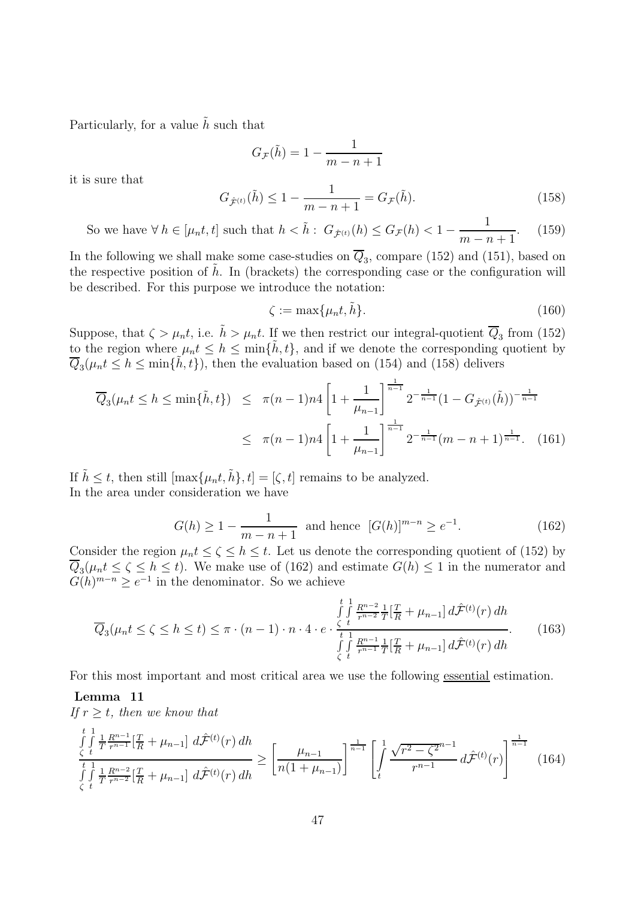Particularly, for a value  $\tilde{h}$  such that

$$
G_{\mathcal{F}}(\tilde{h}) = 1 - \frac{1}{m - n + 1}
$$

it is sure that

$$
G_{\hat{\mathcal{F}}^{(t)}}(\tilde{h}) \le 1 - \frac{1}{m - n + 1} = G_{\mathcal{F}}(\tilde{h}).
$$
\n(158)

So we have  $\forall h \in [\mu_n t, t]$  such that  $h < \tilde{h}$ :  $G_{\hat{\mathcal{F}}^{(t)}}(h) \leq G_{\mathcal{F}}(h) < 1 - \frac{1}{m - n + 1}$ . (159)

In the following we shall make some case-studies on  $\overline{Q}_3$ , compare (152) and (151), based on the respective position of  $\tilde{h}$ . In (brackets) the corresponding case or the configuration will be described. For this purpose we introduce the notation:

$$
\zeta := \max\{\mu_n t, \tilde{h}\}.\tag{160}
$$

Suppose, that  $\zeta > \mu_n t$ , i.e.  $\tilde{h} > \mu_n t$ . If we then restrict our integral-quotient  $\overline{Q}_3$  from (152) to the region where  $\mu_n t \leq h \leq \min{\{\tilde{h}, t\}}$ , and if we denote the corresponding quotient by  $\overline{Q}_3(\mu_n t \leq h \leq \min\{\tilde{h},t\})$ , then the evaluation based on (154) and (158) delivers

$$
\overline{Q}_{3}(\mu_{n}t \leq h \leq \min\{\tilde{h},t\}) \leq \pi(n-1)n4 \left[1 + \frac{1}{\mu_{n-1}}\right]^{\frac{1}{n-1}} 2^{-\frac{1}{n-1}} (1 - G_{\hat{\mathcal{F}}^{(t)}}(\tilde{h}))^{-\frac{1}{n-1}} \n\leq \pi(n-1)n4 \left[1 + \frac{1}{\mu_{n-1}}\right]^{\frac{1}{n-1}} 2^{-\frac{1}{n-1}} (m-n+1)^{\frac{1}{n-1}}.
$$
\n(161)

If  $\tilde{h} \leq t$ , then still  $[\max\{\mu_n t, \tilde{h}\}, t] = [\zeta, t]$  remains to be analyzed. In the area under consideration we have

$$
G(h) \ge 1 - \frac{1}{m - n + 1} \text{ and hence } [G(h)]^{m - n} \ge e^{-1}.
$$
 (162)

Consider the region  $\mu_n t \leq \zeta \leq h \leq t$ . Let us denote the corresponding quotient of (152) by  $\overline{Q}_3(\mu_n t \le \zeta \le h \le t)$ . We make use of (162) and estimate  $G(h) \le 1$  in the numerator and  $G(h)^{m-n} \geq e^{-1}$  in the denominator. So we achieve

$$
\overline{Q}_{3}(\mu_{n}t \leq \zeta \leq h \leq t) \leq \pi \cdot (n-1) \cdot n \cdot 4 \cdot e \cdot \frac{\int_{\zeta}^{t} \int_{\tau}^{1} \frac{R^{n-2}}{r^{n-2}} \frac{1}{T} [\frac{T}{R} + \mu_{n-1}] d\hat{\mathcal{F}}^{(t)}(r) dh}{\int_{\zeta}^{t} \int_{\tau}^{1} \frac{R^{n-1}}{r^{n-1}} \frac{1}{T} [\frac{T}{R} + \mu_{n-1}] d\hat{\mathcal{F}}^{(t)}(r) dh}.
$$
 (163)

For this most important and most critical area we use the following essential estimation.

#### **Lemma 11**

If  $r \geq t$ , then we know that

$$
\int_{\zeta}^{t} \int_{\zeta}^{1} \frac{1}{T} \frac{R^{n-1}}{r^{n-1}} \left[ \frac{T}{R} + \mu_{n-1} \right] d\hat{\mathcal{F}}^{(t)}(r) dh \ge \left[ \frac{\mu_{n-1}}{n(1+\mu_{n-1})} \right]^{\frac{1}{n-1}} \left[ \int_{t}^{1} \frac{\sqrt{r^2 - \zeta^{2}}^{n-1}}{r^{n-1}} d\hat{\mathcal{F}}^{(t)}(r) \right]^{\frac{1}{n-1}} (164)
$$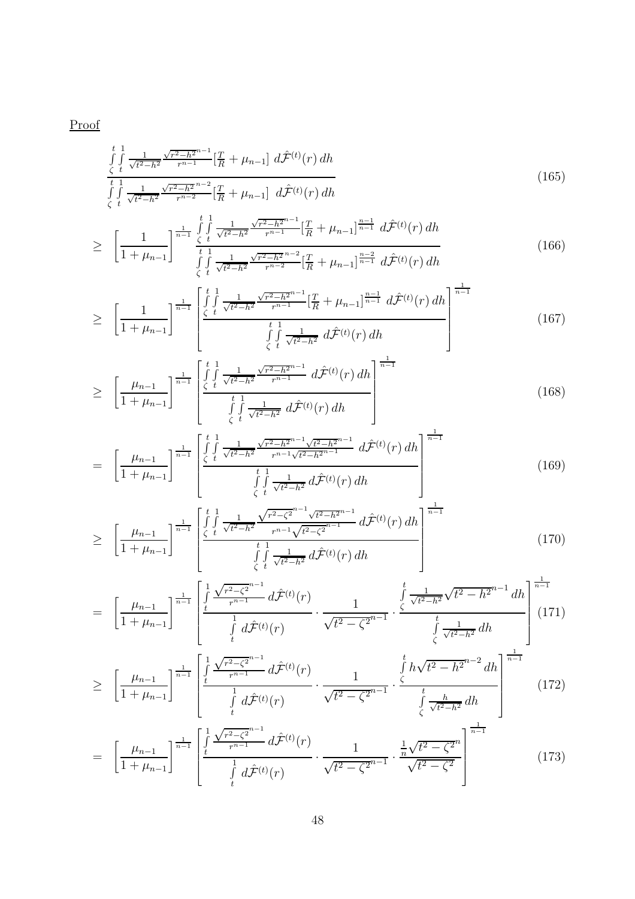Proof

$$
\int_{\zeta}^{t} \int_{t}^{1} \frac{1}{\sqrt{t^2 - h^2}} \frac{\sqrt{r^2 - h^2}^{n-1}}{r^{n-1}} \left[ \frac{T}{R} + \mu_{n-1} \right] d\hat{\mathcal{F}}^{(t)}(r) dh
$$
\n
$$
\int_{\zeta}^{t} \int_{t}^{1} \frac{1}{\sqrt{t^2 - h^2}} \frac{\sqrt{r^2 - h^2}^{n-2}}{r^{n-2}} \left[ \frac{T}{R} + \mu_{n-1} \right] d\hat{\mathcal{F}}^{(t)}(r) dh
$$
\n(165)

$$
\geq \left[\frac{1}{1+\mu_{n-1}}\right]^{\frac{1}{n-1}} \frac{\int\limits_{\zeta}^{t} \int\limits_{t}^{1} \frac{1}{\sqrt{t^2-h^2}} \frac{\sqrt{r^2-h^2}^{n-1}}{r^{n-1}} \left[\frac{T}{R}+\mu_{n-1}\right]^{\frac{n-1}{n-1}} d\hat{\mathcal{F}}^{(t)}(r) dh}{\int\limits_{\zeta}^{t} \int\limits_{t}^{1} \frac{1}{\sqrt{t^2-h^2}} \frac{\sqrt{r^2-h^2}^{n-2}}{r^{n-2}} \left[\frac{T}{R}+\mu_{n-1}\right]^{\frac{n-2}{n-1}} d\hat{\mathcal{F}}^{(t)}(r) dh}
$$
\n
$$
\tag{166}
$$

$$
\geq \left[\frac{1}{1+\mu_{n-1}}\right]^{\frac{1}{n-1}} \left[\frac{\int\limits_{\zeta}^{t} \int\limits_{t}^{1} \frac{1}{\sqrt{t^2-h^2}} \frac{\sqrt{r^2-h^2}^{n-1}}{r^{n-1}} \left[\frac{T}{R}+\mu_{n-1}\right]^{\frac{n-1}{n-1}} d\hat{\mathcal{F}}^{(t)}(r) dh \right]^{\frac{1}{n-1}} \frac{1}{\int\limits_{\zeta}^{t} \int\limits_{t}^{1} \frac{1}{\sqrt{t^2-h^2}} d\hat{\mathcal{F}}^{(t)}(r) dh} \right]^{n-1} \tag{167}
$$

$$
\geq \left[\frac{\mu_{n-1}}{1+\mu_{n-1}}\right]^{\frac{1}{n-1}} \left[\frac{\int\limits_{\zeta}^{t} \int\limits_{t}^{1} \frac{1}{\sqrt{t^2-h^2}} \frac{\sqrt{r^2-h^2}^{n-1}}{r^{n-1}} d\hat{\mathcal{F}}^{(t)}(r) dh - \int\limits_{\zeta}^{t} \int\limits_{t}^{1} \frac{1}{\sqrt{t^2-h^2}} d\hat{\mathcal{F}}^{(t)}(r) dh - \int\limits_{\zeta}^{t} \right]
$$
(168)

$$
= \left[\frac{\mu_{n-1}}{1+\mu_{n-1}}\right]^{\frac{1}{n-1}} \left[\frac{\int\limits_{\zeta}^{t} \int\limits_{t}^{1} \frac{1}{\sqrt{t^2-h^2}} \frac{\sqrt{r^2-h^2}^{n-1} \sqrt{t^2-h^2}^{n-1}}{r^{n-1} \sqrt{t^2-h^2}^{n-1}} d\hat{\mathcal{F}}^{(t)}(r) dh \right]^{\frac{1}{n-1}} \left[\frac{\int\limits_{\zeta}^{1} \int\limits_{t}^{1} \frac{1}{\sqrt{t^2-h^2}} d\hat{\mathcal{F}}^{(t)}(r) dh}{\int\limits_{\zeta}^{t} \int\limits_{t}^{1} \frac{1}{\sqrt{t^2-h^2}} d\hat{\mathcal{F}}^{(t)}(r) dh}\right]
$$
(169)

$$
\geq \left[\frac{\mu_{n-1}}{1+\mu_{n-1}}\right]^{\frac{1}{n-1}} \left[\frac{\int\limits_{\zeta}^{t} \int\limits_{t}^{1} \frac{1}{\sqrt{t^2-h^2}} \frac{\sqrt{r^2-\zeta^2}^{n-1} \sqrt{t^2-h^2}^{n-1}}{r^{n-1}\sqrt{t^2-\zeta^2}^{n-1}} d\hat{\mathcal{F}}^{(t)}(r) dh\right]^{\frac{1}{n-1}} \frac{1}{\int\limits_{\zeta}^{t} \int\limits_{t}^{1} \frac{1}{\sqrt{t^2-h^2}} d\hat{\mathcal{F}}^{(t)}(r) dh} \right]
$$
(170)

$$
= \left[\frac{\mu_{n-1}}{1+\mu_{n-1}}\right]^{\frac{1}{n-1}} \left[\frac{\int\limits_t^1 \frac{\sqrt{r^2-\zeta^2}^{n-1}}{r^{n-1}} d\hat{\mathcal{F}}^{(t)}(r)}{\int\limits_t^1 d\hat{\mathcal{F}}^{(t)}(r)} \cdot \frac{1}{\sqrt{t^2-\zeta^2}^{n-1}} \cdot \frac{\int\limits_t^t \frac{1}{\sqrt{t^2-h^2}} \sqrt{t^2-h^2}^{n-1} dh}{\int\limits_{\zeta}^t \frac{1}{\sqrt{t^2-h^2}} dh}\right]^{\frac{1}{n-1}} (171)
$$

$$
\geq \left[\frac{\mu_{n-1}}{1+\mu_{n-1}}\right]^{\frac{1}{n-1}} \left[\frac{\int_{t}^{1} \frac{\sqrt{r^{2}-\zeta^{2}}^{n-1}}{r^{n-1}} d\hat{\mathcal{F}}^{(t)}(r)}{\int_{t}^{1} d\hat{\mathcal{F}}^{(t)}(r)} \cdot \frac{1}{\sqrt{t^{2}-\zeta^{2}}^{n-1}} \cdot \frac{\int_{\zeta}^{t} h \sqrt{t^{2}-h^{2}}^{n-2} dh}{\int_{\zeta}^{t} \frac{h}{\sqrt{t^{2}-h^{2}}} dh}\right]^{\frac{1}{n-1}} (172)
$$

$$
= \left[\frac{\mu_{n-1}}{1+\mu_{n-1}}\right]^{\frac{1}{n-1}} \left[\frac{\int\limits_t^1 \frac{\sqrt{r^2-\zeta^{2^{n-1}}}}{r^{n-1}} d\hat{\mathcal{F}}^{(t)}(r)}{\int\limits_t^1 d\hat{\mathcal{F}}^{(t)}(r)} \cdot \frac{1}{\sqrt{t^2-\zeta^{2^{n-1}}}} \cdot \frac{\frac{1}{n}\sqrt{t^2-\zeta^{2^n}}}{\sqrt{t^2-\zeta^2}}\right]^{\frac{1}{n-1}} \tag{173}
$$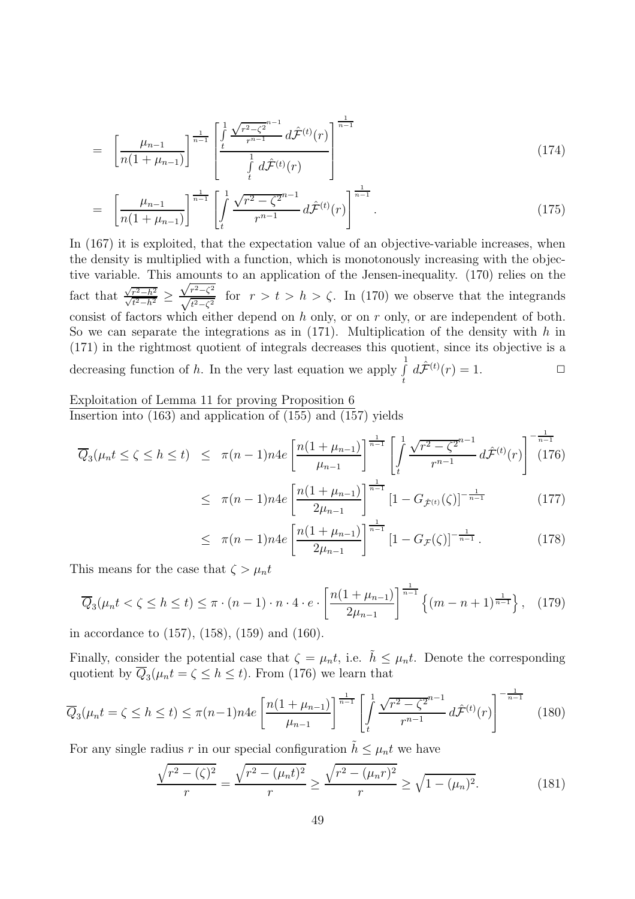$$
= \left[\frac{\mu_{n-1}}{n(1+\mu_{n-1})}\right]^{\frac{1}{n-1}} \left[\frac{\int_{t}^{1} \frac{\sqrt{r^2-\zeta^2}^{n-1}}{r^{n-1}} d\hat{\mathcal{F}}^{(t)}(r)}{\int_{t}^{1} d\hat{\mathcal{F}}^{(t)}(r)}\right]^{\frac{1}{n-1}}
$$
(174)

$$
= \left[\frac{\mu_{n-1}}{n(1+\mu_{n-1})}\right]^{\frac{1}{n-1}} \left[\int_t^1 \frac{\sqrt{r^2-\zeta^{2n-1}}}{r^{n-1}} d\hat{\mathcal{F}}^{(t)}(r)\right]^{\frac{1}{n-1}}.
$$
\n(175)

In  $(167)$  it is exploited, that the expectation value of an objective-variable increases, when the density is multiplied with a function, which is monotonously increasing with the objective variable. This amounts to an application of the Jensen-inequality. (170) relies on the fact that  $\frac{\sqrt{r^2-h^2}}{\sqrt{t^2-h^2}}$  $\frac{r^2-h^2}{t^2-h^2} \ge$ √ $\frac{\sqrt{r^2-\zeta^2}}{\sqrt{t^2-\zeta^2}}$  for  $r>t>h>\zeta$ . In (170) we observe that the integrands consist of factors which either depend on h only, or on r only, or are independent of both. So we can separate the integrations as in  $(171)$ . Multiplication of the density with h in (171) in the rightmost quotient of integrals decreases this quotient, since its objective is a decreasing function of  $h$ . In the very last equation we apply  $\int$  $\int d\hat{\mathcal{F}}^{(t)}(r)=1.$ 

Exploitation of Lemma 11 for proving Proposition 6 Insertion into  $(163)$  and application of  $(155)$  and  $(157)$  yields

$$
\overline{Q}_3(\mu_n t \le \zeta \le h \le t) \le \pi (n-1)n4e \left[ \frac{n(1+\mu_{n-1})}{\mu_{n-1}} \right]^{\frac{1}{n-1}} \left[ \int_t^1 \frac{\sqrt{r^2 - \zeta^2}^{n-1}}{r^{n-1}} d\hat{\mathcal{F}}^{(t)}(r) \right]^{-\frac{1}{n-1}} (176)
$$

$$
\leq \pi (n-1)n4e\left[\frac{n(1+\mu_{n-1})}{2\mu_{n-1}}\right]^{\frac{1}{n-1}}\left[1-G_{\hat{\mathcal{F}}^{(t)}}(\zeta)\right]^{-\frac{1}{n-1}}\tag{177}
$$

$$
\leq \pi (n-1)n4e\left[\frac{n(1+\mu_{n-1})}{2\mu_{n-1}}\right]^{\frac{1}{n-1}}\left[1-G_{\mathcal{F}}(\zeta)\right]^{-\frac{1}{n-1}}.\tag{178}
$$

This means for the case that  $\zeta > \mu_n t$ 

$$
\overline{Q}_3(\mu_n t < \zeta \le h \le t) \le \pi \cdot (n-1) \cdot n \cdot 4 \cdot e \cdot \left[ \frac{n(1+\mu_{n-1})}{2\mu_{n-1}} \right]^{\frac{1}{n-1}} \left\{ (m-n+1)^{\frac{1}{n-1}} \right\}, \tag{179}
$$

in accordance to (157), (158), (159) and (160).

Finally, consider the potential case that  $\zeta = \mu_n t$ , i.e.  $\tilde{h} \leq \mu_n t$ . Denote the corresponding quotient by  $\overline{Q}_3(\mu_n t = \zeta \le h \le t)$ . From (176) we learn that

$$
\overline{Q}_3(\mu_n t = \zeta \le h \le t) \le \pi (n-1)n4e\left[\frac{n(1+\mu_{n-1})}{\mu_{n-1}}\right]^{\frac{1}{n-1}} \left[\int_t^1 \frac{\sqrt{r^2 - \zeta^{2n-1}}}{r^{n-1}} d\hat{\mathcal{F}}^{(t)}(r)\right]^{-\frac{1}{n-1}} \tag{180}
$$

For any single radius r in our special configuration  $h \leq \mu_n t$  we have

$$
\frac{\sqrt{r^2 - (\zeta)^2}}{r} = \frac{\sqrt{r^2 - (\mu_n t)^2}}{r} \ge \frac{\sqrt{r^2 - (\mu_n r)^2}}{r} \ge \sqrt{1 - (\mu_n)^2}.
$$
 (181)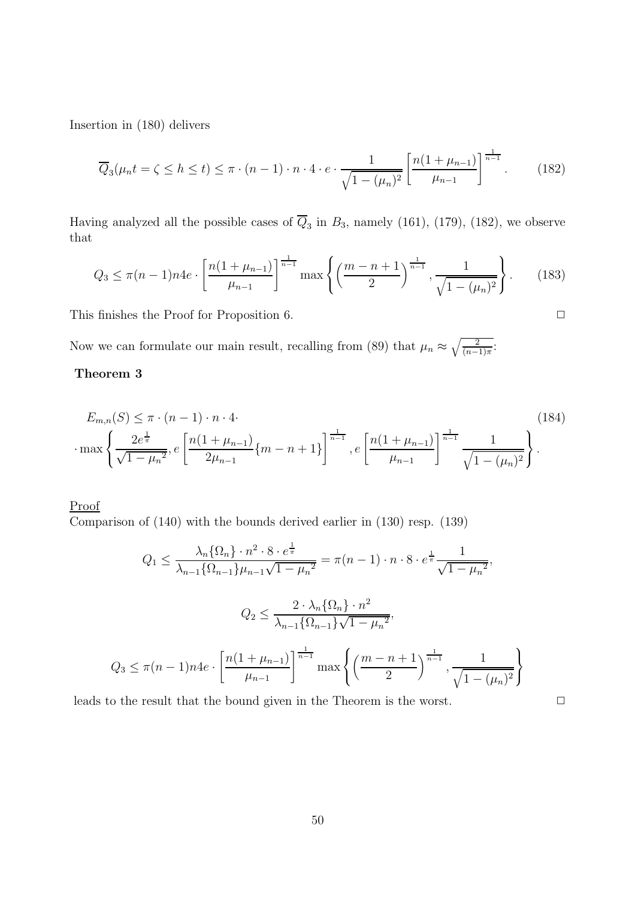Insertion in (180) delivers

$$
\overline{Q}_3(\mu_n t = \zeta \le h \le t) \le \pi \cdot (n-1) \cdot n \cdot 4 \cdot e \cdot \frac{1}{\sqrt{1 - (\mu_n)^2}} \left[ \frac{n(1 + \mu_{n-1})}{\mu_{n-1}} \right]^{\frac{1}{n-1}}.
$$
 (182)

Having analyzed all the possible cases of  $\overline{Q}_3$  in  $B_3$ , namely (161), (179), (182), we observe that

$$
Q_3 \le \pi (n-1)n4e \cdot \left[ \frac{n(1+\mu_{n-1})}{\mu_{n-1}} \right]^{\frac{1}{n-1}} \max \left\{ \left( \frac{m-n+1}{2} \right)^{\frac{1}{n-1}}, \frac{1}{\sqrt{1-(\mu_n)^2}} \right\}.
$$
 (183)

This finishes the Proof for Proposition 6.  $\Box$ 

Now we can formulate our main result, recalling from (89) that  $\mu_n \approx \sqrt{\frac{2}{(n-1)\pi}}$ :

### **Theorem 3**

$$
E_{m,n}(S) \leq \pi \cdot (n-1) \cdot n \cdot 4.
$$
\n
$$
\cdot \max \left\{ \frac{2e^{\frac{1}{\pi}}}{\sqrt{1-\mu_n^2}}, e\left[\frac{n(1+\mu_{n-1})}{2\mu_{n-1}}\{m-n+1\}\right]^{\frac{1}{n-1}}, e\left[\frac{n(1+\mu_{n-1})}{\mu_{n-1}}\right]^{\frac{1}{n-1}} \frac{1}{\sqrt{1-(\mu_n)^2}} \right\}.
$$
\n(184)

Proof

Comparison of (140) with the bounds derived earlier in (130) resp. (139)

$$
Q_1 \le \frac{\lambda_n \{\Omega_n\} \cdot n^2 \cdot 8 \cdot e^{\frac{1}{\pi}}}{\lambda_{n-1} \{\Omega_{n-1}\} \mu_{n-1} \sqrt{1 - \mu_n^2}} = \pi (n-1) \cdot n \cdot 8 \cdot e^{\frac{1}{\pi}} \frac{1}{\sqrt{1 - \mu_n^2}},
$$
  

$$
Q_2 \le \frac{2 \cdot \lambda_n \{\Omega_n\} \cdot n^2}{\lambda_{n-1} \{\Omega_{n-1}\} \sqrt{1 - \mu_n^2}},
$$
  

$$
Q_3 \le \pi (n-1) n 4e \cdot \left[ \frac{n(1 + \mu_{n-1})}{\mu_{n-1}} \right]^{\frac{1}{n-1}} \max \left\{ \left( \frac{m - n + 1}{2} \right)^{\frac{1}{n-1}}, \frac{1}{\sqrt{1 - (\mu_n)^2}} \right\}
$$

leads to the result that the bound given in the Theorem is the worst.  $\Box$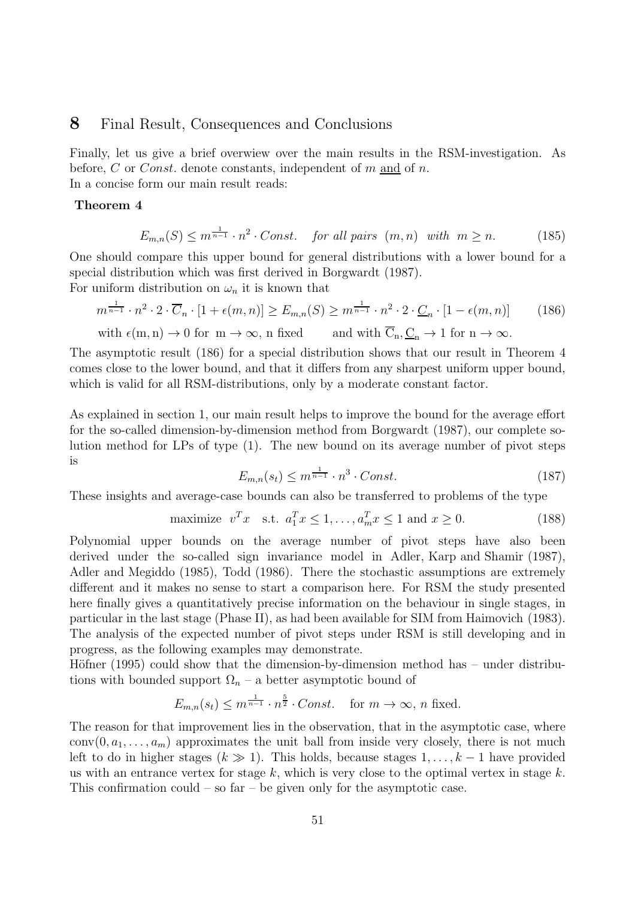### **8** Final Result, Consequences and Conclusions

Finally, let us give a brief overwiew over the main results in the RSM-investigation. As before,  $C$  or *Const*. denote constants, independent of  $m$  and of  $n$ . In a concise form our main result reads:

#### **Theorem 4**

$$
E_{m,n}(S) \le m^{\frac{1}{n-1}} \cdot n^2 \cdot Const. \quad \text{for all pairs } (m,n) \text{ with } m \ge n. \tag{185}
$$

One should compare this upper bound for general distributions with a lower bound for a special distribution which was first derived in Borgwardt (1987).

For uniform distribution on  $\omega_n$  it is known that

$$
m^{\frac{1}{n-1}} \cdot n^2 \cdot 2 \cdot \overline{C}_n \cdot [1 + \epsilon(m, n)] \ge E_{m,n}(S) \ge m^{\frac{1}{n-1}} \cdot n^2 \cdot 2 \cdot \underline{C}_n \cdot [1 - \epsilon(m, n)] \tag{186}
$$

with 
$$
\epsilon(m, n) \to 0
$$
 for  $m \to \infty$ , n fixed and with  $\overline{C}_n, \underline{C}_n \to 1$  for  $n \to \infty$ .

The asymptotic result (186) for a special distribution shows that our result in Theorem 4 comes close to the lower bound, and that it differs from any sharpest uniform upper bound, which is valid for all RSM-distributions, only by a moderate constant factor.

As explained in section 1, our main result helps to improve the bound for the average effort for the so-called dimension-by-dimension method from Borgwardt (1987), our complete solution method for LPs of type (1). The new bound on its average number of pivot steps is

$$
E_{m,n}(s_t) \le m^{\frac{1}{n-1}} \cdot n^3 \cdot Const. \tag{187}
$$

These insights and average-case bounds can also be transferred to problems of the type

$$
\text{maximize } v^T x \quad \text{s.t. } a_1^T x \le 1, \dots, a_m^T x \le 1 \text{ and } x \ge 0. \tag{188}
$$

Polynomial upper bounds on the average number of pivot steps have also been derived under the so-called sign invariance model in Adler, Karp and Shamir (1987), Adler and Megiddo (1985), Todd (1986). There the stochastic assumptions are extremely different and it makes no sense to start a comparison here. For RSM the study presented here finally gives a quantitatively precise information on the behaviour in single stages, in particular in the last stage (Phase II), as had been available for SIM from Haimovich (1983). The analysis of the expected number of pivot steps under RSM is still developing and in progress, as the following examples may demonstrate.

Höfner (1995) could show that the dimension-by-dimension method has  $-$  under distributions with bounded support  $\Omega_n$  – a better asymptotic bound of

$$
E_{m,n}(s_t) \le m^{\frac{1}{n-1}} \cdot n^{\frac{5}{2}} \cdot Const. \quad \text{for } m \to \infty, n \text{ fixed.}
$$

The reason for that improvement lies in the observation, that in the asymptotic case, where  $conv(0, a_1, \ldots, a_m)$  approximates the unit ball from inside very closely, there is not much left to do in higher stages  $(k \gg 1)$ . This holds, because stages  $1, \ldots, k-1$  have provided us with an entrance vertex for stage k, which is very close to the optimal vertex in stage  $k$ . This confirmation could – so far – be given only for the asymptotic case.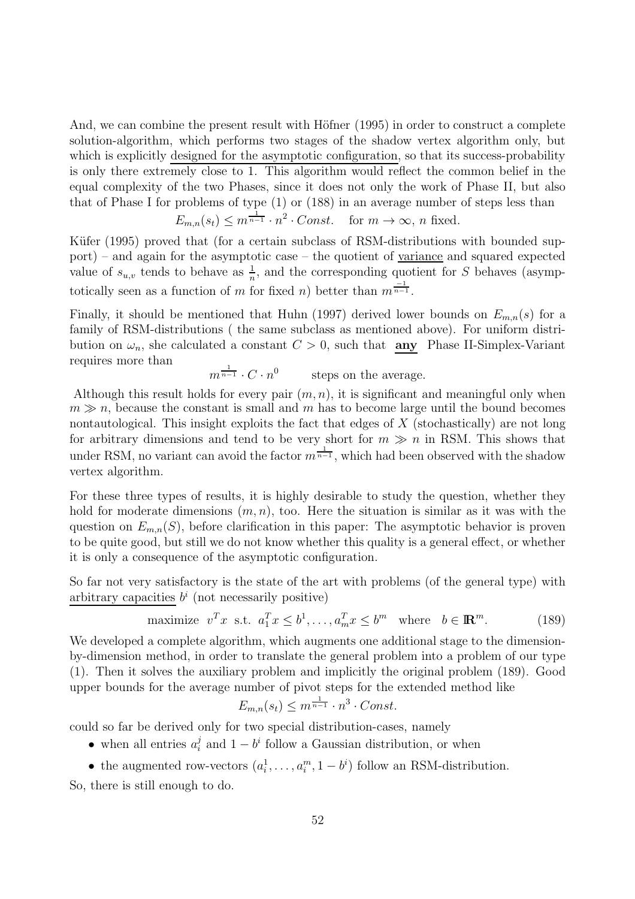And, we can combine the present result with Höfner  $(1995)$  in order to construct a complete solution-algorithm, which performs two stages of the shadow vertex algorithm only, but which is explicitly designed for the asymptotic configuration, so that its success-probability is only there extremely close to 1. This algorithm would reflect the common belief in the equal complexity of the two Phases, since it does not only the work of Phase II, but also that of Phase I for problems of type (1) or (188) in an average number of steps less than

$$
E_{m,n}(s_t) \le m^{\frac{1}{n-1}} \cdot n^2 \cdot Const. \quad \text{for } m \to \infty, n \text{ fixed.}
$$

Küfer (1995) proved that (for a certain subclass of RSM-distributions with bounded support) – and again for the asymptotic case – the quotient of variance and squared expected value of  $s_{u,v}$  tends to behave as  $\frac{1}{n}$ , and the corresponding quotient for S behaves (asymptotically seen as a function of m for fixed n) better than  $m^{\frac{-1}{n-1}}$ .

Finally, it should be mentioned that Huhn (1997) derived lower bounds on  $E_{m,n}(s)$  for a family of RSM-distributions ( the same subclass as mentioned above). For uniform distribution on  $\omega_n$ , she calculated a constant  $C > 0$ , such that **any** Phase II-Simplex-Variant requires more than

$$
m^{\frac{1}{n-1}} \cdot C \cdot n^0
$$
 steps on the average.

Although this result holds for every pair  $(m, n)$ , it is significant and meaningful only when  $m \gg n$ , because the constant is small and m has to become large until the bound becomes nontautological. This insight exploits the fact that edges of  $X$  (stochastically) are not long for arbitrary dimensions and tend to be very short for  $m \gg n$  in RSM. This shows that under RSM, no variant can avoid the factor  $m^{\frac{1}{n-1}}$ , which had been observed with the shadow vertex algorithm.

For these three types of results, it is highly desirable to study the question, whether they hold for moderate dimensions  $(m, n)$ , too. Here the situation is similar as it was with the question on  $E_{m,n}(S)$ , before clarification in this paper: The asymptotic behavior is proven to be quite good, but still we do not know whether this quality is a general effect, or whether it is only a consequence of the asymptotic configuration.

So far not very satisfactory is the state of the art with problems (of the general type) with arbitrary capacities  $b^i$  (not necessarily positive)

maximize 
$$
v^T x
$$
 s.t.  $a_1^T x \le b^1, \dots, a_m^T x \le b^m$  where  $b \in \mathbb{R}^m$ . (189)

We developed a complete algorithm, which augments one additional stage to the dimensionby-dimension method, in order to translate the general problem into a problem of our type (1). Then it solves the auxiliary problem and implicitly the original problem (189). Good upper bounds for the average number of pivot steps for the extended method like

$$
E_{m,n}(s_t) \le m^{\frac{1}{n-1}} \cdot n^3 \cdot Const.
$$

could so far be derived only for two special distribution-cases, namely

• when all entries  $a_i^j$  and  $1 - b^i$  follow a Gaussian distribution, or when

• the augmented row-vectors  $(a_i^1, \ldots, a_i^m, 1 - b^i)$  follow an RSM-distribution. So, there is still enough to do.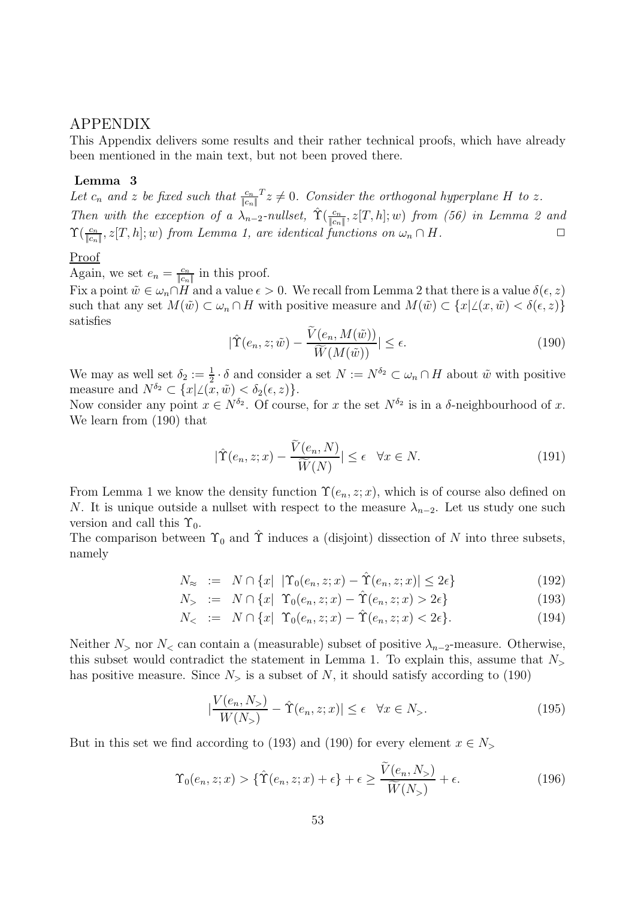### APPENDIX

This Appendix delivers some results and their rather technical proofs, which have already been mentioned in the main text, but not been proved there.

#### **Lemma 3**

Let  $c_n$  and z be fixed such that  $\frac{c_n}{|c_n|}$   $z \neq 0$ . Consider the orthogonal hyperplane H to z. Then with the exception of a  $\lambda_{n-2}$ -nullset,  $\hat{\Upsilon}(\frac{c_n}{\|c_n\|}, z[T, h]; w)$  from (56) in Lemma 2 and  $\Upsilon(\frac{c_n}{\|c_n\|}, z[T, h]; w)$  from  $\overline{\mathcal{L}}$  $\Upsilon(\frac{c_n}{\|c_n\|}, z[T, h]; w)$  from Lemma 1, are identical functions on  $\omega_n \cap H$ .

#### Proof

Again, we set  $e_n = \frac{c_n}{\|c_n\|}$  in this proof.<br>Fix a point  $\tilde{w} \in C \cap H$  and a value  $\epsilon > 0$ .

Fix a point  $\tilde{w} \in \omega_n \cap H$  and a value  $\epsilon > 0$ . We recall from Lemma 2 that there is a value  $\delta(\epsilon, z)$ such that any set  $M(\tilde{w}) \subset \omega_n \cap H$  with positive measure and  $M(\tilde{w}) \subset \{x | \angle (x, \tilde{w}) < \delta(\epsilon, z)\}\$ satisfies

$$
|\hat{\Upsilon}(e_n, z; \tilde{w}) - \frac{\tilde{V}(e_n, M(\tilde{w}))}{\tilde{W}(M(\tilde{w}))}| \le \epsilon.
$$
\n(190)

We may as well set  $\delta_2 := \frac{1}{2} \cdot \delta$  and consider a set  $N := N^{\delta_2} \subset \omega_n \cap H$  about  $\tilde{w}$  with positive measure and  $N^{\delta_2} \subset \{x | \angle(x, \tilde{w}) < \delta_2(\epsilon, z)\}.$ 

Now consider any point  $x \in N^{\delta_2}$ . Of course, for x the set  $N^{\delta_2}$  is in a  $\delta$ -neighbourhood of x. We learn from (190) that

$$
|\hat{\Upsilon}(e_n, z; x) - \frac{\tilde{V}(e_n, N)}{\tilde{W}(N)}| \le \epsilon \quad \forall x \in N.
$$
\n(191)

From Lemma 1 we know the density function  $\Upsilon(e_n, z; x)$ , which is of course also defined on N. It is unique outside a nullset with respect to the measure  $\lambda_{n-2}$ . Let us study one such version and call this  $\Upsilon_0$ .

The comparison between  $\Upsilon_0$  and  $\hat{\Upsilon}$  induces a (disjoint) dissection of N into three subsets, namely

$$
N_{\approx} := N \cap \{x \mid |\Upsilon_0(e_n, z; x) - \hat{\Upsilon}(e_n, z; x)| \le 2\epsilon\}
$$
\n(192)

$$
N_{>} := N \cap \{x | \Upsilon_0(e_n, z; x) - \hat{\Upsilon}(e_n, z; x) > 2\epsilon\}
$$
\n(193)

$$
N_{<} := N \cap \{x \mid \Upsilon_0(e_n, z; x) - \hat{\Upsilon}(e_n, z; x) < 2\epsilon\}. \tag{194}
$$

Neither  $N_>$  nor  $N_<$  can contain a (measurable) subset of positive  $\lambda_{n-2}$ -measure. Otherwise, this subset would contradict the statement in Lemma 1. To explain this, assume that  $N_{>}$ has positive measure. Since  $N<sub>></sub>$  is a subset of N, it should satisfy according to (190)

$$
\left|\frac{V(e_n, N_>)}{W(N_>)} - \hat{\Upsilon}(e_n, z; x)\right| \le \epsilon \quad \forall x \in N_>. \tag{195}
$$

But in this set we find according to (193) and (190) for every element  $x \in N_>$ 

$$
\Upsilon_0(e_n, z; x) > \{\hat{\Upsilon}(e_n, z; x) + \epsilon\} + \epsilon \ge \frac{V(e_n, N_>)}{\widetilde{W}(N_>)} + \epsilon. \tag{196}
$$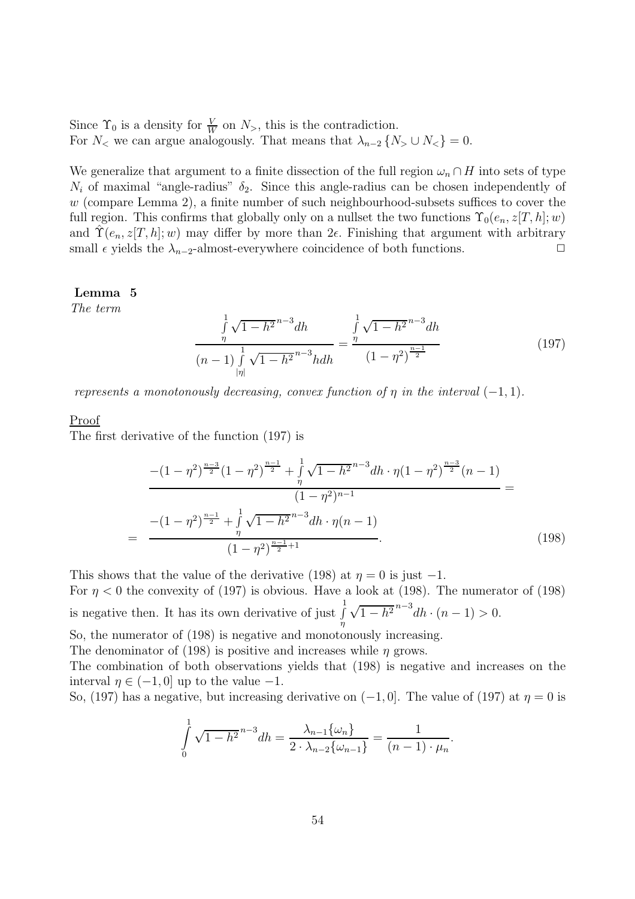Since  $\Upsilon_0$  is a density for  $\frac{V}{W}$  on  $N_{\geq}$ , this is the contradiction.<br>For N, we can argue analogously That means that  $\lambda_{\geq} \in \Lambda$ . For  $N_<$  we can argue analogously. That means that  $\lambda_{n-2} \{N_> \cup N_< \} = 0$ .

We generalize that argument to a finite dissection of the full region  $\omega_n \cap H$  into sets of type  $N_i$  of maximal "angle-radius"  $\delta_2$ . Since this angle-radius can be chosen independently of  $w$  (compare Lemma 2), a finite number of such neighbourhood-subsets suffices to cover the full region. This confirms that globally only on a nullset the two functions  $\Upsilon_0(e_n, z[T, h]; w)$ and  $\hat{\Upsilon}(e_n, z[T, h]; w)$  may differ by more than  $2\epsilon$ . Finishing that argument with arbitrary small  $\epsilon$  yields the  $\lambda_{n-2}$ -almost-everywhere coincidence of both functions.  $\Box$ 

#### **Lemma 5**

The term

$$
\frac{\int_{\eta}^{1} \sqrt{1 - h^2}^{n-3} dh}{(n-1) \int_{|\eta|}^{1} \sqrt{1 - h^2}^{n-3} h dh} = \frac{\int_{\eta}^{1} \sqrt{1 - h^2}^{n-3} dh}{(1 - \eta^2)^{\frac{n-1}{2}}}
$$
(197)

represents a monotonously decreasing, convex function of  $\eta$  in the interval (-1, 1).

#### Proof

The first derivative of the function (197) is

$$
\frac{-(1-\eta^2)^{\frac{n-3}{2}}(1-\eta^2)^{\frac{n-1}{2}} + \int_{\eta}^{1} \sqrt{1-h^2}^{n-3} dh \cdot \eta (1-\eta^2)^{\frac{n-3}{2}}(n-1)}{(1-\eta^2)^{n-1}} = \frac{-(1-\eta^2)^{\frac{n-1}{2}} + \int_{\eta}^{1} \sqrt{1-h^2}^{n-3} dh \cdot \eta (n-1)}{(1-\eta^2)^{\frac{n-1}{2}+1}}.
$$
\n(198)

This shows that the value of the derivative (198) at  $\eta = 0$  is just  $-1$ . For  $\eta$  < 0 the convexity of (197) is obvious. Have a look at (198). The numerator of (198) is negative then. It has its own derivative of just  $\int$  $\int_{0}^{1} \sqrt{1-h^2}^{n-3} dh \cdot (n-1) > 0.$ 

So, the numerator of (198) is negative and monotonously increasing.

The denominator of (198) is positive and increases while  $\eta$  grows.

The combination of both observations yields that (198) is negative and increases on the interval  $\eta \in (-1, 0]$  up to the value  $-1$ .

So, (197) has a negative, but increasing derivative on  $(-1, 0]$ . The value of (197) at  $\eta = 0$  is

$$
\int_{0}^{1} \sqrt{1 - h^{2}}^{n-3} dh = \frac{\lambda_{n-1} \{\omega_{n}\}}{2 \cdot \lambda_{n-2} \{\omega_{n-1}\}} = \frac{1}{(n-1) \cdot \mu_{n}}.
$$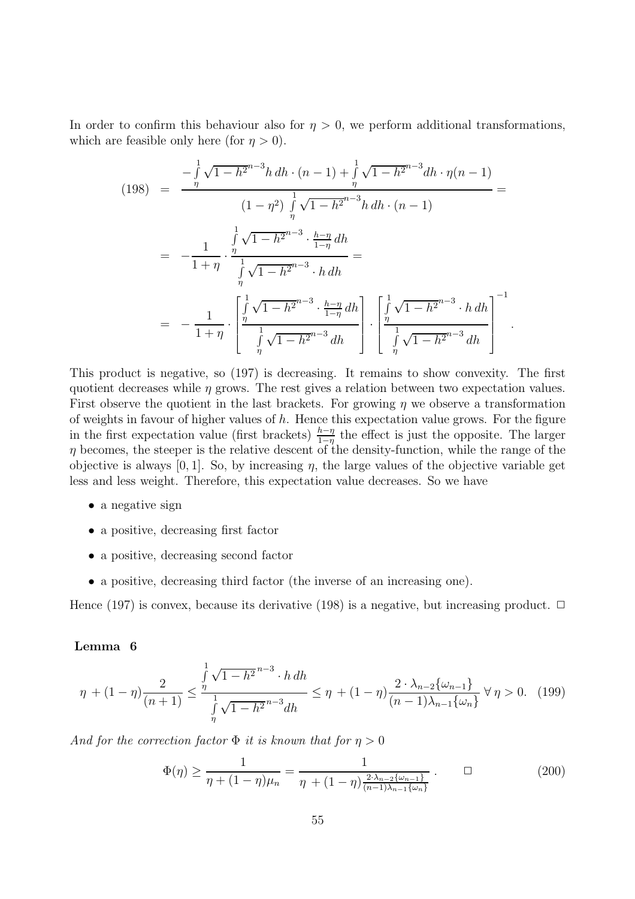In order to confirm this behaviour also for  $\eta > 0$ , we perform additional transformations, which are feasible only here (for  $\eta > 0$ ).

$$
(198) = \frac{-\int_{\eta}^{1} \sqrt{1 - h^{2}}^{n-3} h \, dh \cdot (n-1) + \int_{\eta}^{1} \sqrt{1 - h^{2}}^{n-3} dh \cdot \eta (n-1)
$$
  

$$
= \frac{1}{\eta} \int_{\eta}^{1} \sqrt{1 - h^{2}}^{n-3} h \, dh \cdot (n-1)
$$
  

$$
= -\frac{1}{1 + \eta} \cdot \frac{\int_{\eta}^{1} \sqrt{1 - h^{2}}^{n-3} \cdot \frac{h - \eta}{1 - \eta} dh}{\int_{\eta}^{1} \sqrt{1 - h^{2}}^{n-3} \cdot h \, dh}
$$
  

$$
= -\frac{1}{1 + \eta} \cdot \left[ \frac{\int_{\eta}^{1} \sqrt{1 - h^{2}}^{n-3} \cdot \frac{h - \eta}{1 - \eta} dh}{\int_{\eta}^{1} \sqrt{1 - h^{2}}^{n-3} dh} \right] \cdot \left[ \frac{\int_{\eta}^{1} \sqrt{1 - h^{2}}^{n-3} \cdot h \, dh}{\int_{\eta}^{1} \sqrt{1 - h^{2}}^{n-3} dh} \right]^{-1}.
$$

This product is negative, so (197) is decreasing. It remains to show convexity. The first quotient decreases while  $\eta$  grows. The rest gives a relation between two expectation values. First observe the quotient in the last brackets. For growing  $\eta$  we observe a transformation of weights in favour of higher values of  $h$ . Hence this expectation value grows. For the figure in the first expectation value (first brackets)  $\frac{h-\eta}{1-\eta}$  the effect is just the opposite. The larger  $n$  becomes the steeper is the relative descent of the density-function, while the range of the  $\eta$  becomes, the steeper is the relative descent of the density-function, while the range of the objective is always [0, 1]. So, by increasing  $\eta$ , the large values of the objective variable get less and less weight. Therefore, this expectation value decreases. So we have

- a negative sign
- a positive, decreasing first factor
- a positive, decreasing second factor
- a positive, decreasing third factor (the inverse of an increasing one).

Hence (197) is convex, because its derivative (198) is a negative, but increasing product.  $\Box$ 

#### **Lemma 6**

$$
\eta + (1 - \eta) \frac{2}{(n+1)} \le \frac{\int_{\eta}^{1} \sqrt{1 - h^2}^{n-3} \cdot h \, dh}{\int_{\eta}^{1} \sqrt{1 - h^2}^{n-3} dh} \le \eta + (1 - \eta) \frac{2 \cdot \lambda_{n-2} \{\omega_{n-1}\}}{(n-1)\lambda_{n-1} \{\omega_n\}} \ \forall \ \eta > 0. \tag{199}
$$

And for the correction factor  $\Phi$  it is known that for  $\eta > 0$ 

$$
\Phi(\eta) \ge \frac{1}{\eta + (1 - \eta)\mu_n} = \frac{1}{\eta + (1 - \eta)\frac{2 \cdot \lambda_{n-2} \{\omega_{n-1}\}}{(n-1)\lambda_{n-1} \{\omega_n\}}}.
$$
(200)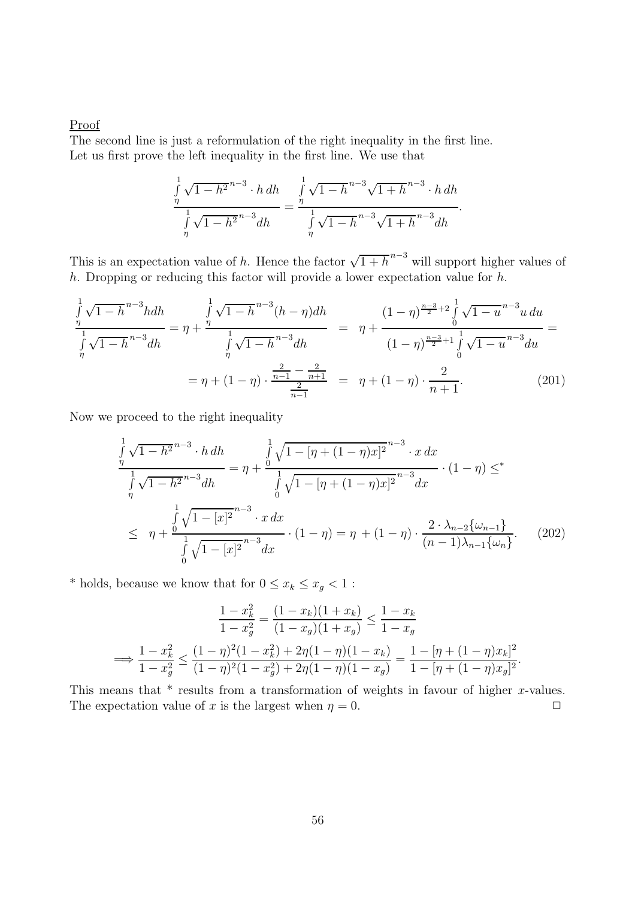#### Proof

The second line is just a reformulation of the right inequality in the first line. Let us first prove the left inequality in the first line. We use that

$$
\frac{\int_{\eta}^{1} \sqrt{1 - h^2}^{n-3} \cdot h \, dh}{\int_{\eta}^{1} \sqrt{1 - h^2}^{n-3} dh} = \frac{\int_{\eta}^{1} \sqrt{1 - h^2}^{n-3} \sqrt{1 + h^2}^{n-3} \cdot h \, dh}{\int_{\eta}^{1} \sqrt{1 - h^2}^{n-3} \sqrt{1 + h^2}^{n-3} dh}.
$$

This is an expectation value of h. Hence the factor  $\sqrt{1+h}^{n-3}$  will support higher values of h. Dropping or reducing this factor will provide a lower expectation value for  $h$ .

$$
\frac{\int_{\eta}^{1} \sqrt{1-h}^{n-3} h dh}{\int_{\eta}^{1} \sqrt{1-h}^{n-3} dh} = \eta + \frac{\int_{\eta}^{1} \sqrt{1-h}^{n-3} (h-\eta) dh}{\int_{\eta}^{1} \sqrt{1-h}^{n-3} dh} = \eta + \frac{(1-\eta)^{\frac{n-3}{2}+2} \int_{0}^{1} \sqrt{1-u}^{n-3} u du}{(1-\eta)^{\frac{n-3}{2}+1} \int_{0}^{1} \sqrt{1-u}^{n-3} du} = \eta + (1-\eta) \cdot \frac{\frac{2}{n-1} - \frac{2}{n+1}}{\frac{2}{n-1}} = \eta + (1-\eta) \cdot \frac{2}{n+1}.
$$
 (201)

Now we proceed to the right inequality

$$
\frac{\int_{\eta}^{1} \sqrt{1 - h^{2}}^{n-3} \cdot h \, dh}{\int_{\eta}^{1} \sqrt{1 - h^{2}}^{n-3} \, dh} = \eta + \frac{\int_{0}^{1} \sqrt{1 - [\eta + (1 - \eta)x]^{2}}^{n-3} \cdot x \, dx}{\int_{0}^{1} \sqrt{1 - [\eta + (1 - \eta)x]^{2}}^{n-3} \, dx} \cdot (1 - \eta) \leq^{*}
$$
\n
$$
\leq \eta + \frac{\int_{0}^{1} \sqrt{1 - [x]^{2}}^{n-3} \cdot x \, dx}{\int_{0}^{1} \sqrt{1 - [x]^{2}}^{n-3} \, dx} \cdot (1 - \eta) = \eta + (1 - \eta) \cdot \frac{2 \cdot \lambda_{n-2} \{\omega_{n-1}\}}{(n-1)\lambda_{n-1} \{\omega_{n}\}}.
$$
\n(202)

\* holds, because we know that for  $0 \leq x_k \leq x_g < 1$  :

$$
\frac{1 - x_k^2}{1 - x_g^2} = \frac{(1 - x_k)(1 + x_k)}{(1 - x_g)(1 + x_g)} \le \frac{1 - x_k}{1 - x_g}
$$

$$
\implies \frac{1 - x_k^2}{1 - x_g^2} \le \frac{(1 - \eta)^2 (1 - x_k^2) + 2\eta (1 - \eta)(1 - x_k)}{(1 - \eta)^2 (1 - x_g^2) + 2\eta (1 - \eta)(1 - x_g)} = \frac{1 - [\eta + (1 - \eta)x_k]^2}{1 - [\eta + (1 - \eta)x_g]^2}.
$$

This means that  $*$  results from a transformation of weights in favour of higher x-values. The expectation value of x is the largest when  $\eta = 0$ .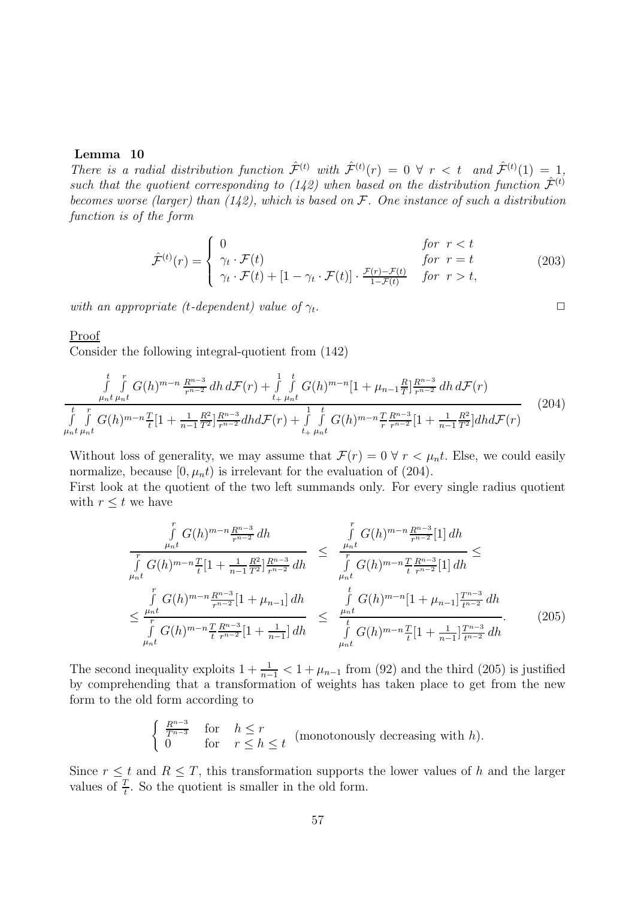#### **Lemma 10**

There is a radial distribution function  $\hat{\mathcal{F}}^{(t)}$  with  $\hat{\mathcal{F}}^{(t)}(r) = 0 \ \forall \ r \leq t \ \text{ and } \hat{\mathcal{F}}^{(t)}(1) = 1$ , such that the quotient corresponding to (142) when based on the distribution function  $\hat{\mathcal{F}}^{(t)}$ becomes worse (larger) than  $(142)$ , which is based on F. One instance of such a distribution function is of the form

$$
\hat{\mathcal{F}}^{(t)}(r) = \begin{cases}\n0 & \text{for } r < t \\
\gamma_t \cdot \mathcal{F}(t) & \text{for } r = t \\
\gamma_t \cdot \mathcal{F}(t) + [1 - \gamma_t \cdot \mathcal{F}(t)] \cdot \frac{\mathcal{F}(r) - \mathcal{F}(t)}{1 - \mathcal{F}(t)} & \text{for } r > t,\n\end{cases}
$$
\n(203)

with an appropriate (t-dependent) value of  $\gamma_t$ .

#### Proof

Consider the following integral-quotient from (142)

$$
\int_{\mu_{n}t}^{t} \int_{\mu_{n}t}^{r} G(h)^{m-n} \frac{R^{n-3}}{r^{n-2}} dh \, d\mathcal{F}(r) + \int_{t+\mu_{n}t}^{1} \int_{\mu_{n}t}^{t} G(h)^{m-n} [1 + \mu_{n-1} \frac{R}{T}] \frac{R^{n-3}}{r^{n-2}} dh \, d\mathcal{F}(r)
$$
\n
$$
\int_{\mu_{n}t}^{t} \int_{\mu_{n}t}^{r} G(h)^{m-n} \frac{T}{t} [1 + \frac{1}{n-1} \frac{R^{2}}{T^{2}}] \frac{R^{n-3}}{r^{n-2}} dh d\mathcal{F}(r) + \int_{t+\mu_{n}t}^{1} \int_{\mu_{n}t}^{t} G(h)^{m-n} \frac{T}{r} \frac{R^{n-3}}{r^{n-2}} [1 + \frac{1}{n-1} \frac{R^{2}}{T^{2}}] dh d\mathcal{F}(r)
$$
\n
$$
(204)
$$

Without loss of generality, we may assume that  $\mathcal{F}(r)=0 \ \forall r < \mu_n t$ . Else, we could easily normalize, because  $[0, \mu_n t)$  is irrelevant for the evaluation of (204).

First look at the quotient of the two left summands only. For every single radius quotient with  $r \leq t$  we have

$$
\int_{\mu_{n}t}^{r} G(h)^{m-n} \frac{R^{n-3}}{r^{n-2}} dh \leq \frac{\int_{\mu_{n}t}^{r} G(h)^{m-n} \frac{R^{n-3}}{r^{n-2}} [1] dh}{\int_{\mu_{n}t}^{r} G(h)^{m-n} \frac{T}{t} [1 + \frac{1}{n-1} \frac{R^{2}}{T^{2}}] \frac{R^{n-3}}{r^{n-2}} dh} \leq \frac{\int_{\mu_{n}t}^{r} G(h)^{m-n} \frac{T}{t} \frac{R^{n-3}}{r^{n-2}} [1] dh}{\int_{\mu_{n}t}^{r} G(h)^{m-n} [1 + \mu_{n-1}] \frac{T^{n-3}}{t^{n-2}} dh}
$$
  

$$
\leq \frac{\int_{\mu_{n}t}^{r} G(h)^{m-n} \frac{T}{t} \frac{R^{n-3}}{r^{n-2}} [1 + \mu_{n-1}] dh}{\int_{\mu_{n}t}^{r} G(h)^{m-n} \frac{T}{t} [1 + \frac{1}{n-1}] \frac{T^{n-3}}{t^{n-2}} dh}.
$$
 (205)

The second inequality exploits  $1 + \frac{1}{n-1} < 1 + \mu_{n-1}$  from (92) and the third (205) is justified<br>by comprehending that a transformation of weights has taken place to get from the new by comprehending that a transformation of weights has taken place to get from the new form to the old form according to

$$
\begin{cases} \frac{R^{n-3}}{T^{n-3}} & \text{for} \quad h \le r \\ 0 & \text{for} \quad r \le h \le t \end{cases}
$$
 (monotonously decreasing with h).

Since  $r \leq t$  and  $R \leq T$ , this transformation supports the lower values of h and the larger values of  $\frac{T}{t}$ . So the quotient is smaller in the old form.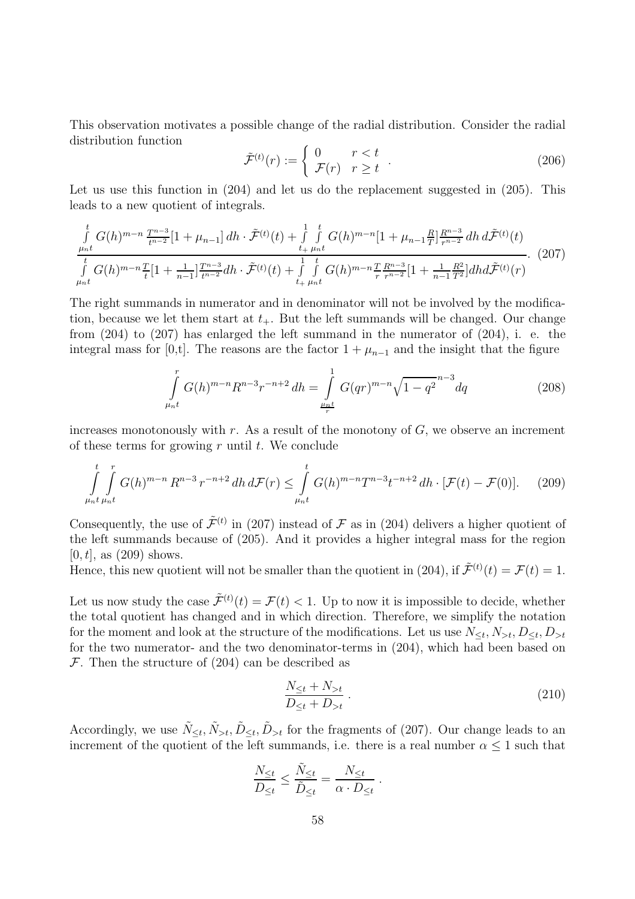This observation motivates a possible change of the radial distribution. Consider the radial distribution function

$$
\tilde{\mathcal{F}}^{(t)}(r) := \begin{cases} 0 & r < t \\ \mathcal{F}(r) & r \ge t \end{cases} . \tag{206}
$$

Let us use this function in  $(204)$  and let us do the replacement suggested in  $(205)$ . This leads to a new quotient of integrals.

$$
\int_{\mu_{n}t}^{t} G(h)^{m-n} \frac{T^{n-3}}{t^{n-2}} [1 + \mu_{n-1}] dh \cdot \tilde{\mathcal{F}}^{(t)}(t) + \int_{t+\mu_{n}t}^{1-t} G(h)^{m-n} [1 + \mu_{n-1} \frac{R}{T}]_{\tau^{n-2}}^{R^{n-3}} dh \, d\tilde{\mathcal{F}}^{(t)}(t) \n\int_{\mu_{n}t}^{t} G(h)^{m-n} \frac{T}{t} [1 + \frac{1}{n-1}]_{\tau^{n-3}}^{T^{n-3}} dh \cdot \tilde{\mathcal{F}}^{(t)}(t) + \int_{t+\mu_{n}t}^{1-t} G(h)^{m-n} \frac{T}{r} \frac{R^{n-3}}{r^{n-2}} [1 + \frac{1}{n-1} \frac{R^2}{T^2}] dh d\tilde{\mathcal{F}}^{(t)}(r)
$$
\n(207)

The right summands in numerator and in denominator will not be involved by the modification, because we let them start at  $t_{+}$ . But the left summands will be changed. Our change from (204) to (207) has enlarged the left summand in the numerator of (204), i. e. the integral mass for [0,t]. The reasons are the factor  $1 + \mu_{n-1}$  and the insight that the figure

$$
\int_{\mu_{n}t}^{r} G(h)^{m-n} R^{n-3} r^{-n+2} dh = \int_{\frac{\mu_{n}t}{r}}^{1} G(qr)^{m-n} \sqrt{1-q^2}^{n-3} dq
$$
\n(208)

increases monotonously with r. As a result of the monotony of  $G$ , we observe an increment of these terms for growing  $r$  until  $t$ . We conclude

$$
\int_{\mu_{n}t}^{t} \int_{\mu_{n}t}^{r} G(h)^{m-n} R^{n-3} r^{-n+2} dh \, d\mathcal{F}(r) \leq \int_{\mu_{n}t}^{t} G(h)^{m-n} T^{n-3} t^{-n+2} dh \cdot [\mathcal{F}(t) - \mathcal{F}(0)]. \tag{209}
$$

Consequently, the use of  $\tilde{\mathcal{F}}^{(t)}$  in (207) instead of  $\mathcal F$  as in (204) delivers a higher quotient of the left summands because of (205). And it provides a higher integral mass for the region  $[0, t]$ , as  $(209)$  shows.

Hence, this new quotient will not be smaller than the quotient in (204), if  $\tilde{\mathcal{F}}^{(t)}(t) = \mathcal{F}(t) = 1$ .

Let us now study the case  $\tilde{\mathcal{F}}^{(t)}(t) = \mathcal{F}(t) < 1$ . Up to now it is impossible to decide, whether the total quotient has changed and in which direction. Therefore, we simplify the notation for the moment and look at the structure of the modifications. Let us use  $N_{\leq t}, N_{\geq t}, D_{\leq t}, D_{\geq t}$ for the two numerator- and the two denominator-terms in (204), which had been based on  $\mathcal F$ . Then the structure of (204) can be described as

$$
\frac{N_{\leq t} + N_{>t}}{D_{\leq t} + D_{>t}} \,. \tag{210}
$$

Accordingly, we use  $\tilde{N}_{\leq t}$ ,  $\tilde{N}_{\geq t}$ ,  $\tilde{D}_{\leq t}$ ,  $\tilde{D}_{\leq t}$  for the fragments of (207). Our change leads to an increment of the quotient of the left summands, i.e. there is a real number  $\alpha \leq 1$  such that

$$
\frac{N_{\leq t}}{D_{\leq t}} \leq \frac{\tilde{N}_{\leq t}}{\tilde{D}_{\leq t}} = \frac{N_{\leq t}}{\alpha \cdot D_{\leq t}}.
$$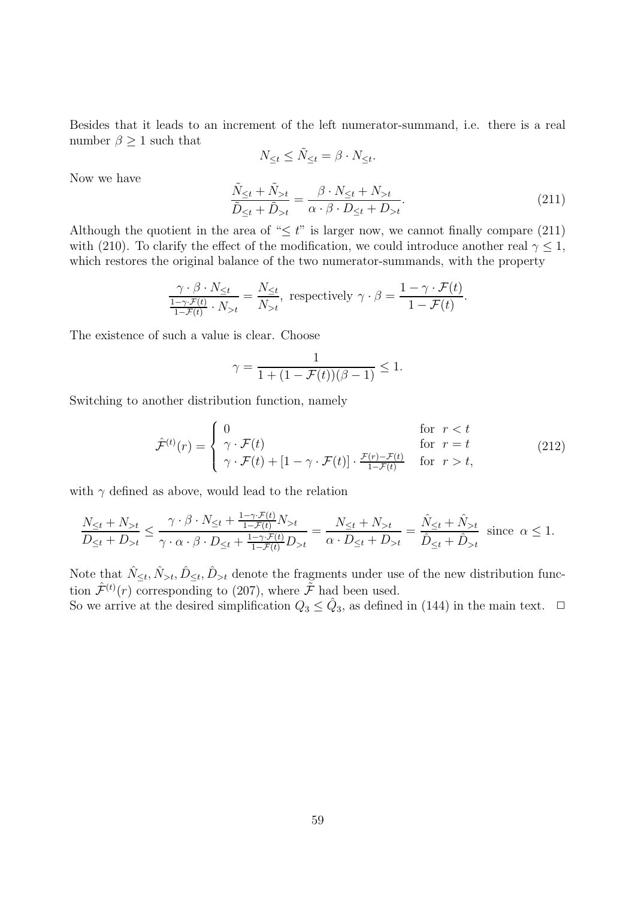Besides that it leads to an increment of the left numerator-summand, i.e. there is a real number  $\beta \geq 1$  such that

$$
N_{\leq t} \leq \tilde{N}_{\leq t} = \beta \cdot N_{\leq t}.
$$

Now we have

$$
\frac{\tilde{N}_{\leq t} + \tilde{N}_{>t}}{\tilde{D}_{\leq t} + \tilde{D}_{>t}} = \frac{\beta \cdot N_{\leq t} + N_{>t}}{\alpha \cdot \beta \cdot D_{\leq t} + D_{>t}}.
$$
\n(211)

Although the quotient in the area of " $\leq t$ " is larger now, we cannot finally compare (211) with (210). To clarify the effect of the modification, we could introduce another real  $\gamma \leq 1$ , which restores the original balance of the two numerator-summands, with the property

$$
\frac{\gamma \cdot \beta \cdot N_{\leq t}}{\frac{1-\gamma \cdot \mathcal{F}(t)}{1-\mathcal{F}(t)} \cdot N_{>t}} = \frac{N_{\leq t}}{N_{>t}}, \text{ respectively } \gamma \cdot \beta = \frac{1-\gamma \cdot \mathcal{F}(t)}{1-\mathcal{F}(t)}.
$$

The existence of such a value is clear. Choose

$$
\gamma = \frac{1}{1 + (1 - \mathcal{F}(t))(\beta - 1)} \leq 1.
$$

Switching to another distribution function, namely

$$
\hat{\mathcal{F}}^{(t)}(r) = \begin{cases}\n0 & \text{for } r < t \\
\gamma \cdot \mathcal{F}(t) & \text{for } r = t \\
\gamma \cdot \mathcal{F}(t) + [1 - \gamma \cdot \mathcal{F}(t)] \cdot \frac{\mathcal{F}(r) - \mathcal{F}(t)}{1 - \mathcal{F}(t)} & \text{for } r > t,\n\end{cases}
$$
\n(212)

with  $\gamma$  defined as above, would lead to the relation

$$
\frac{N_{\leq t} + N_{>t}}{D_{\leq t} + D_{>t}} \leq \frac{\gamma \cdot \beta \cdot N_{\leq t} + \frac{1 - \gamma \cdot \mathcal{F}(t)}{1 - \mathcal{F}(t)} N_{>t}}{\gamma \cdot \alpha \cdot \beta \cdot D_{\leq t} + \frac{1 - \gamma \cdot \mathcal{F}(t)}{1 - \mathcal{F}(t)} D_{>t}} = \frac{N_{\leq t} + N_{>t}}{\alpha \cdot D_{\leq t} + D_{>t}} = \frac{\hat{N}_{\leq t} + \hat{N}_{>t}}{\hat{D}_{\leq t} + \hat{D}_{>t}} \text{ since } \alpha \leq 1.
$$

Note that  $\hat{N}_{\leq t}, \hat{N}_{>t}, \hat{D}_{\leq t}, \hat{D}_{> t}$  denote the fragments under use of the new distribution function  $\hat{\mathcal{F}}^{(t)}(r)$  corresponding to (207), where  $\tilde{\mathcal{F}}$  had been used. So we arrive at the desired simplification  $Q_3 \le \hat{Q}_3$ , as defined in (144) in the main text.  $\Box$